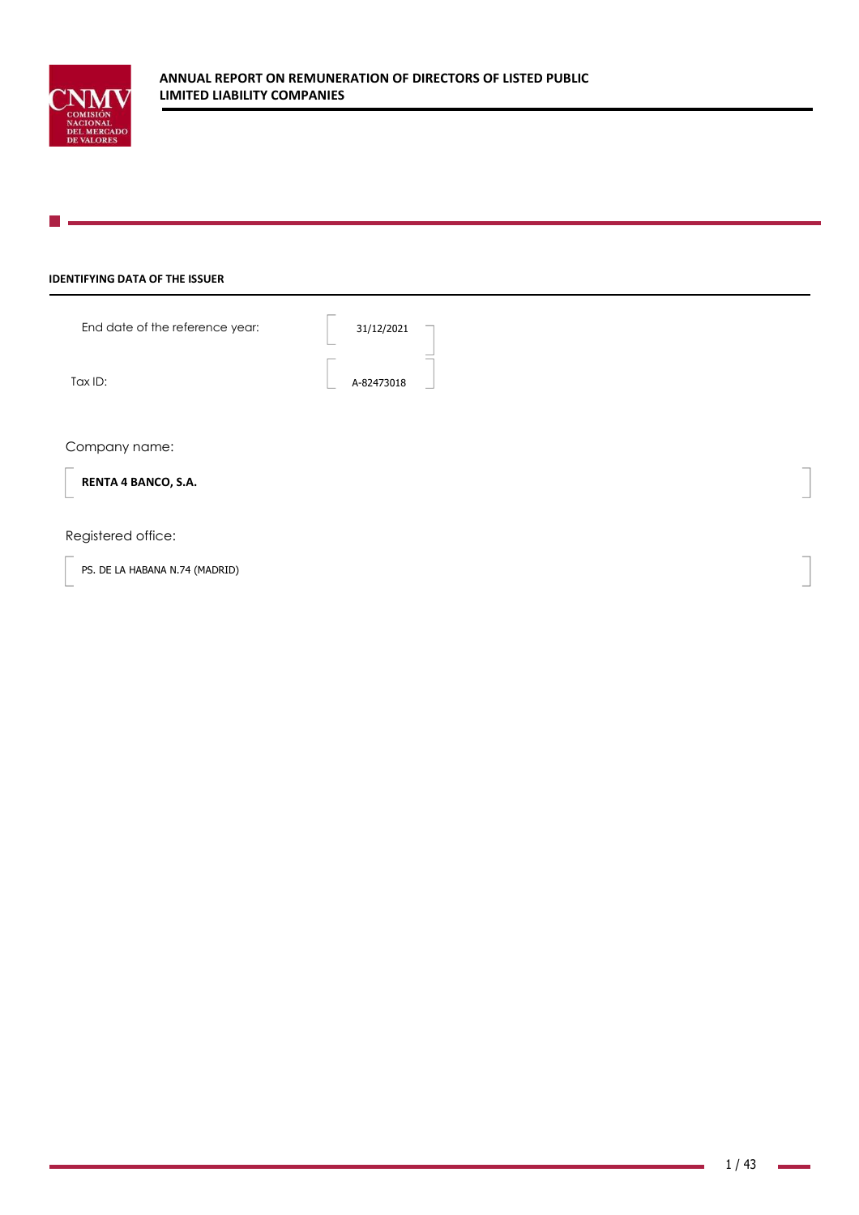

### **IDENTIFYING DATA OF THE ISSUER**

End date of the reference year:  $\begin{array}{|c|c|c|c|c|}\n\hline\n31/12/2021\n\end{array}$ 

Tax ID: A-82473018

Company name:

**RENTA 4 BANCO, S.A.** 

### Registered office:

PS. DE LA HABANA N.74 (MADRID)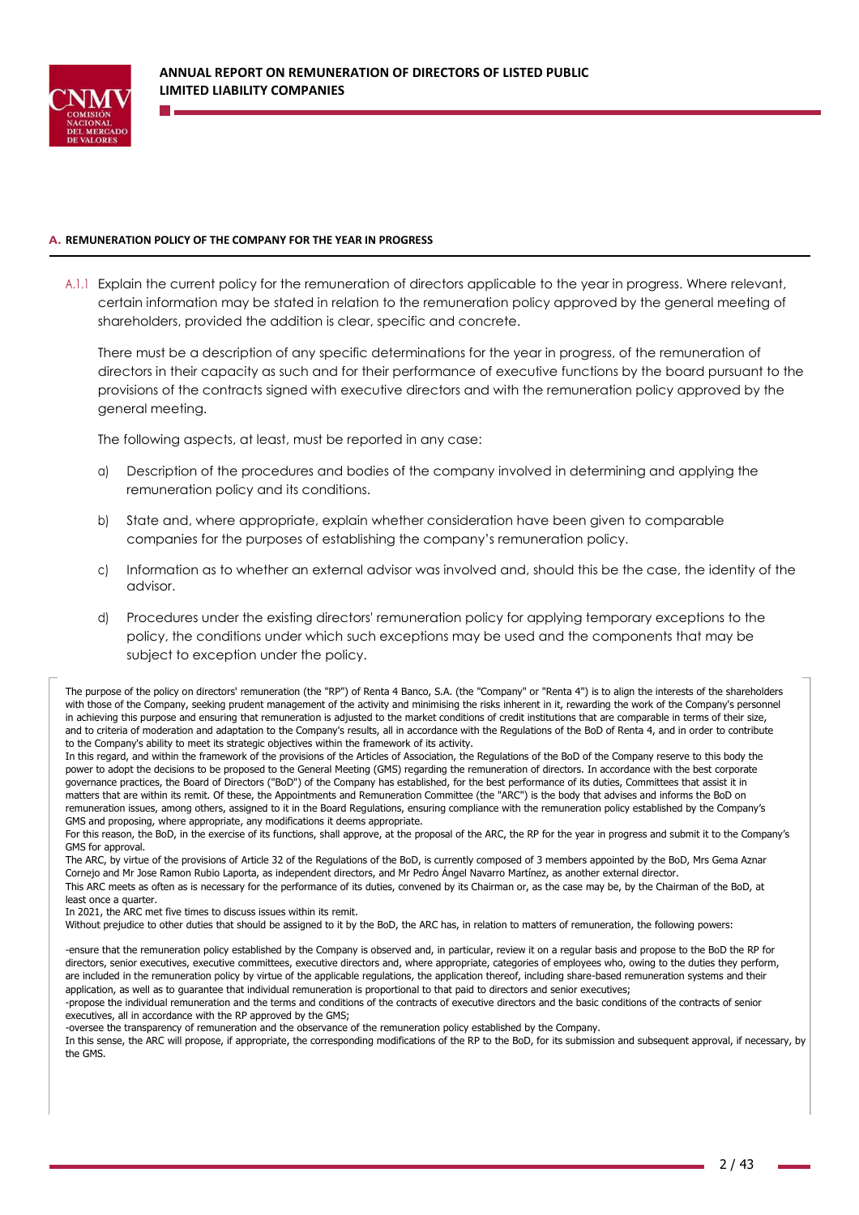

### **A. REMUNERATION POLICY OF THE COMPANY FOR THE YEAR IN PROGRESS**

A.1.1 Explain the current policy for the remuneration of directors applicable to the year in progress. Where relevant, certain information may be stated in relation to the remuneration policy approved by the general meeting of shareholders, provided the addition is clear, specific and concrete.

There must be a description of any specific determinations for the year in progress, of the remuneration of directors in their capacity as such and for their performance of executive functions by the board pursuant to the provisions of the contracts signed with executive directors and with the remuneration policy approved by the general meeting.

The following aspects, at least, must be reported in any case:

- a) Description of the procedures and bodies of the company involved in determining and applying the remuneration policy and its conditions.
- b) State and, where appropriate, explain whether consideration have been given to comparable companies for the purposes of establishing the company's remuneration policy.
- c) Information as to whether an external advisor was involved and, should this be the case, the identity of the advisor.
- d) Procedures under the existing directors' remuneration policy for applying temporary exceptions to the policy, the conditions under which such exceptions may be used and the components that may be subject to exception under the policy.

The purpose of the policy on directors' remuneration (the "RP") of Renta 4 Banco, S.A. (the "Company" or "Renta 4") is to align the interests of the shareholders with those of the Company, seeking prudent management of the activity and minimising the risks inherent in it, rewarding the work of the Company's personnel in achieving this purpose and ensuring that remuneration is adjusted to the market conditions of credit institutions that are comparable in terms of their size, and to criteria of moderation and adaptation to the Company's results, all in accordance with the Regulations of the BoD of Renta 4, and in order to contribute to the Company's ability to meet its strategic objectives within the framework of its activity.

In this regard, and within the framework of the provisions of the Articles of Association, the Regulations of the BoD of the Company reserve to this body the power to adopt the decisions to be proposed to the General Meeting (GMS) regarding the remuneration of directors. In accordance with the best corporate governance practices, the Board of Directors ("BoD") of the Company has established, for the best performance of its duties, Committees that assist it in matters that are within its remit. Of these, the Appointments and Remuneration Committee (the "ARC") is the body that advises and informs the BoD on remuneration issues, among others, assigned to it in the Board Regulations, ensuring compliance with the remuneration policy established by the Company's GMS and proposing, where appropriate, any modifications it deems appropriate.

For this reason, the BoD, in the exercise of its functions, shall approve, at the proposal of the ARC, the RP for the year in progress and submit it to the Company's GMS for approval.

The ARC, by virtue of the provisions of Article 32 of the Regulations of the BoD, is currently composed of 3 members appointed by the BoD, Mrs Gema Aznar Cornejo and Mr Jose Ramon Rubio Laporta, as independent directors, and Mr Pedro Ángel Navarro Martínez, as another external director.

This ARC meets as often as is necessary for the performance of its duties, convened by its Chairman or, as the case may be, by the Chairman of the BoD, at least once a quarter.

In 2021, the ARC met five times to discuss issues within its remit.

Without prejudice to other duties that should be assigned to it by the BoD, the ARC has, in relation to matters of remuneration, the following powers:

-ensure that the remuneration policy established by the Company is observed and, in particular, review it on a regular basis and propose to the BoD the RP for directors, senior executives, executive committees, executive directors and, where appropriate, categories of employees who, owing to the duties they perform, are included in the remuneration policy by virtue of the applicable regulations, the application thereof, including share-based remuneration systems and their application, as well as to guarantee that individual remuneration is proportional to that paid to directors and senior executives;

-propose the individual remuneration and the terms and conditions of the contracts of executive directors and the basic conditions of the contracts of senior executives, all in accordance with the RP approved by the GMS;

-oversee the transparency of remuneration and the observance of the remuneration policy established by the Company.

In this sense, the ARC will propose, if appropriate, the corresponding modifications of the RP to the BoD, for its submission and subsequent approval, if necessary, by the GMS.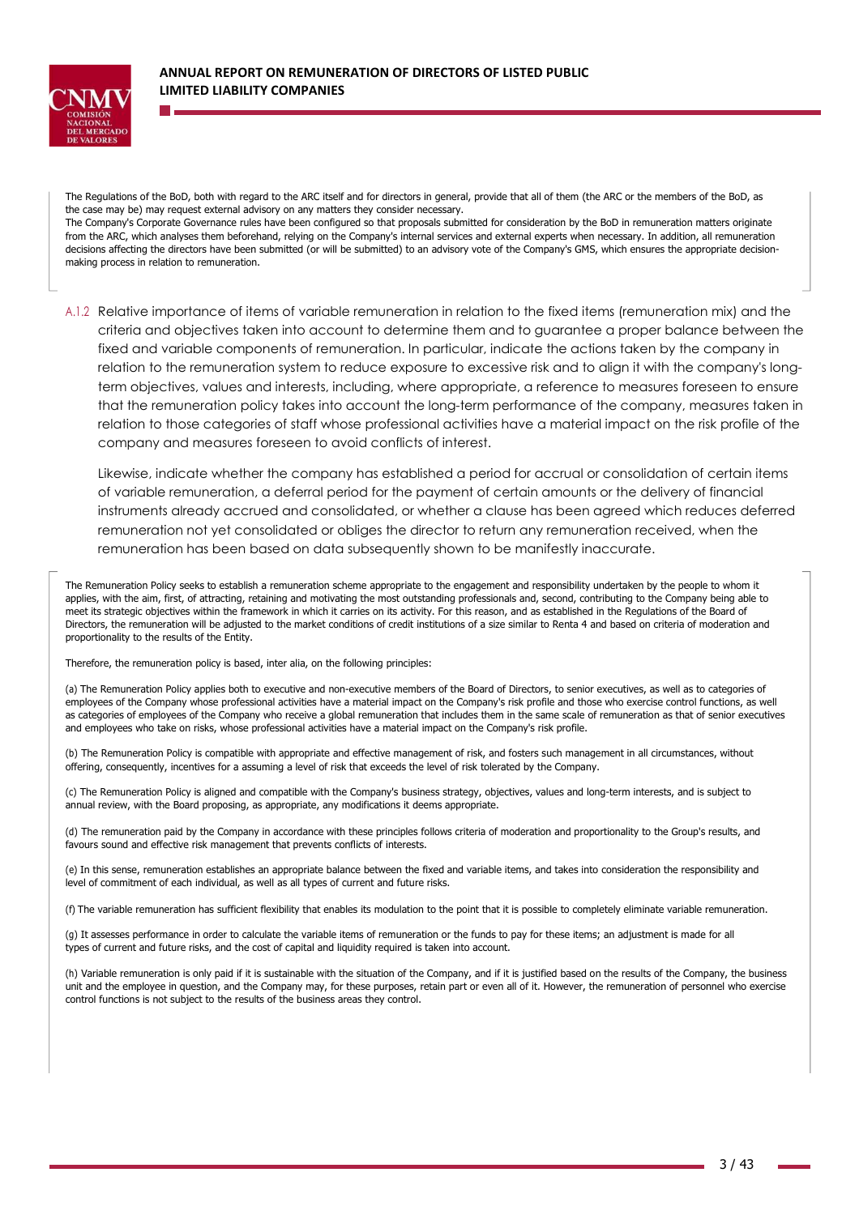

The Regulations of the BoD, both with regard to the ARC itself and for directors in general, provide that all of them (the ARC or the members of the BoD, as the case may be) may request external advisory on any matters they consider necessary.

The Company's Corporate Governance rules have been configured so that proposals submitted for consideration by the BoD in remuneration matters originate from the ARC, which analyses them beforehand, relying on the Company's internal services and external experts when necessary. In addition, all remuneration decisions affecting the directors have been submitted (or will be submitted) to an advisory vote of the Company's GMS, which ensures the appropriate decisionmaking process in relation to remuneration.

A.1.2 Relative importance of items of variable remuneration in relation to the fixed items (remuneration mix) and the criteria and objectives taken into account to determine them and to guarantee a proper balance between the fixed and variable components of remuneration. In particular, indicate the actions taken by the company in relation to the remuneration system to reduce exposure to excessive risk and to align it with the company's longterm objectives, values and interests, including, where appropriate, a reference to measures foreseen to ensure that the remuneration policy takes into account the long-term performance of the company, measures taken in relation to those categories of staff whose professional activities have a material impact on the risk profile of the company and measures foreseen to avoid conflicts of interest.

Likewise, indicate whether the company has established a period for accrual or consolidation of certain items of variable remuneration, a deferral period for the payment of certain amounts or the delivery of financial instruments already accrued and consolidated, or whether a clause has been agreed which reduces deferred remuneration not yet consolidated or obliges the director to return any remuneration received, when the remuneration has been based on data subsequently shown to be manifestly inaccurate.

The Remuneration Policy seeks to establish a remuneration scheme appropriate to the engagement and responsibility undertaken by the people to whom it applies, with the aim, first, of attracting, retaining and motivating the most outstanding professionals and, second, contributing to the Company being able to meet its strategic objectives within the framework in which it carries on its activity. For this reason, and as established in the Regulations of the Board of Directors, the remuneration will be adjusted to the market conditions of credit institutions of a size similar to Renta 4 and based on criteria of moderation and proportionality to the results of the Entity.

Therefore, the remuneration policy is based, inter alia, on the following principles:

(a) The Remuneration Policy applies both to executive and non-executive members of the Board of Directors, to senior executives, as well as to categories of employees of the Company whose professional activities have a material impact on the Company's risk profile and those who exercise control functions, as well as categories of employees of the Company who receive a global remuneration that includes them in the same scale of remuneration as that of senior executives and employees who take on risks, whose professional activities have a material impact on the Company's risk profile.

(b) The Remuneration Policy is compatible with appropriate and effective management of risk, and fosters such management in all circumstances, without offering, consequently, incentives for a assuming a level of risk that exceeds the level of risk tolerated by the Company.

(c) The Remuneration Policy is aligned and compatible with the Company's business strategy, objectives, values and long-term interests, and is subject to annual review, with the Board proposing, as appropriate, any modifications it deems appropriate.

(d) The remuneration paid by the Company in accordance with these principles follows criteria of moderation and proportionality to the Group's results, and favours sound and effective risk management that prevents conflicts of interests.

(e) In this sense, remuneration establishes an appropriate balance between the fixed and variable items, and takes into consideration the responsibility and level of commitment of each individual, as well as all types of current and future risks.

(f) The variable remuneration has sufficient flexibility that enables its modulation to the point that it is possible to completely eliminate variable remuneration.

(g) It assesses performance in order to calculate the variable items of remuneration or the funds to pay for these items; an adjustment is made for all types of current and future risks, and the cost of capital and liquidity required is taken into account.

(h) Variable remuneration is only paid if it is sustainable with the situation of the Company, and if it is justified based on the results of the Company, the business unit and the employee in question, and the Company may, for these purposes, retain part or even all of it. However, the remuneration of personnel who exercise control functions is not subject to the results of the business areas they control.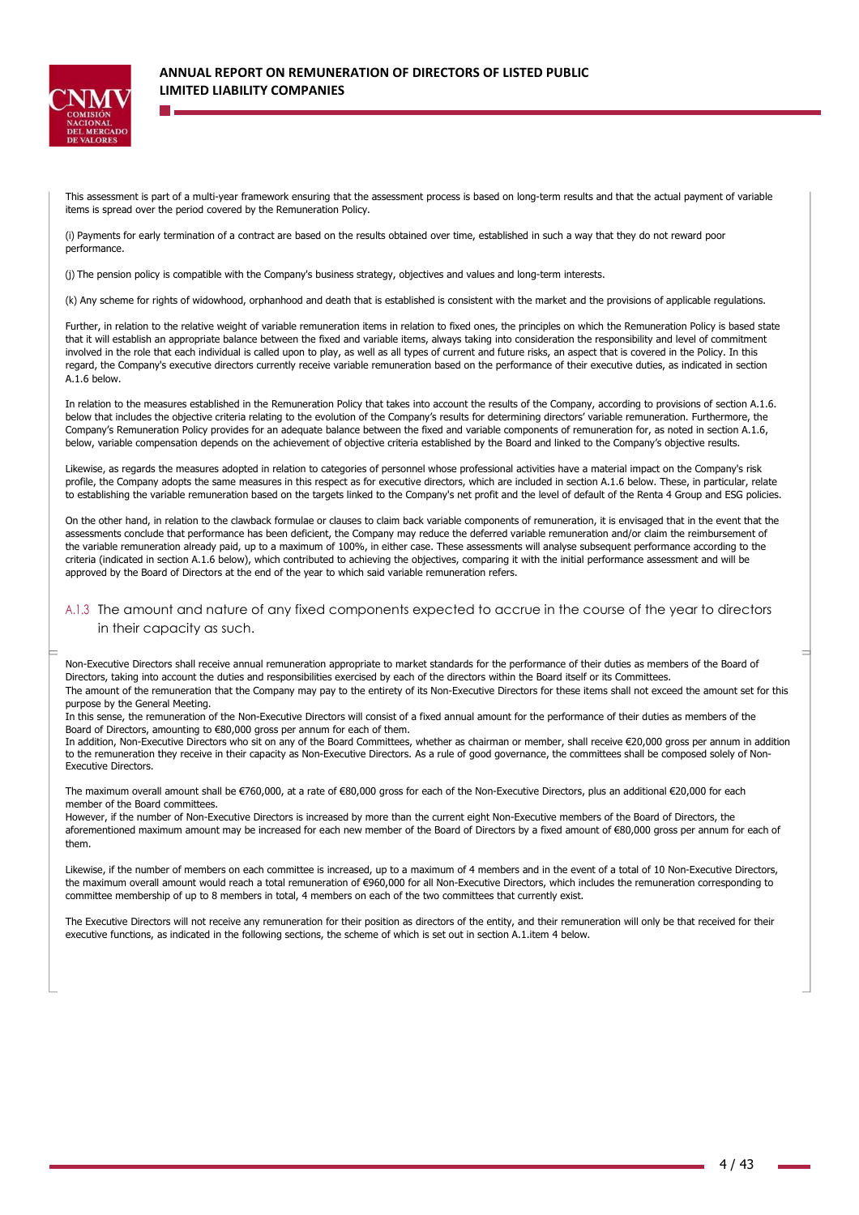

This assessment is part of a multi-year framework ensuring that the assessment process is based on long-term results and that the actual payment of variable items is spread over the period covered by the Remuneration Policy.

(i) Payments for early termination of a contract are based on the results obtained over time, established in such a way that they do not reward poor performance.

(j) The pension policy is compatible with the Company's business strategy, objectives and values and long-term interests.

(k) Any scheme for rights of widowhood, orphanhood and death that is established is consistent with the market and the provisions of applicable regulations.

Further, in relation to the relative weight of variable remuneration items in relation to fixed ones, the principles on which the Remuneration Policy is based state that it will establish an appropriate balance between the fixed and variable items, always taking into consideration the responsibility and level of commitment involved in the role that each individual is called upon to play, as well as all types of current and future risks, an aspect that is covered in the Policy. In this regard, the Company's executive directors currently receive variable remuneration based on the performance of their executive duties, as indicated in section A.1.6 below.

In relation to the measures established in the Remuneration Policy that takes into account the results of the Company, according to provisions of section A.1.6. below that includes the objective criteria relating to the evolution of the Company's results for determining directors' variable remuneration. Furthermore, the Company's Remuneration Policy provides for an adequate balance between the fixed and variable components of remuneration for, as noted in section A.1.6, below, variable compensation depends on the achievement of objective criteria established by the Board and linked to the Company's objective results.

Likewise, as regards the measures adopted in relation to categories of personnel whose professional activities have a material impact on the Company's risk profile, the Company adopts the same measures in this respect as for executive directors, which are included in section A.1.6 below. These, in particular, relate to establishing the variable remuneration based on the targets linked to the Company's net profit and the level of default of the Renta 4 Group and ESG policies.

On the other hand, in relation to the clawback formulae or clauses to claim back variable components of remuneration, it is envisaged that in the event that the assessments conclude that performance has been deficient, the Company may reduce the deferred variable remuneration and/or claim the reimbursement of the variable remuneration already paid, up to a maximum of 100%, in either case. These assessments will analyse subsequent performance according to the criteria (indicated in section A.1.6 below), which contributed to achieving the objectives, comparing it with the initial performance assessment and will be approved by the Board of Directors at the end of the year to which said variable remuneration refers.

### A.1.3 The amount and nature of any fixed components expected to accrue in the course of the year to directors in their capacity as such.

Non-Executive Directors shall receive annual remuneration appropriate to market standards for the performance of their duties as members of the Board of Directors, taking into account the duties and responsibilities exercised by each of the directors within the Board itself or its Committees. The amount of the remuneration that the Company may pay to the entirety of its Non-Executive Directors for these items shall not exceed the amount set for this purpose by the General Meeting.

In this sense, the remuneration of the Non-Executive Directors will consist of a fixed annual amount for the performance of their duties as members of the Board of Directors, amounting to €80,000 gross per annum for each of them.

In addition, Non-Executive Directors who sit on any of the Board Committees, whether as chairman or member, shall receive €20,000 gross per annum in addition to the remuneration they receive in their capacity as Non-Executive Directors. As a rule of good governance, the committees shall be composed solely of Non-Executive Directors.

The maximum overall amount shall be €760,000, at a rate of €80,000 gross for each of the Non-Executive Directors, plus an additional €20,000 for each member of the Board committees.

However, if the number of Non-Executive Directors is increased by more than the current eight Non-Executive members of the Board of Directors, the aforementioned maximum amount may be increased for each new member of the Board of Directors by a fixed amount of €80,000 gross per annum for each of them.

Likewise, if the number of members on each committee is increased, up to a maximum of 4 members and in the event of a total of 10 Non-Executive Directors, the maximum overall amount would reach a total remuneration of €960,000 for all Non-Executive Directors, which includes the remuneration corresponding to committee membership of up to 8 members in total, 4 members on each of the two committees that currently exist.

The Executive Directors will not receive any remuneration for their position as directors of the entity, and their remuneration will only be that received for their executive functions, as indicated in the following sections, the scheme of which is set out in section A.1.item 4 below.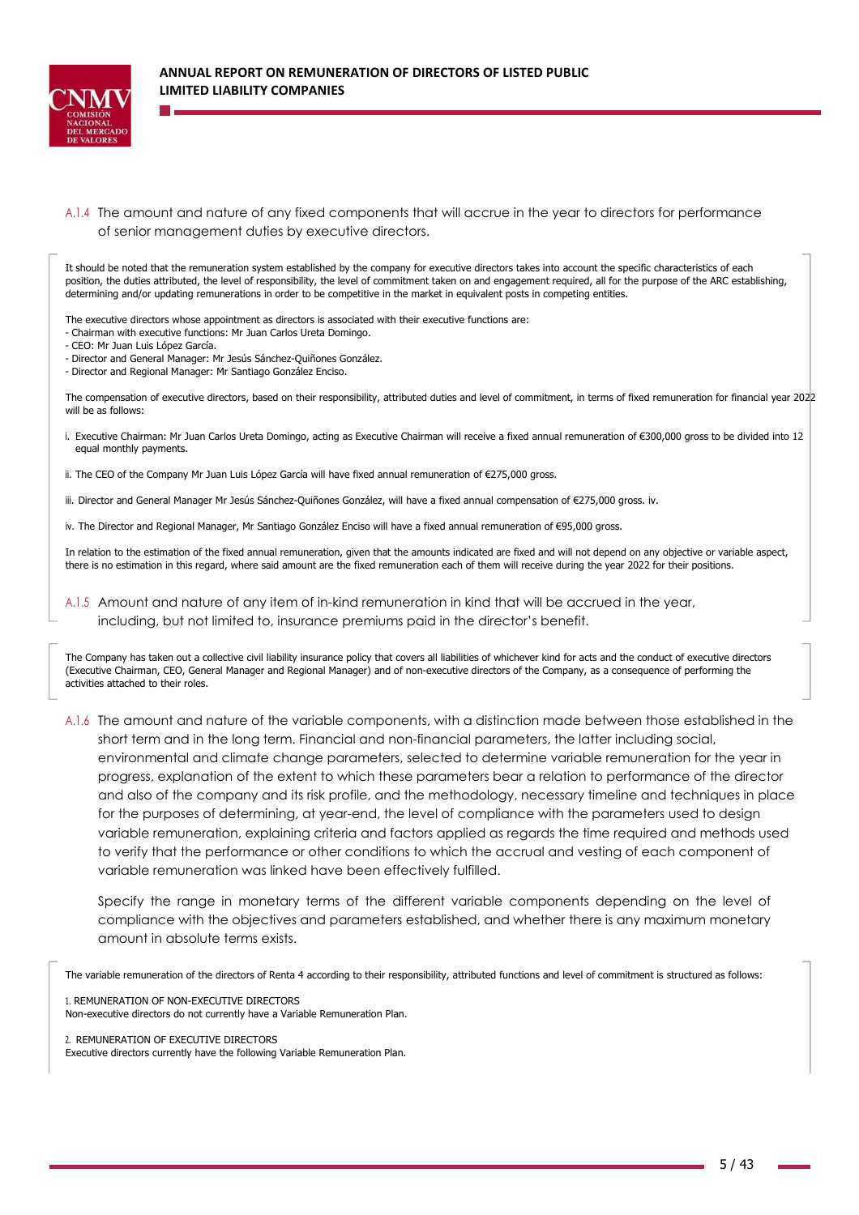

A.1.4 The amount and nature of any fixed components that will accrue in the year to directors for performance of senior management duties by executive directors.

It should be noted that the remuneration system established by the company for executive directors takes into account the specific characteristics of each position, the duties attributed, the level of responsibility, the level of commitment taken on and engagement required, all for the purpose of the ARC establishing, determining and/or updating remunerations in order to be competitive in the market in equivalent posts in competing entities.

The executive directors whose appointment as directors is associated with their executive functions are:

- Chairman with executive functions: Mr Juan Carlos Ureta Domingo.

- CEO: Mr Juan Luis López García.

- Director and General Manager: Mr Jesús Sánchez-Quiñones González.
- Director and Regional Manager: Mr Santiago González Enciso.

The compensation of executive directors, based on their responsibility, attributed duties and level of commitment, in terms of fixed remuneration for financial year 2022 will be as follows:

- i. Executive Chairman: Mr Juan Carlos Ureta Domingo, acting as Executive Chairman will receive a fixed annual remuneration of €300,000 gross to be divided into 12 equal monthly payments.
- ii. The CEO of the Company Mr Juan Luis López García will have fixed annual remuneration of €275,000 gross.
- iii. Director and General Manager Mr Jesús Sánchez-Quiñones González, will have a fixed annual compensation of €275,000 gross. iv.
- iv. The Director and Regional Manager, Mr Santiago González Enciso will have a fixed annual remuneration of €95,000 gross.

In relation to the estimation of the fixed annual remuneration, given that the amounts indicated are fixed and will not depend on any objective or variable aspect, there is no estimation in this regard, where said amount are the fixed remuneration each of them will receive during the year 2022 for their positions.

A.1.5 Amount and nature of any item of in-kind remuneration in kind that will be accrued in the year, including, but not limited to, insurance premiums paid in the director's benefit.

The Company has taken out a collective civil liability insurance policy that covers all liabilities of whichever kind for acts and the conduct of executive directors (Executive Chairman, CEO, General Manager and Regional Manager) and of non-executive directors of the Company, as a consequence of performing the activities attached to their roles.

A.1.6 The amount and nature of the variable components, with a distinction made between those established in the short term and in the long term. Financial and non-financial parameters, the latter including social, environmental and climate change parameters, selected to determine variable remuneration for the year in progress, explanation of the extent to which these parameters bear a relation to performance of the director and also of the company and its risk profile, and the methodology, necessary timeline and techniques in place for the purposes of determining, at year-end, the level of compliance with the parameters used to design variable remuneration, explaining criteria and factors applied as regards the time required and methods used to verify that the performance or other conditions to which the accrual and vesting of each component of variable remuneration was linked have been effectively fulfilled.

Specify the range in monetary terms of the different variable components depending on the level of compliance with the objectives and parameters established, and whether there is any maximum monetary amount in absolute terms exists.

The variable remuneration of the directors of Renta 4 according to their responsibility, attributed functions and level of commitment is structured as follows:

1. REMUNERATION OF NON-EXECUTIVE DIRECTORS

Non-executive directors do not currently have a Variable Remuneration Plan.

2. REMUNERATION OF EXECUTIVE DIRECTORS

Executive directors currently have the following Variable Remuneration Plan.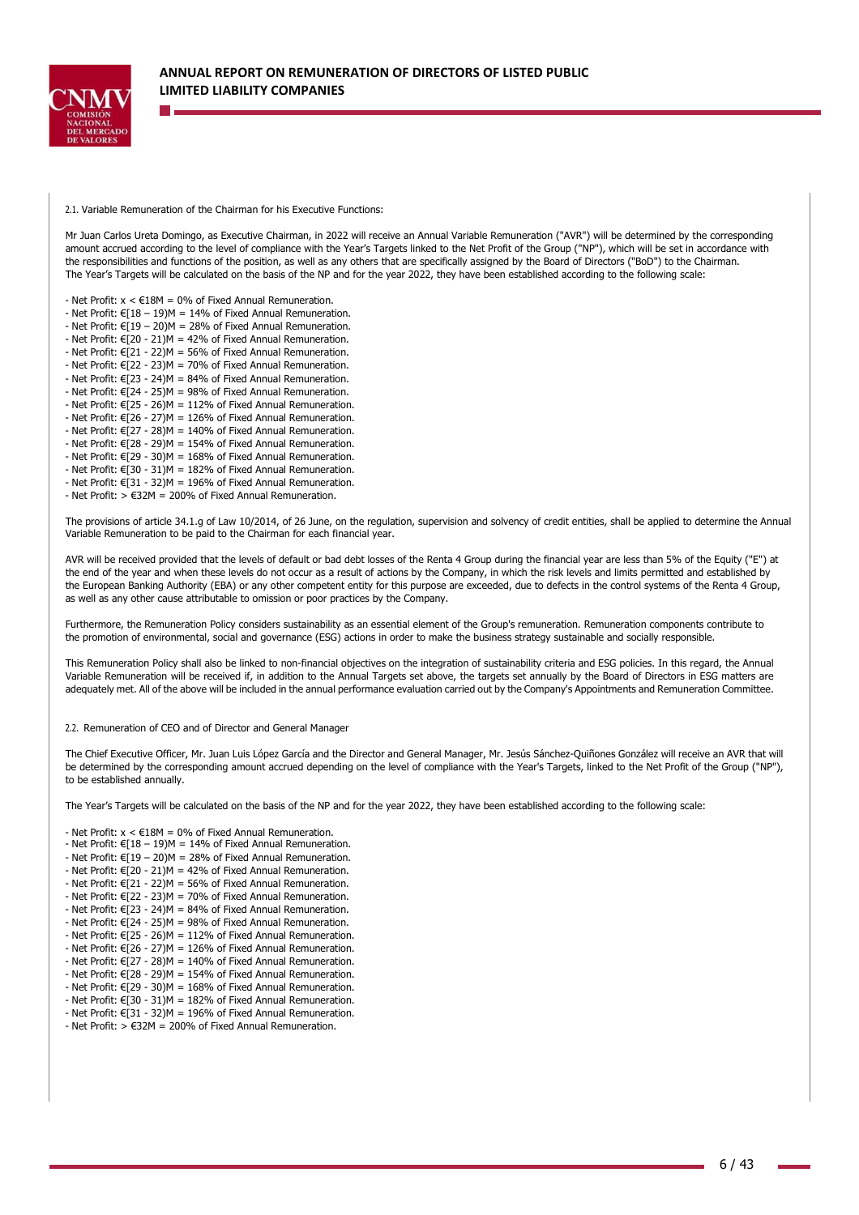

2.1. Variable Remuneration of the Chairman for his Executive Functions:

Mr Juan Carlos Ureta Domingo, as Executive Chairman, in 2022 will receive an Annual Variable Remuneration ("AVR") will be determined by the corresponding amount accrued according to the level of compliance with the Year's Targets linked to the Net Profit of the Group ("NP"), which will be set in accordance with the responsibilities and functions of the position, as well as any others that are specifically assigned by the Board of Directors ("BoD") to the Chairman. The Year's Targets will be calculated on the basis of the NP and for the year 2022, they have been established according to the following scale:

- Net Profit:  $x < \text{\textsterling}18M = 0\%$  of Fixed Annual Remuneration.

- Net Profit:  $f(18 - 19)M = 14\%$  of Fixed Annual Remuneration.

- Net Profit:  $\epsilon \overline{1}$ 19 – 20)M = 28% of Fixed Annual Remuneration.

- Net Profit:  $\widehat{\epsilon}$ [20 - 21)M = 42% of Fixed Annual Remuneration. - Net Profit:  $\epsilon$  21 - 22)M = 56% of Fixed Annual Remuneration.

- Net Profit:  $\epsilon$  22 - 23)M = 70% of Fixed Annual Remuneration.

- Net Profit:  $\epsilon$ [23 - 24)M = 84% of Fixed Annual Remuneration.

- Net Profit:  $E[24 - 25)M = 98%$  of Fixed Annual Remuneration.

- Net Profit:  $E[25 - 26)M = 112\%$  of Fixed Annual Remuneration.

- Net Profit:  $\epsilon$ [26 - 27)M = 126% of Fixed Annual Remuneration.

- Net Profit:  $E[27 - 28)M = 140\%$  of Fixed Annual Remuneration.

- Net Profit: €[28 - 29)M = 154% of Fixed Annual Remuneration. - Net Profit:  $E[29 - 30)M = 168%$  of Fixed Annual Remuneration.

- Net Profit: €[30 - 31)M = 182% of Fixed Annual Remuneration.

- Net Profit:  $\epsilon$ [31 - 32)M = 196% of Fixed Annual Remuneration.

- Net Profit:  $> \epsilon$ 32M = 200% of Fixed Annual Remuneration.

The provisions of article 34.1.g of Law 10/2014, of 26 June, on the regulation, supervision and solvency of credit entities, shall be applied to determine the Annual Variable Remuneration to be paid to the Chairman for each financial year.

AVR will be received provided that the levels of default or bad debt losses of the Renta 4 Group during the financial year are less than 5% of the Equity ("E") at the end of the year and when these levels do not occur as a result of actions by the Company, in which the risk levels and limits permitted and established by the European Banking Authority (EBA) or any other competent entity for this purpose are exceeded, due to defects in the control systems of the Renta 4 Group, as well as any other cause attributable to omission or poor practices by the Company.

Furthermore, the Remuneration Policy considers sustainability as an essential element of the Group's remuneration. Remuneration components contribute to the promotion of environmental, social and governance (ESG) actions in order to make the business strategy sustainable and socially responsible.

This Remuneration Policy shall also be linked to non-financial objectives on the integration of sustainability criteria and ESG policies. In this regard, the Annual Variable Remuneration will be received if, in addition to the Annual Targets set above, the targets set annually by the Board of Directors in ESG matters are adequately met. All of the above will be included in the annual performance evaluation carried out by the Company's Appointments and Remuneration Committee.

2.2. Remuneration of CEO and of Director and General Manager

The Chief Executive Officer, Mr. Juan Luis López García and the Director and General Manager, Mr. Jesús Sánchez-Quiñones González will receive an AVR that will be determined by the corresponding amount accrued depending on the level of compliance with the Year's Targets, linked to the Net Profit of the Group ("NP"). to be established annually.

The Year's Targets will be calculated on the basis of the NP and for the year 2022, they have been established according to the following scale:

- Net Profit:  $x < \text{\textsterling}18M = 0\%$  of Fixed Annual Remuneration.

- Net Profit:  $E[18 - 19)M = 14%$  of Fixed Annual Remuneration.

- Net Profit:  $\epsilon$ [19 – 20)M = 28% of Fixed Annual Remuneration.

- Net Profit:  $\epsilon$ [20 - 21)M = 42% of Fixed Annual Remuneration.

- Net Profit:  $E[21 - 22]M = 56%$  of Fixed Annual Remuneration. - Net Profit:  $\epsilon$ [22 - 23)M = 70% of Fixed Annual Remuneration.

- Net Profit:  $E[23 - 24)M = 84%$  of Fixed Annual Remuneration.

- Net Profit:  $\epsilon$ [24 - 25)M = 98% of Fixed Annual Remuneration.

- Net Profit:  $\widehat{\epsilon}$ [25 - 26)M = 112% of Fixed Annual Remuneration.

- Net Profit:  $\widehat{\epsilon}$ [26 - 27)M = 126% of Fixed Annual Remuneration.

- Net Profit:  $\epsilon$ [27 - 28)M = 140% of Fixed Annual Remuneration.

- Net Profit:  $\epsilon$ [28 - 29)M = 154% of Fixed Annual Remuneration.

- Net Profit:  $\epsilon$ [29 - 30)M = 168% of Fixed Annual Remuneration. - Net Profit:  $\epsilon$ [30 - 31)M = 182% of Fixed Annual Remuneration.

- Net Profit:  $\in$ [31 - 32)M = 196% of Fixed Annual Remuneration.

- Net Profit:  $> \epsilon$ 32M = 200% of Fixed Annual Remuneration.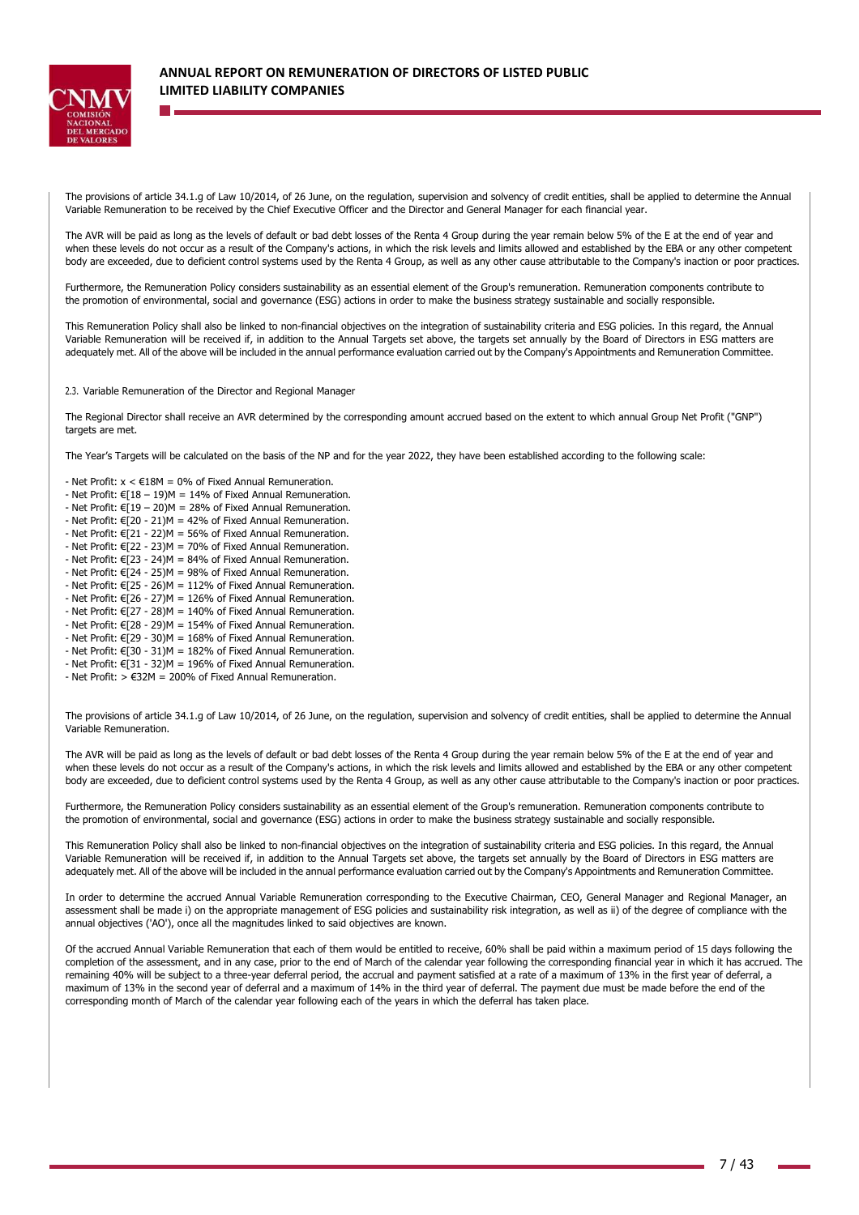

The provisions of article 34.1.g of Law 10/2014, of 26 June, on the regulation, supervision and solvency of credit entities, shall be applied to determine the Annual Variable Remuneration to be received by the Chief Executive Officer and the Director and General Manager for each financial year.

The AVR will be paid as long as the levels of default or bad debt losses of the Renta 4 Group during the year remain below 5% of the E at the end of year and when these levels do not occur as a result of the Company's actions, in which the risk levels and limits allowed and established by the EBA or any other competent body are exceeded, due to deficient control systems used by the Renta 4 Group, as well as any other cause attributable to the Company's inaction or poor practices.

Furthermore, the Remuneration Policy considers sustainability as an essential element of the Group's remuneration. Remuneration components contribute to the promotion of environmental, social and governance (ESG) actions in order to make the business strategy sustainable and socially responsible.

This Remuneration Policy shall also be linked to non-financial objectives on the integration of sustainability criteria and ESG policies. In this regard, the Annual Variable Remuneration will be received if, in addition to the Annual Targets set above, the targets set annually by the Board of Directors in ESG matters are adequately met. All of the above will be included in the annual performance evaluation carried out by the Company's Appointments and Remuneration Committee.

2.3. Variable Remuneration of the Director and Regional Manager

The Regional Director shall receive an AVR determined by the corresponding amount accrued based on the extent to which annual Group Net Profit ("GNP") targets are met.

The Year's Targets will be calculated on the basis of the NP and for the year 2022, they have been established according to the following scale:

- Net Profit:  $x < \text{\textsterling}18M = 0\%$  of Fixed Annual Remuneration.
- Net Profit:  $E[18 19)M = 14%$  of Fixed Annual Remuneration.
- Net Profit:  $\epsilon$ [19 20)M = 28% of Fixed Annual Remuneration.
- Net Profit:  $E[20 21)M = 42\%$  of Fixed Annual Remuneration.
- Net Profit:  $E[21 22]M = 56%$  of Fixed Annual Remuneration.
- Net Profit:  $\epsilon$ [22 23)M = 70% of Fixed Annual Remuneration. - Net Profit:  $\epsilon$ [23 - 24)M = 84% of Fixed Annual Remuneration.
- Net Profit:  $\epsilon$ [24 25)M = 98% of Fixed Annual Remuneration.
- Net Profit: €[25 26)M = 112% of Fixed Annual Remuneration.
- Net Profit:  $E[26 27]M = 126%$  of Fixed Annual Remuneration.
- Net Profit:  $\epsilon$ [27 28)M = 140% of Fixed Annual Remuneration.
- Net Profit:  $\widehat{\epsilon}$ [28 29)M = 154% of Fixed Annual Remuneration.
- Net Profit:  $\epsilon$ [29 30)M = 168% of Fixed Annual Remuneration.
- Net Profit: €[30 31)M = 182% of Fixed Annual Remuneration.
- Net Profit:  $\epsilon$ [31 32)M = 196% of Fixed Annual Remuneration.
- Net Profit:  $> \epsilon$ 32M = 200% of Fixed Annual Remuneration.

The provisions of article 34.1.g of Law 10/2014, of 26 June, on the regulation, supervision and solvency of credit entities, shall be applied to determine the Annual Variable Remuneration.

The AVR will be paid as long as the levels of default or bad debt losses of the Renta 4 Group during the year remain below 5% of the E at the end of year and when these levels do not occur as a result of the Company's actions, in which the risk levels and limits allowed and established by the EBA or any other competent body are exceeded, due to deficient control systems used by the Renta 4 Group, as well as any other cause attributable to the Company's inaction or poor practices.

Furthermore, the Remuneration Policy considers sustainability as an essential element of the Group's remuneration. Remuneration components contribute to the promotion of environmental, social and governance (ESG) actions in order to make the business strategy sustainable and socially responsible.

This Remuneration Policy shall also be linked to non-financial objectives on the integration of sustainability criteria and ESG policies. In this regard, the Annual Variable Remuneration will be received if, in addition to the Annual Targets set above, the targets set annually by the Board of Directors in ESG matters are adequately met. All of the above will be included in the annual performance evaluation carried out by the Company's Appointments and Remuneration Committee.

In order to determine the accrued Annual Variable Remuneration corresponding to the Executive Chairman, CEO, General Manager and Regional Manager, an assessment shall be made i) on the appropriate management of ESG policies and sustainability risk integration, as well as ii) of the degree of compliance with the annual objectives ('AO'), once all the magnitudes linked to said objectives are known.

Of the accrued Annual Variable Remuneration that each of them would be entitled to receive, 60% shall be paid within a maximum period of 15 days following the completion of the assessment, and in any case, prior to the end of March of the calendar year following the corresponding financial year in which it has accrued. The remaining 40% will be subject to a three-year deferral period, the accrual and payment satisfied at a rate of a maximum of 13% in the first year of deferral, a maximum of 13% in the second year of deferral and a maximum of 14% in the third year of deferral. The payment due must be made before the end of the corresponding month of March of the calendar year following each of the years in which the deferral has taken place.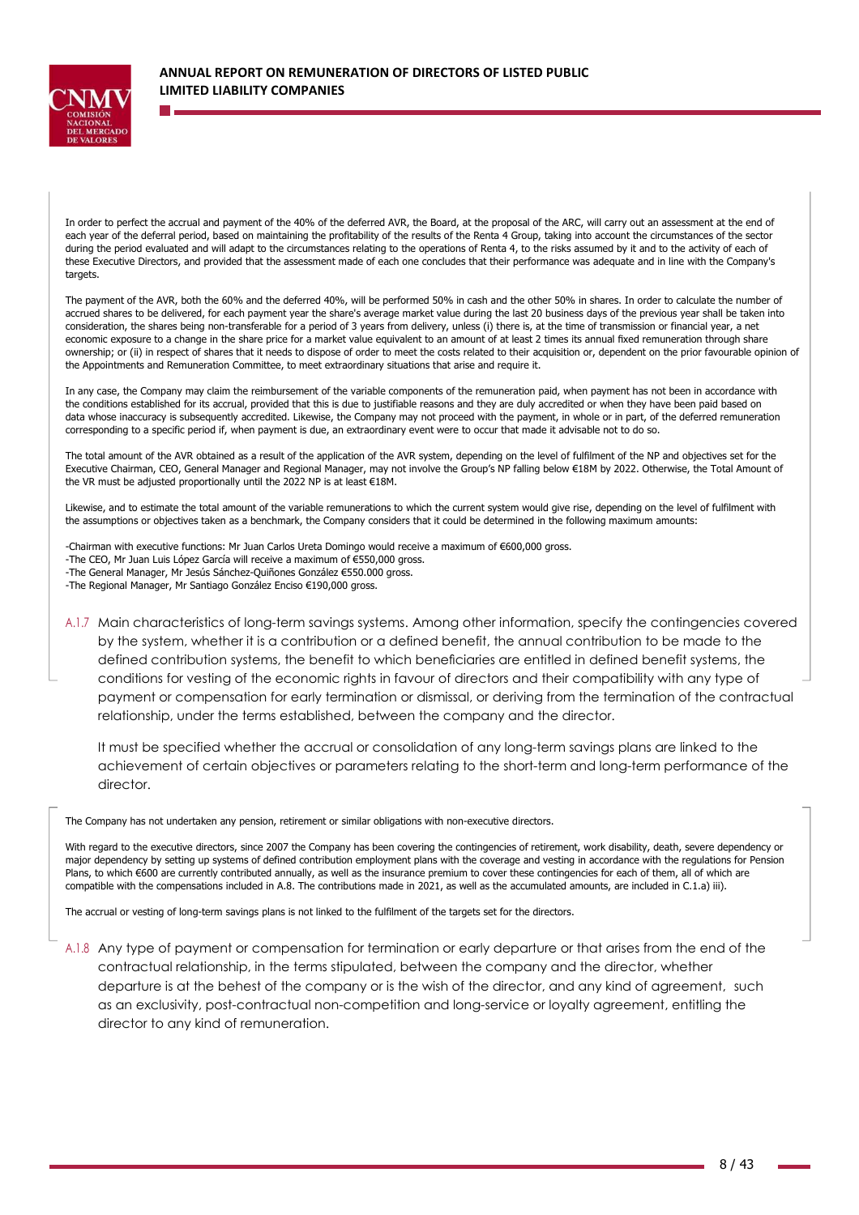

In order to perfect the accrual and payment of the 40% of the deferred AVR, the Board, at the proposal of the ARC, will carry out an assessment at the end of each year of the deferral period, based on maintaining the profitability of the results of the Renta 4 Group, taking into account the circumstances of the sector during the period evaluated and will adapt to the circumstances relating to the operations of Renta 4, to the risks assumed by it and to the activity of each of these Executive Directors, and provided that the assessment made of each one concludes that their performance was adequate and in line with the Company's targets.

The payment of the AVR, both the 60% and the deferred 40%, will be performed 50% in cash and the other 50% in shares. In order to calculate the number of accrued shares to be delivered, for each payment year the share's average market value during the last 20 business days of the previous year shall be taken into consideration, the shares being non-transferable for a period of 3 years from delivery, unless (i) there is, at the time of transmission or financial year, a net economic exposure to a change in the share price for a market value equivalent to an amount of at least 2 times its annual fixed remuneration through share ownership; or (ii) in respect of shares that it needs to dispose of order to meet the costs related to their acquisition or, dependent on the prior favourable opinion of the Appointments and Remuneration Committee, to meet extraordinary situations that arise and require it.

In any case, the Company may claim the reimbursement of the variable components of the remuneration paid, when payment has not been in accordance with the conditions established for its accrual, provided that this is due to justifiable reasons and they are duly accredited or when they have been paid based on data whose inaccuracy is subsequently accredited. Likewise, the Company may not proceed with the payment, in whole or in part, of the deferred remuneration corresponding to a specific period if, when payment is due, an extraordinary event were to occur that made it advisable not to do so.

The total amount of the AVR obtained as a result of the application of the AVR system, depending on the level of fulfilment of the NP and objectives set for the Executive Chairman, CEO, General Manager and Regional Manager, may not involve the Group's NP falling below €18M by 2022. Otherwise, the Total Amount of the VR must be adjusted proportionally until the 2022 NP is at least €18M.

Likewise, and to estimate the total amount of the variable remunerations to which the current system would give rise, depending on the level of fulfilment with the assumptions or objectives taken as a benchmark, the Company considers that it could be determined in the following maximum amounts:

-Chairman with executive functions: Mr Juan Carlos Ureta Domingo would receive a maximum of €600,000 gross. -The CEO, Mr Juan Luis López García will receive a maximum of €550,000 gross. -The General Manager, Mr Jesús Sánchez-Quiñones González €550.000 gross. -The Regional Manager, Mr Santiago González Enciso €190,000 gross.

A.1.7 Main characteristics of long-term savings systems. Among other information, specify the contingencies covered by the system, whether it is a contribution or a defined benefit, the annual contribution to be made to the defined contribution systems, the benefit to which beneficiaries are entitled in defined benefit systems, the conditions for vesting of the economic rights in favour of directors and their compatibility with any type of payment or compensation for early termination or dismissal, or deriving from the termination of the contractual relationship, under the terms established, between the company and the director.

It must be specified whether the accrual or consolidation of any long-term savings plans are linked to the achievement of certain objectives or parameters relating to the short-term and long-term performance of the director.

The Company has not undertaken any pension, retirement or similar obligations with non-executive directors.

With regard to the executive directors, since 2007 the Company has been covering the contingencies of retirement, work disability, death, severe dependency or major dependency by setting up systems of defined contribution employment plans with the coverage and vesting in accordance with the regulations for Pension Plans, to which €600 are currently contributed annually, as well as the insurance premium to cover these contingencies for each of them, all of which are compatible with the compensations included in A.8. The contributions made in 2021, as well as the accumulated amounts, are included in C.1.a) iii).

The accrual or vesting of long-term savings plans is not linked to the fulfilment of the targets set for the directors.

A.1.8 Any type of payment or compensation for termination or early departure or that arises from the end of the contractual relationship, in the terms stipulated, between the company and the director, whether departure is at the behest of the company or is the wish of the director, and any kind of agreement, such as an exclusivity, post-contractual non-competition and long-service or loyalty agreement, entitling the director to any kind of remuneration.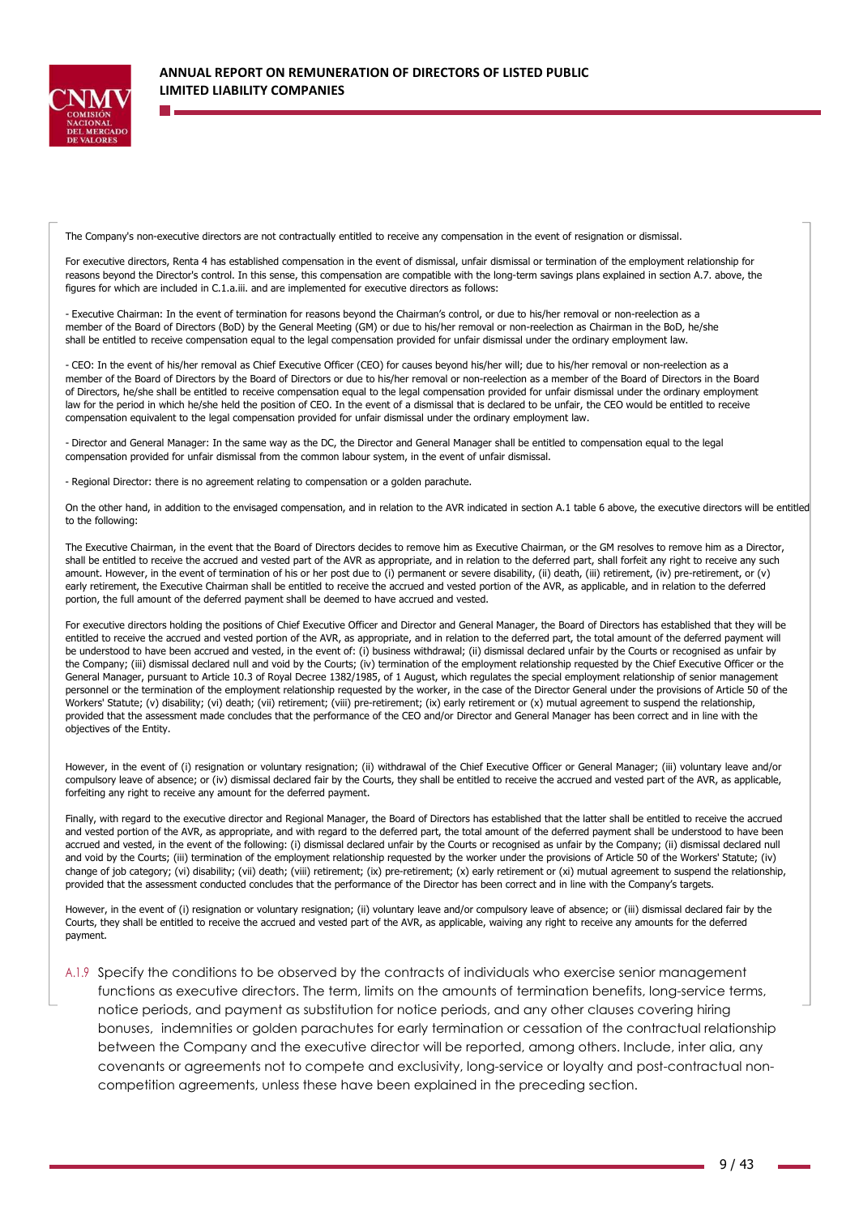

The Company's non-executive directors are not contractually entitled to receive any compensation in the event of resignation or dismissal.

For executive directors, Renta 4 has established compensation in the event of dismissal, unfair dismissal or termination of the employment relationship for reasons beyond the Director's control. In this sense, this compensation are compatible with the long-term savings plans explained in section A.7. above, the figures for which are included in C.1.a.iii. and are implemented for executive directors as follows:

- Executive Chairman: In the event of termination for reasons beyond the Chairman's control, or due to his/her removal or non-reelection as a member of the Board of Directors (BoD) by the General Meeting (GM) or due to his/her removal or non-reelection as Chairman in the BoD, he/she shall be entitled to receive compensation equal to the legal compensation provided for unfair dismissal under the ordinary employment law.

- CEO: In the event of his/her removal as Chief Executive Officer (CEO) for causes beyond his/her will; due to his/her removal or non-reelection as a member of the Board of Directors by the Board of Directors or due to his/her removal or non-reelection as a member of the Board of Directors in the Board of Directors, he/she shall be entitled to receive compensation equal to the legal compensation provided for unfair dismissal under the ordinary employment law for the period in which he/she held the position of CEO. In the event of a dismissal that is declared to be unfair, the CEO would be entitled to receive compensation equivalent to the legal compensation provided for unfair dismissal under the ordinary employment law.

- Director and General Manager: In the same way as the DC, the Director and General Manager shall be entitled to compensation equal to the legal compensation provided for unfair dismissal from the common labour system, in the event of unfair dismissal.

- Regional Director: there is no agreement relating to compensation or a golden parachute.

On the other hand, in addition to the envisaged compensation, and in relation to the AVR indicated in section A.1 table 6 above, the executive directors will be entitled to the following:

The Executive Chairman, in the event that the Board of Directors decides to remove him as Executive Chairman, or the GM resolves to remove him as a Director, shall be entitled to receive the accrued and vested part of the AVR as appropriate, and in relation to the deferred part, shall forfeit any right to receive any such amount. However, in the event of termination of his or her post due to (i) permanent or severe disability, (ii) death, (iii) retirement, (iv) pre-retirement, or (v) early retirement, the Executive Chairman shall be entitled to receive the accrued and vested portion of the AVR, as applicable, and in relation to the deferred portion, the full amount of the deferred payment shall be deemed to have accrued and vested.

For executive directors holding the positions of Chief Executive Officer and Director and General Manager, the Board of Directors has established that they will be entitled to receive the accrued and vested portion of the AVR, as appropriate, and in relation to the deferred part, the total amount of the deferred payment will be understood to have been accrued and vested, in the event of: (i) business withdrawal; (ii) dismissal declared unfair by the Courts or recognised as unfair by the Company; (iii) dismissal declared null and void by the Courts; (iv) termination of the employment relationship requested by the Chief Executive Officer or the General Manager, pursuant to Article 10.3 of Royal Decree 1382/1985, of 1 August, which regulates the special employment relationship of senior management personnel or the termination of the employment relationship requested by the worker, in the case of the Director General under the provisions of Article 50 of the Workers' Statute; (v) disability; (vi) death; (vii) retirement; (viii) pre-retirement; (ix) early retirement or (x) mutual agreement to suspend the relationship, provided that the assessment made concludes that the performance of the CEO and/or Director and General Manager has been correct and in line with the objectives of the Entity.

However, in the event of (i) resignation or voluntary resignation; (ii) withdrawal of the Chief Executive Officer or General Manager; (iii) voluntary leave and/or compulsory leave of absence; or (iv) dismissal declared fair by the Courts, they shall be entitled to receive the accrued and vested part of the AVR, as applicable, forfeiting any right to receive any amount for the deferred payment.

Finally, with regard to the executive director and Regional Manager, the Board of Directors has established that the latter shall be entitled to receive the accrued and vested portion of the AVR, as appropriate, and with regard to the deferred part, the total amount of the deferred payment shall be understood to have been accrued and vested, in the event of the following: (i) dismissal declared unfair by the Courts or recognised as unfair by the Company; (ii) dismissal declared null and void by the Courts; (iii) termination of the employment relationship requested by the worker under the provisions of Article 50 of the Workers' Statute; (iv) change of job category; (vi) disability; (vii) death; (viii) retirement; (ix) pre-retirement; (x) early retirement or (xi) mutual agreement to suspend the relationship, provided that the assessment conducted concludes that the performance of the Director has been correct and in line with the Company's targets.

However, in the event of (i) resignation or voluntary resignation; (ii) voluntary leave and/or compulsory leave of absence; or (iii) dismissal declared fair by the Courts, they shall be entitled to receive the accrued and vested part of the AVR, as applicable, waiving any right to receive any amounts for the deferred payment.

A.1.9 Specify the conditions to be observed by the contracts of individuals who exercise senior management functions as executive directors. The term, limits on the amounts of termination benefits, long-service terms, notice periods, and payment as substitution for notice periods, and any other clauses covering hiring bonuses, indemnities or golden parachutes for early termination or cessation of the contractual relationship between the Company and the executive director will be reported, among others. Include, inter alia, any covenants or agreements not to compete and exclusivity, long-service or loyalty and post-contractual noncompetition agreements, unless these have been explained in the preceding section.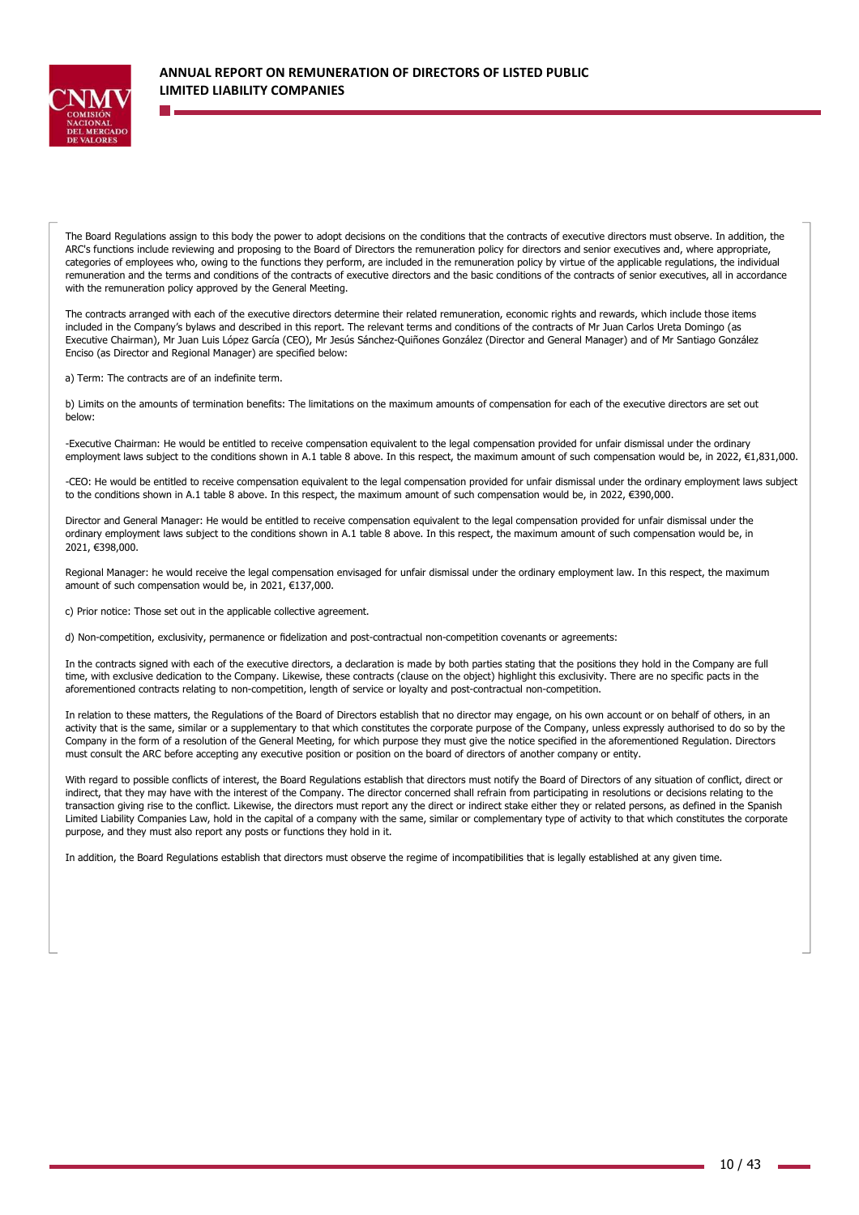

The Board Regulations assign to this body the power to adopt decisions on the conditions that the contracts of executive directors must observe. In addition, the ARC's functions include reviewing and proposing to the Board of Directors the remuneration policy for directors and senior executives and, where appropriate, categories of employees who, owing to the functions they perform, are included in the remuneration policy by virtue of the applicable regulations, the individual remuneration and the terms and conditions of the contracts of executive directors and the basic conditions of the contracts of senior executives, all in accordance with the remuneration policy approved by the General Meeting.

The contracts arranged with each of the executive directors determine their related remuneration, economic rights and rewards, which include those items included in the Company's bylaws and described in this report. The relevant terms and conditions of the contracts of Mr Juan Carlos Ureta Domingo (as Executive Chairman), Mr Juan Luis López García (CEO), Mr Jesús Sánchez-Quiñones González (Director and General Manager) and of Mr Santiago González Enciso (as Director and Regional Manager) are specified below:

a) Term: The contracts are of an indefinite term.

b) Limits on the amounts of termination benefits: The limitations on the maximum amounts of compensation for each of the executive directors are set out below:

-Executive Chairman: He would be entitled to receive compensation equivalent to the legal compensation provided for unfair dismissal under the ordinary employment laws subject to the conditions shown in A.1 table 8 above. In this respect, the maximum amount of such compensation would be, in 2022, €1,831,000.

-CEO: He would be entitled to receive compensation equivalent to the legal compensation provided for unfair dismissal under the ordinary employment laws subject to the conditions shown in A.1 table 8 above. In this respect, the maximum amount of such compensation would be, in 2022, €390,000.

Director and General Manager: He would be entitled to receive compensation equivalent to the legal compensation provided for unfair dismissal under the ordinary employment laws subject to the conditions shown in A.1 table 8 above. In this respect, the maximum amount of such compensation would be, in 2021, €398,000.

Regional Manager: he would receive the legal compensation envisaged for unfair dismissal under the ordinary employment law. In this respect, the maximum amount of such compensation would be, in 2021, €137,000.

c) Prior notice: Those set out in the applicable collective agreement.

d) Non-competition, exclusivity, permanence or fidelization and post-contractual non-competition covenants or agreements:

In the contracts signed with each of the executive directors, a declaration is made by both parties stating that the positions they hold in the Company are full time, with exclusive dedication to the Company. Likewise, these contracts (clause on the object) highlight this exclusivity. There are no specific pacts in the aforementioned contracts relating to non-competition, length of service or loyalty and post-contractual non-competition.

In relation to these matters, the Regulations of the Board of Directors establish that no director may engage, on his own account or on behalf of others, in an activity that is the same, similar or a supplementary to that which constitutes the corporate purpose of the Company, unless expressly authorised to do so by the Company in the form of a resolution of the General Meeting, for which purpose they must give the notice specified in the aforementioned Regulation. Directors must consult the ARC before accepting any executive position or position on the board of directors of another company or entity.

With regard to possible conflicts of interest, the Board Regulations establish that directors must notify the Board of Directors of any situation of conflict, direct or indirect, that they may have with the interest of the Company. The director concerned shall refrain from participating in resolutions or decisions relating to the transaction giving rise to the conflict. Likewise, the directors must report any the direct or indirect stake either they or related persons, as defined in the Spanish Limited Liability Companies Law, hold in the capital of a company with the same, similar or complementary type of activity to that which constitutes the corporate purpose, and they must also report any posts or functions they hold in it.

In addition, the Board Regulations establish that directors must observe the regime of incompatibilities that is legally established at any given time.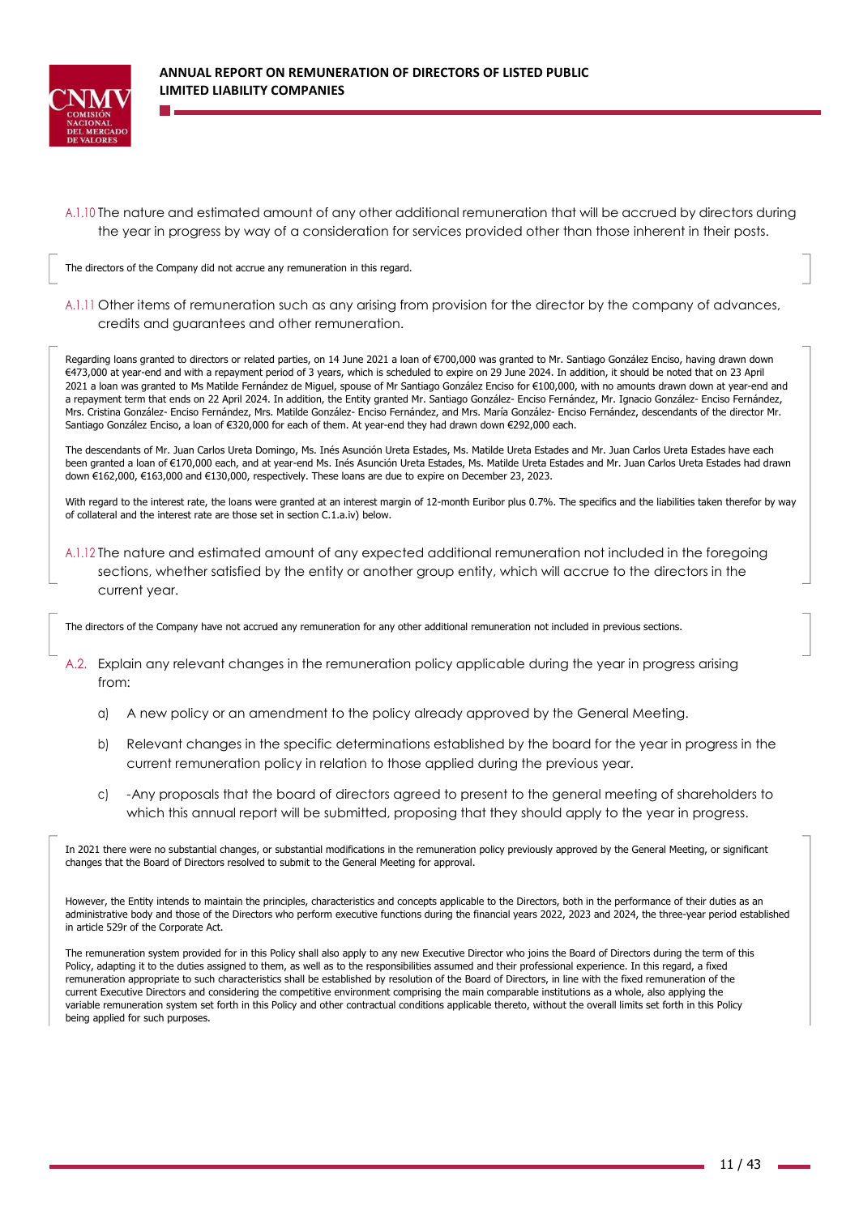

A.1.10 The nature and estimated amount of any other additional remuneration that will be accrued by directors during the year in progress by way of a consideration for services provided other than those inherent in their posts.

The directors of the Company did not accrue any remuneration in this regard.

A.1.11 Other items of remuneration such as any arising from provision for the director by the company of advances, credits and guarantees and other remuneration.

Regarding loans granted to directors or related parties, on 14 June 2021 a loan of €700,000 was granted to Mr. Santiago González Enciso, having drawn down €473,000 at year-end and with a repayment period of 3 years, which is scheduled to expire on 29 June 2024. In addition, it should be noted that on 23 April 2021 a loan was granted to Ms Matilde Fernández de Miguel, spouse of Mr Santiago González Enciso for €100,000, with no amounts drawn down at year-end and a repayment term that ends on 22 April 2024. In addition, the Entity granted Mr. Santiago González- Enciso Fernández, Mr. Ignacio González- Enciso Fernández, Mrs. Cristina González- Enciso Fernández, Mrs. Matilde González- Enciso Fernández, and Mrs. María González- Enciso Fernández, descendants of the director Mr. Santiago González Enciso, a loan of €320,000 for each of them. At year-end they had drawn down €292,000 each.

The descendants of Mr. Juan Carlos Ureta Domingo, Ms. Inés Asunción Ureta Estades, Ms. Matilde Ureta Estades and Mr. Juan Carlos Ureta Estades have each been granted a loan of €170,000 each, and at year-end Ms. Inés Asunción Ureta Estades, Ms. Matilde Ureta Estades and Mr. Juan Carlos Ureta Estades had drawn down €162,000, €163,000 and €130,000, respectively. These loans are due to expire on December 23, 2023.

With regard to the interest rate, the loans were granted at an interest margin of 12-month Euribor plus 0.7%. The specifics and the liabilities taken therefor by way of collateral and the interest rate are those set in section C.1.a.iv) below.

A.1.12 The nature and estimated amount of any expected additional remuneration not included in the foregoing sections, whether satisfied by the entity or another group entity, which will accrue to the directors in the current year.

The directors of the Company have not accrued any remuneration for any other additional remuneration not included in previous sections.

- A.2. Explain any relevant changes in the remuneration policy applicable during the year in progress arising from:
	- a) A new policy or an amendment to the policy already approved by the General Meeting.
	- b) Relevant changes in the specific determinations established by the board for the year in progress in the current remuneration policy in relation to those applied during the previous year.
	- c) -Any proposals that the board of directors agreed to present to the general meeting of shareholders to which this annual report will be submitted, proposing that they should apply to the year in progress.

In 2021 there were no substantial changes, or substantial modifications in the remuneration policy previously approved by the General Meeting, or significant changes that the Board of Directors resolved to submit to the General Meeting for approval.

However, the Entity intends to maintain the principles, characteristics and concepts applicable to the Directors, both in the performance of their duties as an administrative body and those of the Directors who perform executive functions during the financial years 2022, 2023 and 2024, the three-year period established in article 529r of the Corporate Act.

The remuneration system provided for in this Policy shall also apply to any new Executive Director who joins the Board of Directors during the term of this Policy, adapting it to the duties assigned to them, as well as to the responsibilities assumed and their professional experience. In this regard, a fixed remuneration appropriate to such characteristics shall be established by resolution of the Board of Directors, in line with the fixed remuneration of the current Executive Directors and considering the competitive environment comprising the main comparable institutions as a whole, also applying the variable remuneration system set forth in this Policy and other contractual conditions applicable thereto, without the overall limits set forth in this Policy being applied for such purposes.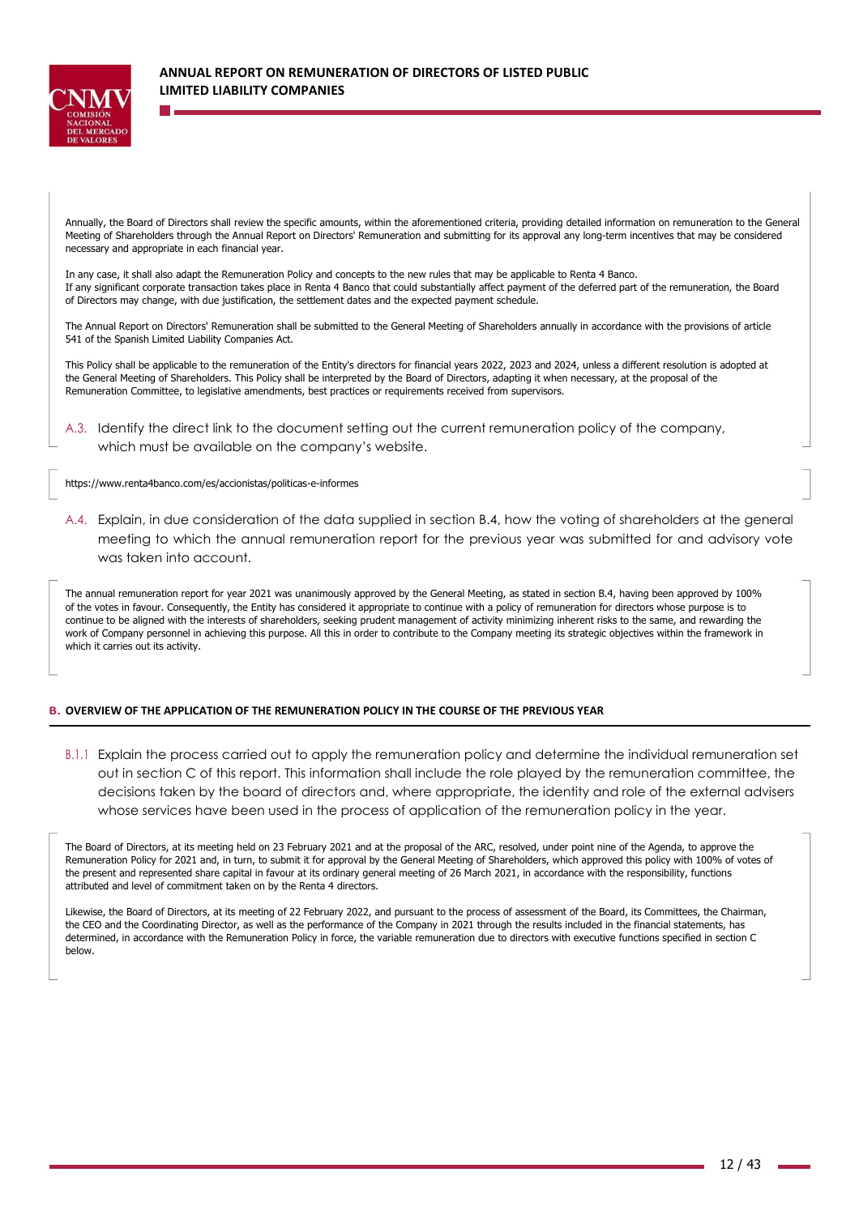

Annually, the Board of Directors shall review the specific amounts, within the aforementioned criteria, providing detailed information on remuneration to the General Meeting of Shareholders through the Annual Report on Directors' Remuneration and submitting for its approval any long-term incentives that may be considered necessary and appropriate in each financial year.

In any case, it shall also adapt the Remuneration Policy and concepts to the new rules that may be applicable to Renta 4 Banco. If any significant corporate transaction takes place in Renta 4 Banco that could substantially affect payment of the deferred part of the remuneration, the Board of Directors may change, with due justification, the settlement dates and the expected payment schedule.

The Annual Report on Directors' Remuneration shall be submitted to the General Meeting of Shareholders annually in accordance with the provisions of article 541 of the Spanish Limited Liability Companies Act.

This Policy shall be applicable to the remuneration of the Entity's directors for financial years 2022, 2023 and 2024, unless a different resolution is adopted at the General Meeting of Shareholders. This Policy shall be interpreted by the Board of Directors, adapting it when necessary, at the proposal of the Remuneration Committee, to legislative amendments, best practices or requirements received from supervisors.

A.3. Identify the direct link to the document setting out the current remuneration policy of the company, which must be available on the company's website.

https://www.renta4banco.com/es/accionistas/politicas-e-informes

A.4. Explain, in due consideration of the data supplied in section B.4, how the voting of shareholders at the general meeting to which the annual remuneration report for the previous year was submitted for and advisory vote was taken into account.

The annual remuneration report for year 2021 was unanimously approved by the General Meeting, as stated in section B.4, having been approved by 100% of the votes in favour. Consequently, the Entity has considered it appropriate to continue with a policy of remuneration for directors whose purpose is to continue to be aligned with the interests of shareholders, seeking prudent management of activity minimizing inherent risks to the same, and rewarding the work of Company personnel in achieving this purpose. All this in order to contribute to the Company meeting its strategic objectives within the framework in which it carries out its activity.

### **B. OVERVIEW OF THE APPLICATION OF THE REMUNERATION POLICY IN THE COURSE OF THE PREVIOUS YEAR**

B.1.1 Explain the process carried out to apply the remuneration policy and determine the individual remuneration set out in section C of this report. This information shall include the role played by the remuneration committee, the decisions taken by the board of directors and, where appropriate, the identity and role of the external advisers whose services have been used in the process of application of the remuneration policy in the year.

The Board of Directors, at its meeting held on 23 February 2021 and at the proposal of the ARC, resolved, under point nine of the Agenda, to approve the Remuneration Policy for 2021 and, in turn, to submit it for approval by the General Meeting of Shareholders, which approved this policy with 100% of votes of the present and represented share capital in favour at its ordinary general meeting of 26 March 2021, in accordance with the responsibility, functions attributed and level of commitment taken on by the Renta 4 directors.

Likewise, the Board of Directors, at its meeting of 22 February 2022, and pursuant to the process of assessment of the Board, its Committees, the Chairman, the CEO and the Coordinating Director, as well as the performance of the Company in 2021 through the results included in the financial statements, has determined, in accordance with the Remuneration Policy in force, the variable remuneration due to directors with executive functions specified in section C below.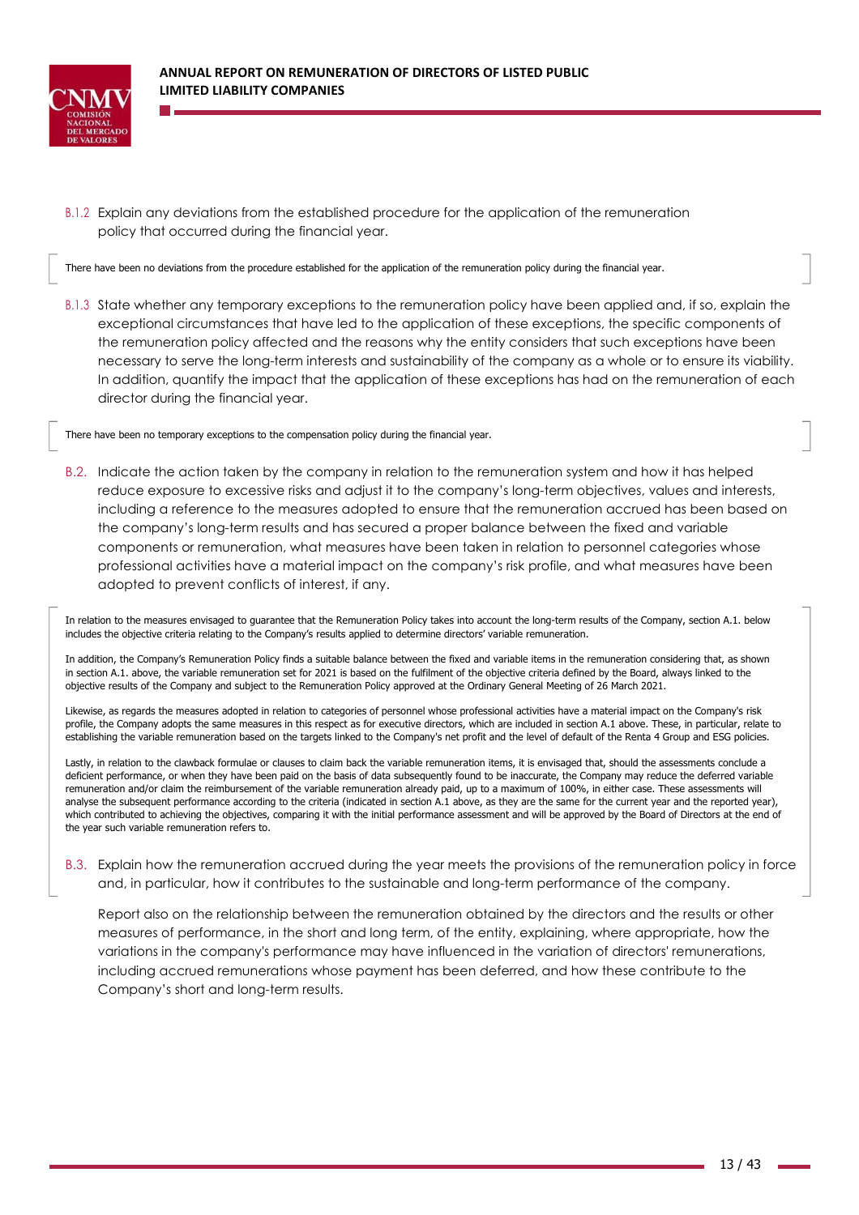

B.1.2 Explain any deviations from the established procedure for the application of the remuneration policy that occurred during the financial year.

There have been no deviations from the procedure established for the application of the remuneration policy during the financial year.

B.1.3 State whether any temporary exceptions to the remuneration policy have been applied and, if so, explain the exceptional circumstances that have led to the application of these exceptions, the specific components of the remuneration policy affected and the reasons why the entity considers that such exceptions have been necessary to serve the long-term interests and sustainability of the company as a whole or to ensure its viability. In addition, quantify the impact that the application of these exceptions has had on the remuneration of each director during the financial year.

There have been no temporary exceptions to the compensation policy during the financial year.

B.2. Indicate the action taken by the company in relation to the remuneration system and how it has helped reduce exposure to excessive risks and adjust it to the company's long-term objectives, values and interests, including a reference to the measures adopted to ensure that the remuneration accrued has been based on the company's long-term results and has secured a proper balance between the fixed and variable components or remuneration, what measures have been taken in relation to personnel categories whose professional activities have a material impact on the company's risk profile, and what measures have been adopted to prevent conflicts of interest, if any.

In relation to the measures envisaged to guarantee that the Remuneration Policy takes into account the long-term results of the Company, section A.1. below includes the objective criteria relating to the Company's results applied to determine directors' variable remuneration.

In addition, the Company's Remuneration Policy finds a suitable balance between the fixed and variable items in the remuneration considering that, as shown in section A.1. above, the variable remuneration set for 2021 is based on the fulfilment of the objective criteria defined by the Board, always linked to the objective results of the Company and subject to the Remuneration Policy approved at the Ordinary General Meeting of 26 March 2021.

Likewise, as regards the measures adopted in relation to categories of personnel whose professional activities have a material impact on the Company's risk profile, the Company adopts the same measures in this respect as for executive directors, which are included in section A.1 above. These, in particular, relate to establishing the variable remuneration based on the targets linked to the Company's net profit and the level of default of the Renta 4 Group and ESG policies.

Lastly, in relation to the clawback formulae or clauses to claim back the variable remuneration items, it is envisaged that, should the assessments conclude a deficient performance, or when they have been paid on the basis of data subsequently found to be inaccurate, the Company may reduce the deferred variable remuneration and/or claim the reimbursement of the variable remuneration already paid, up to a maximum of 100%, in either case. These assessments will analyse the subsequent performance according to the criteria (indicated in section A.1 above, as they are the same for the current year and the reported year), which contributed to achieving the objectives, comparing it with the initial performance assessment and will be approved by the Board of Directors at the end of the year such variable remuneration refers to.

B.3. Explain how the remuneration accrued during the year meets the provisions of the remuneration policy in force and, in particular, how it contributes to the sustainable and long-term performance of the company.

Report also on the relationship between the remuneration obtained by the directors and the results or other measures of performance, in the short and long term, of the entity, explaining, where appropriate, how the variations in the company's performance may have influenced in the variation of directors' remunerations, including accrued remunerations whose payment has been deferred, and how these contribute to the Company's short and long-term results.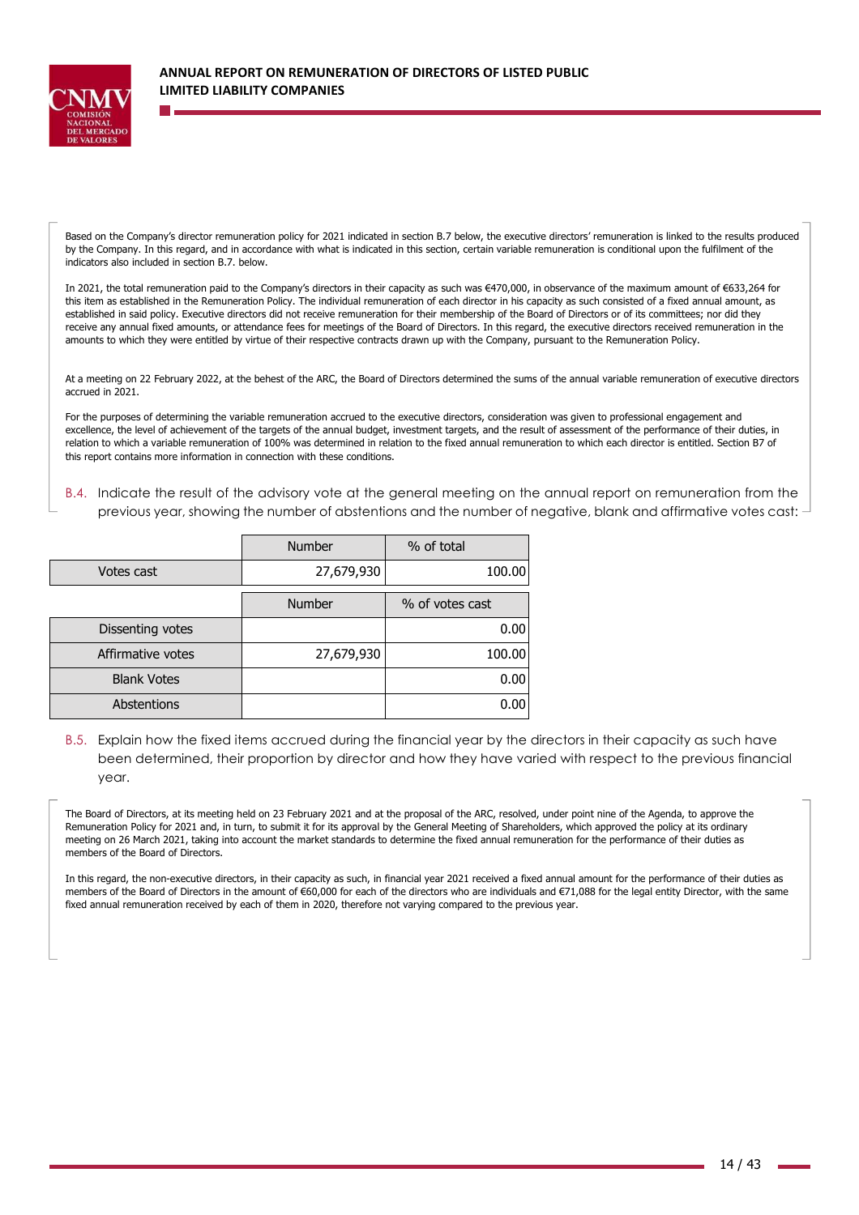

Based on the Company's director remuneration policy for 2021 indicated in section B.7 below, the executive directors' remuneration is linked to the results produced by the Company. In this regard, and in accordance with what is indicated in this section, certain variable remuneration is conditional upon the fulfilment of the indicators also included in section B.7. below.

In 2021, the total remuneration paid to the Company's directors in their capacity as such was €470,000, in observance of the maximum amount of €633,264 for this item as established in the Remuneration Policy. The individual remuneration of each director in his capacity as such consisted of a fixed annual amount, as established in said policy. Executive directors did not receive remuneration for their membership of the Board of Directors or of its committees; nor did they receive any annual fixed amounts, or attendance fees for meetings of the Board of Directors. In this regard, the executive directors received remuneration in the amounts to which they were entitled by virtue of their respective contracts drawn up with the Company, pursuant to the Remuneration Policy.

At a meeting on 22 February 2022, at the behest of the ARC, the Board of Directors determined the sums of the annual variable remuneration of executive directors accrued in 2021.

For the purposes of determining the variable remuneration accrued to the executive directors, consideration was given to professional engagement and excellence, the level of achievement of the targets of the annual budget, investment targets, and the result of assessment of the performance of their duties, in relation to which a variable remuneration of 100% was determined in relation to the fixed annual remuneration to which each director is entitled. Section B7 of this report contains more information in connection with these conditions.

B.4. Indicate the result of the advisory vote at the general meeting on the annual report on remuneration from the previous year, showing the number of abstentions and the number of negative, blank and affirmative votes cast:

|                    | <b>Number</b> | % of total      |
|--------------------|---------------|-----------------|
| Votes cast         | 27,679,930    | 100.00          |
|                    | <b>Number</b> | % of votes cast |
| Dissenting votes   |               | 0.00            |
| Affirmative votes  | 27,679,930    | 100.00          |
| <b>Blank Votes</b> |               | 0.00            |
| Abstentions        |               | 0.00            |

B.5. Explain how the fixed items accrued during the financial year by the directors in their capacity as such have been determined, their proportion by director and how they have varied with respect to the previous financial year.

The Board of Directors, at its meeting held on 23 February 2021 and at the proposal of the ARC, resolved, under point nine of the Agenda, to approve the Remuneration Policy for 2021 and, in turn, to submit it for its approval by the General Meeting of Shareholders, which approved the policy at its ordinary meeting on 26 March 2021, taking into account the market standards to determine the fixed annual remuneration for the performance of their duties as members of the Board of Directors.

In this regard, the non-executive directors, in their capacity as such, in financial year 2021 received a fixed annual amount for the performance of their duties as members of the Board of Directors in the amount of €60,000 for each of the directors who are individuals and €71,088 for the legal entity Director, with the same fixed annual remuneration received by each of them in 2020, therefore not varying compared to the previous year.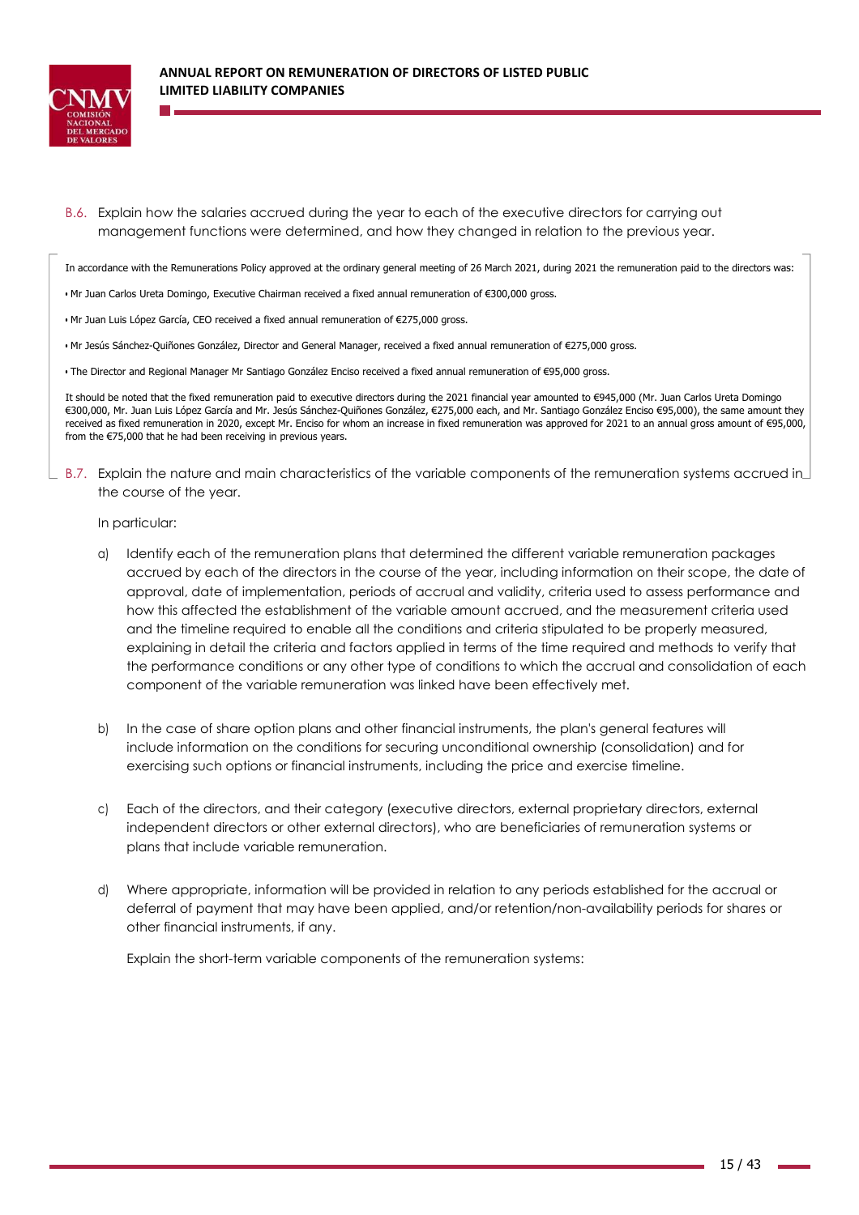

B.6. Explain how the salaries accrued during the year to each of the executive directors for carrying out management functions were determined, and how they changed in relation to the previous year.

In accordance with the Remunerations Policy approved at the ordinary general meeting of 26 March 2021, during 2021 the remuneration paid to the directors was:

- Mr Juan Carlos Ureta Domingo, Executive Chairman received a fixed annual remuneration of €300,000 gross.
- Mr Juan Luis López García, CEO received a fixed annual remuneration of €275,000 gross.
- Mr Jesús Sánchez-Quiñones González, Director and General Manager, received a fixed annual remuneration of €275,000 gross.
- The Director and Regional Manager Mr Santiago González Enciso received a fixed annual remuneration of €95,000 gross.

It should be noted that the fixed remuneration paid to executive directors during the 2021 financial year amounted to €945,000 (Mr. Juan Carlos Ureta Domingo €300,000, Mr. Juan Luis López García and Mr. Jesús Sánchez-Quiñones González, €275,000 each, and Mr. Santiago González Enciso €95,000), the same amount they received as fixed remuneration in 2020, except Mr. Enciso for whom an increase in fixed remuneration was approved for 2021 to an annual gross amount of €95,000, from the €75,000 that he had been receiving in previous years.

B.7. Explain the nature and main characteristics of the variable components of the remuneration systems accrued in the course of the year.

In particular:

- a) Identify each of the remuneration plans that determined the different variable remuneration packages accrued by each of the directors in the course of the year, including information on their scope, the date of approval, date of implementation, periods of accrual and validity, criteria used to assess performance and how this affected the establishment of the variable amount accrued, and the measurement criteria used and the timeline required to enable all the conditions and criteria stipulated to be properly measured, explaining in detail the criteria and factors applied in terms of the time required and methods to verify that the performance conditions or any other type of conditions to which the accrual and consolidation of each component of the variable remuneration was linked have been effectively met.
- b) In the case of share option plans and other financial instruments, the plan's general features will include information on the conditions for securing unconditional ownership (consolidation) and for exercising such options or financial instruments, including the price and exercise timeline.
- c) Each of the directors, and their category (executive directors, external proprietary directors, external independent directors or other external directors), who are beneficiaries of remuneration systems or plans that include variable remuneration.
- d) Where appropriate, information will be provided in relation to any periods established for the accrual or deferral of payment that may have been applied, and/or retention/non-availability periods for shares or other financial instruments, if any.

Explain the short-term variable components of the remuneration systems: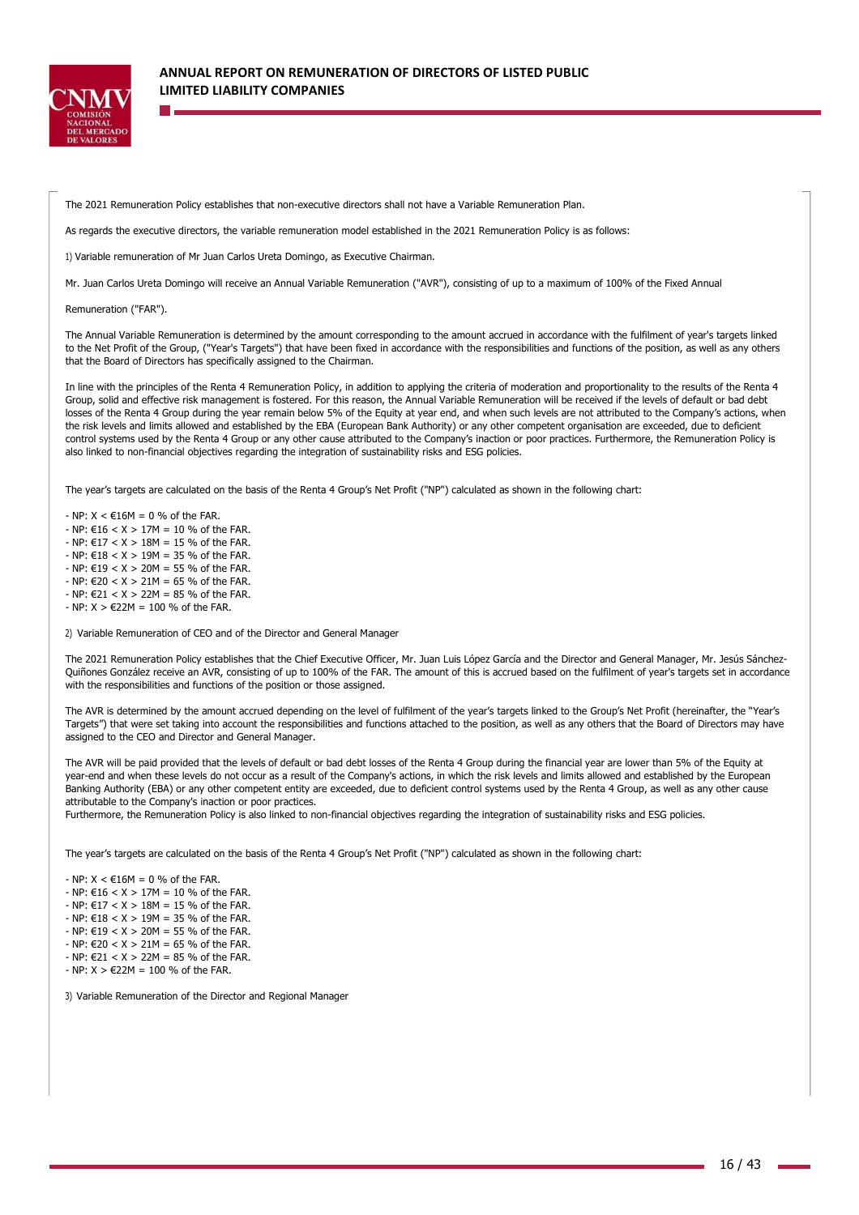

The 2021 Remuneration Policy establishes that non-executive directors shall not have a Variable Remuneration Plan.

As regards the executive directors, the variable remuneration model established in the 2021 Remuneration Policy is as follows:

1) Variable remuneration of Mr Juan Carlos Ureta Domingo, as Executive Chairman.

Mr. Juan Carlos Ureta Domingo will receive an Annual Variable Remuneration ("AVR"), consisting of up to a maximum of 100% of the Fixed Annual

Remuneration ("FAR").

The Annual Variable Remuneration is determined by the amount corresponding to the amount accrued in accordance with the fulfilment of year's targets linked to the Net Profit of the Group, ("Year's Targets") that have been fixed in accordance with the responsibilities and functions of the position, as well as any others that the Board of Directors has specifically assigned to the Chairman.

In line with the principles of the Renta 4 Remuneration Policy, in addition to applying the criteria of moderation and proportionality to the results of the Renta 4 Group, solid and effective risk management is fostered. For this reason, the Annual Variable Remuneration will be received if the levels of default or bad debt losses of the Renta 4 Group during the year remain below 5% of the Equity at year end, and when such levels are not attributed to the Company's actions, when the risk levels and limits allowed and established by the EBA (European Bank Authority) or any other competent organisation are exceeded, due to deficient control systems used by the Renta 4 Group or any other cause attributed to the Company's inaction or poor practices. Furthermore, the Remuneration Policy is also linked to non-financial objectives regarding the integration of sustainability risks and ESG policies.

The year's targets are calculated on the basis of the Renta 4 Group's Net Profit ("NP") calculated as shown in the following chart:

 $-NP: X \leq \text{\textsterling}16M = 0$  % of the FAR.  $-$  NP: €16 < X > 17M = 10 % of the FAR.  $-$  NP: €17 < X > 18M = 15 % of the FAR.  $-$  NP: €18 < X > 19M = 35 % of the FAR.  $-$  NP:  $f(19) < X > 20M = 55$  % of the FAR.  $-$  NP: €20 < X > 21M = 65 % of the FAR.

- $-$  NP: €21 < X > 22M = 85 % of the FAR.
- NP: X > €22M = 100 % of the FAR.

2) Variable Remuneration of CEO and of the Director and General Manager

The 2021 Remuneration Policy establishes that the Chief Executive Officer, Mr. Juan Luis López García and the Director and General Manager, Mr. Jesús Sánchez-Quiñones González receive an AVR, consisting of up to 100% of the FAR. The amount of this is accrued based on the fulfilment of year's targets set in accordance with the responsibilities and functions of the position or those assigned.

The AVR is determined by the amount accrued depending on the level of fulfilment of the year's targets linked to the Group's Net Profit (hereinafter, the "Year's Targets") that were set taking into account the responsibilities and functions attached to the position, as well as any others that the Board of Directors may have assigned to the CEO and Director and General Manager.

The AVR will be paid provided that the levels of default or bad debt losses of the Renta 4 Group during the financial year are lower than 5% of the Equity at year-end and when these levels do not occur as a result of the Company's actions, in which the risk levels and limits allowed and established by the European Banking Authority (EBA) or any other competent entity are exceeded, due to deficient control systems used by the Renta 4 Group, as well as any other cause attributable to the Company's inaction or poor practices.

Furthermore, the Remuneration Policy is also linked to non-financial objectives regarding the integration of sustainability risks and ESG policies.

The year's targets are calculated on the basis of the Renta 4 Group's Net Profit ("NP") calculated as shown in the following chart:

- $-$  NP:  $X < \epsilon$ 16M = 0 % of the FAR.
- $-$  NP: €16 < X > 17M = 10 % of the FAR.
- NP:  $617 < X > 18M = 15 \%$  of the FAR.
- $-$  NP: €18 < X > 19M = 35 % of the FAR.
- $-$  NP: €19 < X > 20M = 55 % of the FAR.  $-$  NP: €20 < X > 21M = 65 % of the FAR.
- $-$  NP: €21 < X > 22M = 85 % of the FAR.
- $-$  NP: X > €22M = 100 % of the FAR.

3) Variable Remuneration of the Director and Regional Manager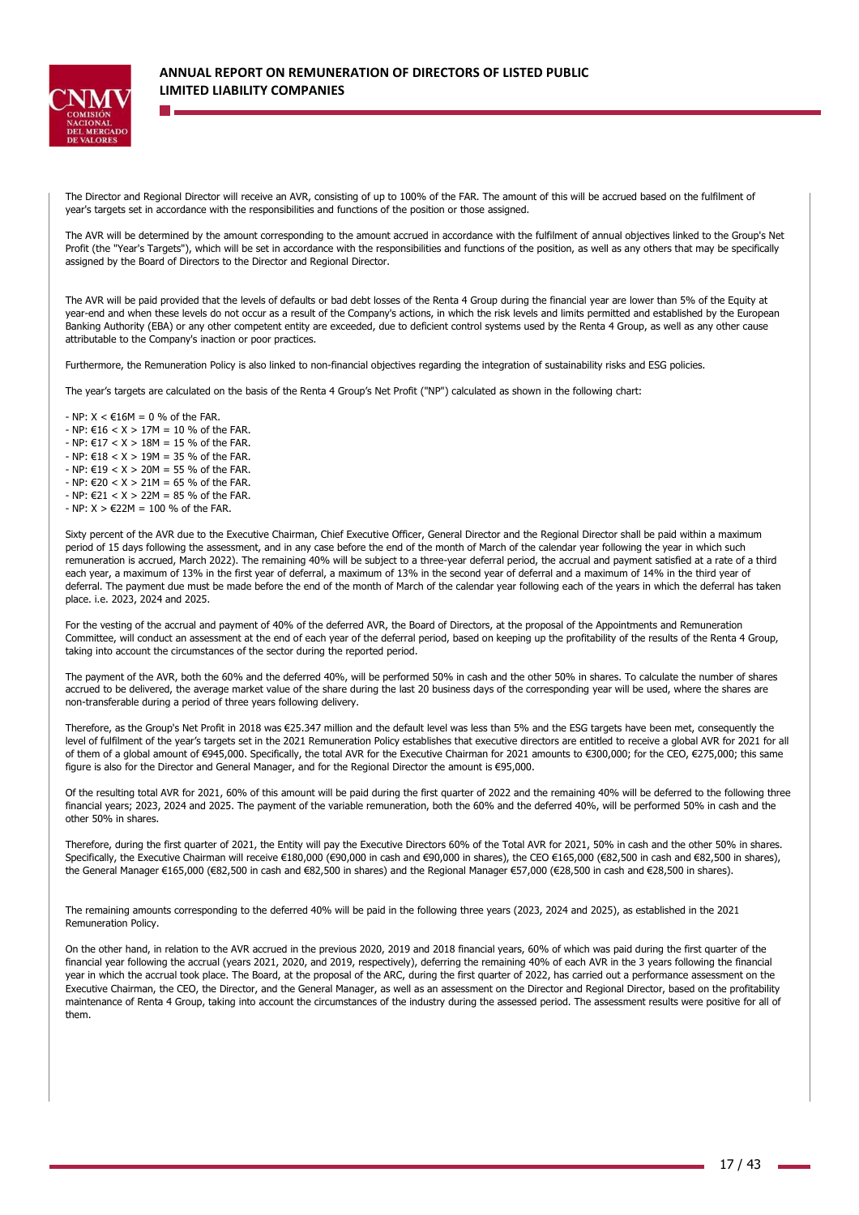

The Director and Regional Director will receive an AVR, consisting of up to 100% of the FAR. The amount of this will be accrued based on the fulfilment of year's targets set in accordance with the responsibilities and functions of the position or those assigned.

The AVR will be determined by the amount corresponding to the amount accrued in accordance with the fulfilment of annual objectives linked to the Group's Net Profit (the "Year's Targets"), which will be set in accordance with the responsibilities and functions of the position, as well as any others that may be specifically assigned by the Board of Directors to the Director and Regional Director.

The AVR will be paid provided that the levels of defaults or bad debt losses of the Renta 4 Group during the financial year are lower than 5% of the Equity at year-end and when these levels do not occur as a result of the Company's actions, in which the risk levels and limits permitted and established by the European Banking Authority (EBA) or any other competent entity are exceeded, due to deficient control systems used by the Renta 4 Group, as well as any other cause attributable to the Company's inaction or poor practices.

Furthermore, the Remuneration Policy is also linked to non-financial objectives regarding the integration of sustainability risks and ESG policies.

The year's targets are calculated on the basis of the Renta 4 Group's Net Profit ("NP") calculated as shown in the following chart:

- $-$  NP:  $X < \text{\textsterling}16M = 0$  % of the FAR.
- $-$  NP: €16 < X > 17M = 10 % of the FAR.
- $-$  NP:  $f17 < X > 18M = 15$  % of the FAR
- $-$  NP: €18 < X > 19M = 35 % of the FAR.
- $-$  NP: €19 < X > 20M = 55 % of the FAR.
- $NP: 620 < X > 21M = 65 \%$  of the FAR.  $-$  NP: €21 < X > 22M = 85 % of the FAR.
- $-$  NP:  $X > 622M = 100$  % of the FAR.
- 

Sixty percent of the AVR due to the Executive Chairman, Chief Executive Officer, General Director and the Regional Director shall be paid within a maximum period of 15 days following the assessment, and in any case before the end of the month of March of the calendar year following the year in which such remuneration is accrued, March 2022). The remaining 40% will be subject to a three-year deferral period, the accrual and payment satisfied at a rate of a third each year, a maximum of 13% in the first year of deferral, a maximum of 13% in the second year of deferral and a maximum of 14% in the third year of deferral. The payment due must be made before the end of the month of March of the calendar year following each of the years in which the deferral has taken place. i.e. 2023, 2024 and 2025.

For the vesting of the accrual and payment of 40% of the deferred AVR, the Board of Directors, at the proposal of the Appointments and Remuneration Committee, will conduct an assessment at the end of each year of the deferral period, based on keeping up the profitability of the results of the Renta 4 Group, taking into account the circumstances of the sector during the reported period.

The payment of the AVR, both the 60% and the deferred 40%, will be performed 50% in cash and the other 50% in shares. To calculate the number of shares accrued to be delivered, the average market value of the share during the last 20 business days of the corresponding year will be used, where the shares are non-transferable during a period of three years following delivery.

Therefore, as the Group's Net Profit in 2018 was €25.347 million and the default level was less than 5% and the ESG targets have been met, consequently the level of fulfilment of the year's targets set in the 2021 Remuneration Policy establishes that executive directors are entitled to receive a global AVR for 2021 for all of them of a global amount of €945,000. Specifically, the total AVR for the Executive Chairman for 2021 amounts to €300,000; for the CEO, €275,000; this same figure is also for the Director and General Manager, and for the Regional Director the amount is €95,000.

Of the resulting total AVR for 2021, 60% of this amount will be paid during the first quarter of 2022 and the remaining 40% will be deferred to the following three financial years; 2023, 2024 and 2025. The payment of the variable remuneration, both the 60% and the deferred 40%, will be performed 50% in cash and the other 50% in shares.

Therefore, during the first quarter of 2021, the Entity will pay the Executive Directors 60% of the Total AVR for 2021, 50% in cash and the other 50% in shares. Specifically, the Executive Chairman will receive €180,000 (€90,000 in cash and €90,000 in shares), the CEO €165,000 (€82,500 in cash and €82,500 in shares), the General Manager €165,000 (€82,500 in cash and €82,500 in shares) and the Regional Manager €57,000 (€28,500 in cash and €28,500 in shares).

The remaining amounts corresponding to the deferred 40% will be paid in the following three years (2023, 2024 and 2025), as established in the 2021 Remuneration Policy.

On the other hand, in relation to the AVR accrued in the previous 2020, 2019 and 2018 financial years, 60% of which was paid during the first quarter of the financial year following the accrual (years 2021, 2020, and 2019, respectively), deferring the remaining 40% of each AVR in the 3 years following the financial year in which the accrual took place. The Board, at the proposal of the ARC, during the first quarter of 2022, has carried out a performance assessment on the Executive Chairman, the CEO, the Director, and the General Manager, as well as an assessment on the Director and Regional Director, based on the profitability maintenance of Renta 4 Group, taking into account the circumstances of the industry during the assessed period. The assessment results were positive for all of them.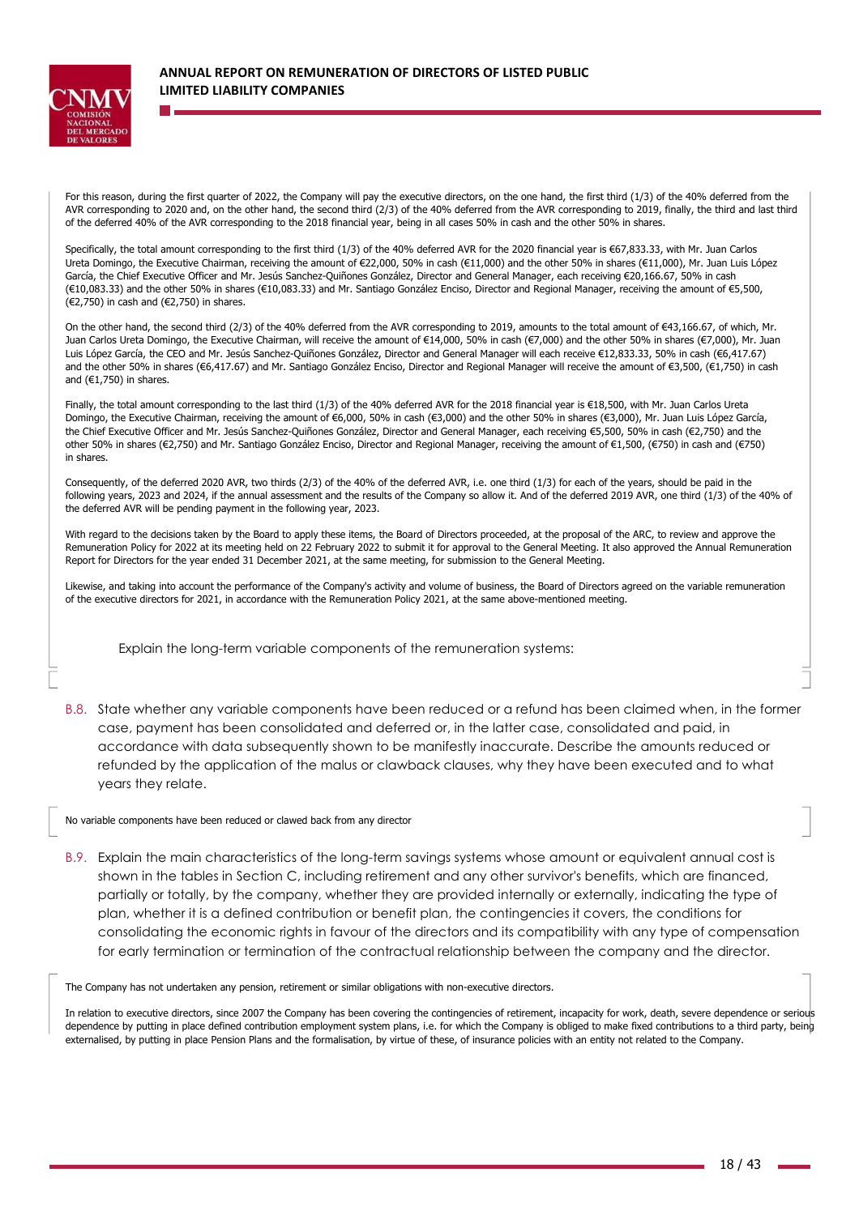

For this reason, during the first quarter of 2022, the Company will pay the executive directors, on the one hand, the first third (1/3) of the 40% deferred from the AVR corresponding to 2020 and, on the other hand, the second third (2/3) of the 40% deferred from the AVR corresponding to 2019, finally, the third and last third of the deferred 40% of the AVR corresponding to the 2018 financial year, being in all cases 50% in cash and the other 50% in shares.

Specifically, the total amount corresponding to the first third (1/3) of the 40% deferred AVR for the 2020 financial year is €67,833.33, with Mr. Juan Carlos Ureta Domingo, the Executive Chairman, receiving the amount of €22,000, 50% in cash (€11,000) and the other 50% in shares (€11,000), Mr. Juan Luis López García, the Chief Executive Officer and Mr. Jesús Sanchez-Quiñones González, Director and General Manager, each receiving €20,166.67, 50% in cash (€10,083.33) and the other 50% in shares (€10,083.33) and Mr. Santiago González Enciso, Director and Regional Manager, receiving the amount of €5,500, (€2,750) in cash and (€2,750) in shares.

On the other hand, the second third (2/3) of the 40% deferred from the AVR corresponding to 2019, amounts to the total amount of €43,166.67, of which, Mr. Juan Carlos Ureta Domingo, the Executive Chairman, will receive the amount of €14,000, 50% in cash (€7,000) and the other 50% in shares (€7,000), Mr. Juan Luis López García, the CEO and Mr. Jesús Sanchez-Quiñones González, Director and General Manager will each receive €12,833.33, 50% in cash (€6,417.67) and the other 50% in shares (€6,417.67) and Mr. Santiago González Enciso, Director and Regional Manager will receive the amount of €3,500, (€1,750) in cash and  $(€1,750)$  in shares.

Finally, the total amount corresponding to the last third (1/3) of the 40% deferred AVR for the 2018 financial year is €18,500, with Mr. Juan Carlos Ureta Domingo, the Executive Chairman, receiving the amount of €6,000, 50% in cash (€3,000) and the other 50% in shares (€3,000), Mr. Juan Luis López García, the Chief Executive Officer and Mr. Jesús Sanchez-Quiñones González, Director and General Manager, each receiving €5,500, 50% in cash (€2,750) and the other 50% in shares (€2,750) and Mr. Santiago González Enciso, Director and Regional Manager, receiving the amount of €1,500, (€750) in cash and (€750) in shares.

Consequently, of the deferred 2020 AVR, two thirds (2/3) of the 40% of the deferred AVR, i.e. one third (1/3) for each of the years, should be paid in the following years, 2023 and 2024, if the annual assessment and the results of the Company so allow it. And of the deferred 2019 AVR, one third (1/3) of the 40% of the deferred AVR will be pending payment in the following year, 2023.

With regard to the decisions taken by the Board to apply these items, the Board of Directors proceeded, at the proposal of the ARC, to review and approve the Remuneration Policy for 2022 at its meeting held on 22 February 2022 to submit it for approval to the General Meeting. It also approved the Annual Remuneration Report for Directors for the year ended 31 December 2021, at the same meeting, for submission to the General Meeting.

Likewise, and taking into account the performance of the Company's activity and volume of business, the Board of Directors agreed on the variable remuneration of the executive directors for 2021, in accordance with the Remuneration Policy 2021, at the same above-mentioned meeting.

Explain the long-term variable components of the remuneration systems:

B.8. State whether any variable components have been reduced or a refund has been claimed when, in the former case, payment has been consolidated and deferred or, in the latter case, consolidated and paid, in accordance with data subsequently shown to be manifestly inaccurate. Describe the amounts reduced or refunded by the application of the malus or clawback clauses, why they have been executed and to what years they relate.

No variable components have been reduced or clawed back from any director

B.9. Explain the main characteristics of the long-term savings systems whose amount or equivalent annual cost is shown in the tables in Section C, including retirement and any other survivor's benefits, which are financed, partially or totally, by the company, whether they are provided internally or externally, indicating the type of plan, whether it is a defined contribution or benefit plan, the contingencies it covers, the conditions for consolidating the economic rights in favour of the directors and its compatibility with any type of compensation for early termination or termination of the contractual relationship between the company and the director.

The Company has not undertaken any pension, retirement or similar obligations with non-executive directors.

In relation to executive directors, since 2007 the Company has been covering the contingencies of retirement, incapacity for work, death, severe dependence or serious dependence by putting in place defined contribution employment system plans, i.e. for which the Company is obliged to make fixed contributions to a third party, being externalised, by putting in place Pension Plans and the formalisation, by virtue of these, of insurance policies with an entity not related to the Company.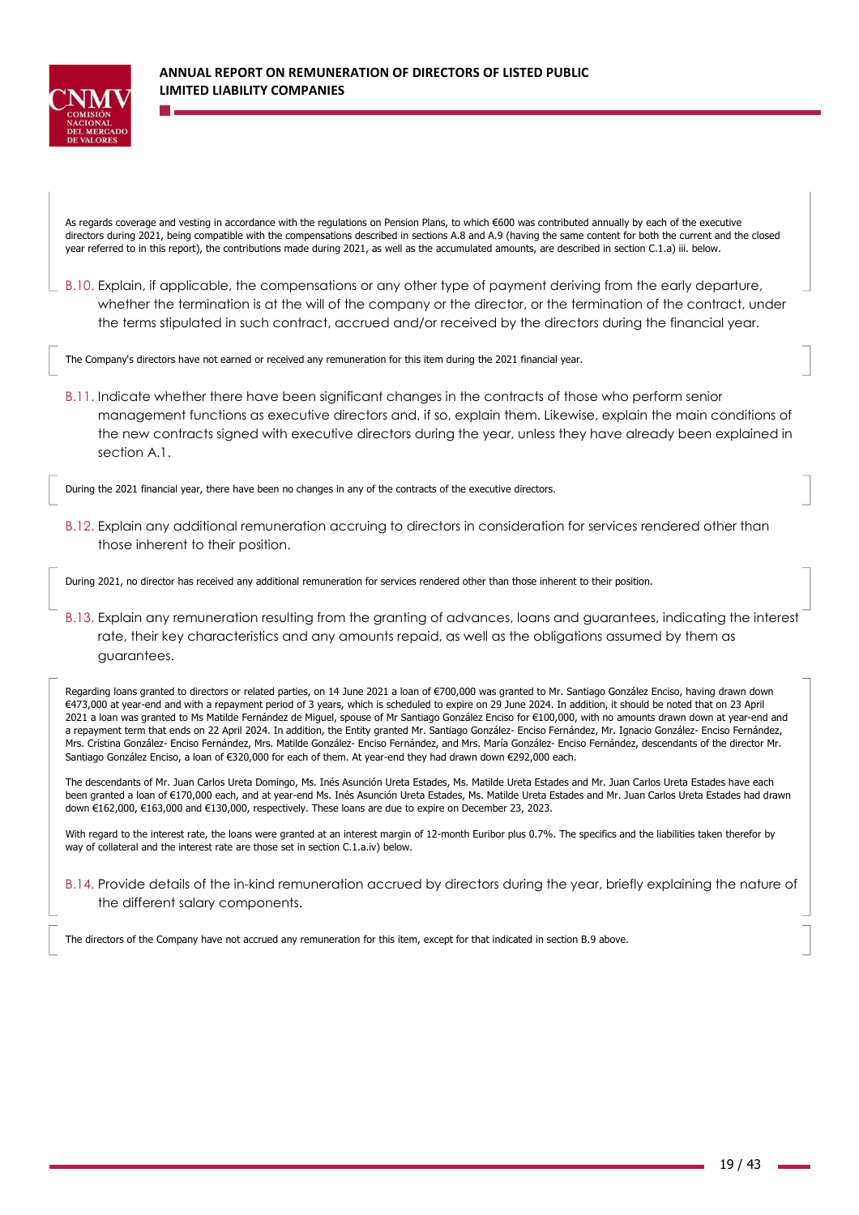

As regards coverage and vesting in accordance with the regulations on Pension Plans, to which €600 was contributed annually by each of the executive directors during 2021, being compatible with the compensations described in sections A.8 and A.9 (having the same content for both the current and the closed year referred to in this report), the contributions made during 2021, as well as the accumulated amounts, are described in section C.1.a) iii. below.

B.10. Explain, if applicable, the compensations or any other type of payment deriving from the early departure, whether the termination is at the will of the company or the director, or the termination of the contract, under the terms stipulated in such contract, accrued and/or received by the directors during the financial year.

The Company's directors have not earned or received any remuneration for this item during the 2021 financial year.

B.11. Indicate whether there have been significant changes in the contracts of those who perform senior management functions as executive directors and, if so, explain them. Likewise, explain the main conditions of the new contracts signed with executive directors during the year, unless they have already been explained in section A.1.

During the 2021 financial year, there have been no changes in any of the contracts of the executive directors.

B.12. Explain any additional remuneration accruing to directors in consideration for services rendered other than those inherent to their position.

During 2021, no director has received any additional remuneration for services rendered other than those inherent to their position.

B.13. Explain any remuneration resulting from the granting of advances, loans and guarantees, indicating the interest rate, their key characteristics and any amounts repaid, as well as the obligations assumed by them as guarantees.

Regarding loans granted to directors or related parties, on 14 June 2021 a loan of €700,000 was granted to Mr. Santiago González Enciso, having drawn down €473,000 at year-end and with a repayment period of 3 years, which is scheduled to expire on 29 June 2024. In addition, it should be noted that on 23 April 2021 a loan was granted to Ms Matilde Fernández de Miguel, spouse of Mr Santiago González Enciso for €100,000, with no amounts drawn down at year-end and a repayment term that ends on 22 April 2024. In addition, the Entity granted Mr. Santiago González- Enciso Fernández, Mr. Ignacio González- Enciso Fernández, Mrs. Cristina González- Enciso Fernández, Mrs. Matilde González- Enciso Fernández, and Mrs. María González- Enciso Fernández, descendants of the director Mr. Santiago González Enciso, a loan of €320,000 for each of them. At year-end they had drawn down €292,000 each.

The descendants of Mr. Juan Carlos Ureta Domingo, Ms. Inés Asunción Ureta Estades, Ms. Matilde Ureta Estades and Mr. Juan Carlos Ureta Estades have each been granted a loan of €170,000 each, and at year-end Ms. Inés Asunción Ureta Estades, Ms. Matilde Ureta Estades and Mr. Juan Carlos Ureta Estades had drawn down €162,000, €163,000 and €130,000, respectively. These loans are due to expire on December 23, 2023.

With regard to the interest rate, the loans were granted at an interest margin of 12-month Euribor plus 0.7%. The specifics and the liabilities taken therefor by way of collateral and the interest rate are those set in section C.1.a.iv) below.

B.14. Provide details of the in-kind remuneration accrued by directors during the year, briefly explaining the nature of the different salary components.

The directors of the Company have not accrued any remuneration for this item, except for that indicated in section B.9 above.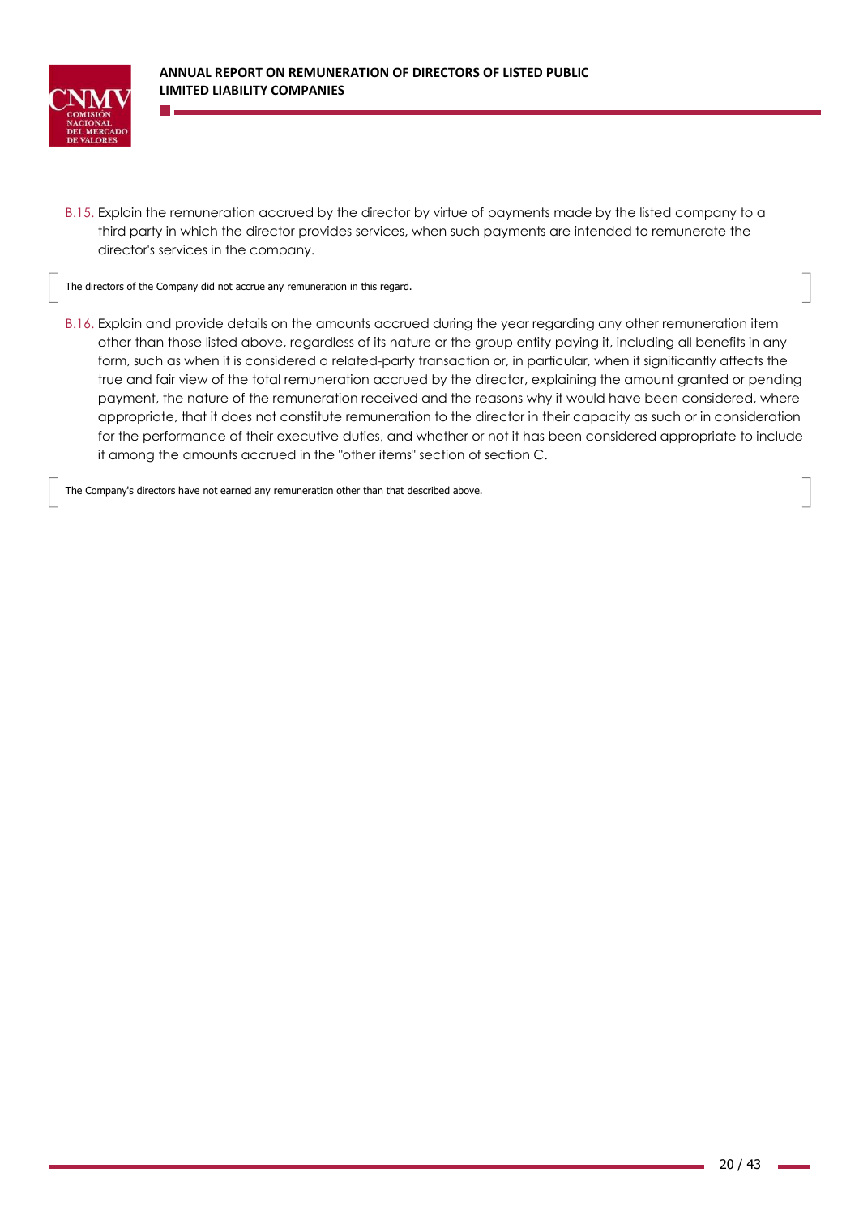

B.15. Explain the remuneration accrued by the director by virtue of payments made by the listed company to a third party in which the director provides services, when such payments are intended to remunerate the director's services in the company.

The directors of the Company did not accrue any remuneration in this regard.

B.16. Explain and provide details on the amounts accrued during the year regarding any other remuneration item other than those listed above, regardless of its nature or the group entity paying it, including all benefits in any form, such as when it is considered a related-party transaction or, in particular, when it significantly affects the true and fair view of the total remuneration accrued by the director, explaining the amount granted or pending payment, the nature of the remuneration received and the reasons why it would have been considered, where appropriate, that it does not constitute remuneration to the director in their capacity as such or in consideration for the performance of their executive duties, and whether or not it has been considered appropriate to include it among the amounts accrued in the "other items" section of section C.

The Company's directors have not earned any remuneration other than that described above.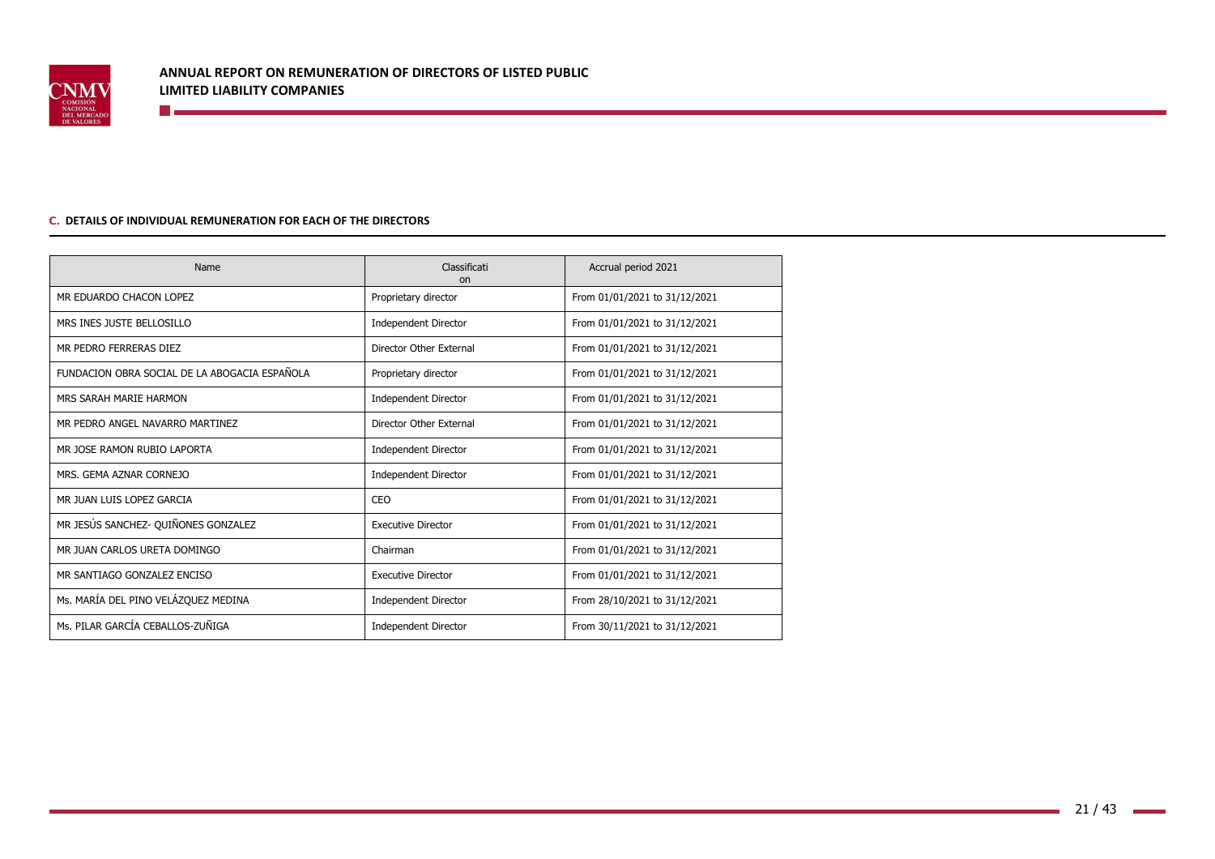

#### **C. DETAILS OF INDIVIDUAL REMUNERATION FOR EACH OF THE DIRECTORS**

**Designation** 

| Name                                          | Classificati<br>on          | Accrual period 2021           |
|-----------------------------------------------|-----------------------------|-------------------------------|
| MR EDUARDO CHACON LOPEZ                       | Proprietary director        | From 01/01/2021 to 31/12/2021 |
| MRS INES JUSTE BELLOSILLO                     | <b>Independent Director</b> | From 01/01/2021 to 31/12/2021 |
| MR PEDRO FERRERAS DIEZ                        | Director Other External     | From 01/01/2021 to 31/12/2021 |
| FUNDACION OBRA SOCIAL DE LA ABOGACIA ESPAÑOLA | Proprietary director        | From 01/01/2021 to 31/12/2021 |
| MRS SARAH MARIE HARMON                        | Independent Director        | From 01/01/2021 to 31/12/2021 |
| MR PEDRO ANGEL NAVARRO MARTINEZ               | Director Other External     | From 01/01/2021 to 31/12/2021 |
| MR JOSE RAMON RUBIO LAPORTA                   | <b>Independent Director</b> | From 01/01/2021 to 31/12/2021 |
| MRS. GEMA AZNAR CORNEJO                       | <b>Independent Director</b> | From 01/01/2021 to 31/12/2021 |
| MR JUAN LUIS LOPEZ GARCIA                     | CEO                         | From 01/01/2021 to 31/12/2021 |
| MR JESÚS SANCHEZ- QUIÑONES GONZALEZ           | <b>Executive Director</b>   | From 01/01/2021 to 31/12/2021 |
| MR JUAN CARLOS URETA DOMINGO                  | Chairman                    | From 01/01/2021 to 31/12/2021 |
| MR SANTIAGO GONZALEZ ENCISO                   | <b>Executive Director</b>   | From 01/01/2021 to 31/12/2021 |
| Ms. MARÍA DEL PINO VELÁZQUEZ MEDINA           | <b>Independent Director</b> | From 28/10/2021 to 31/12/2021 |
| Ms. PILAR GARCÍA CEBALLOS-ZUÑIGA              | <b>Independent Director</b> | From 30/11/2021 to 31/12/2021 |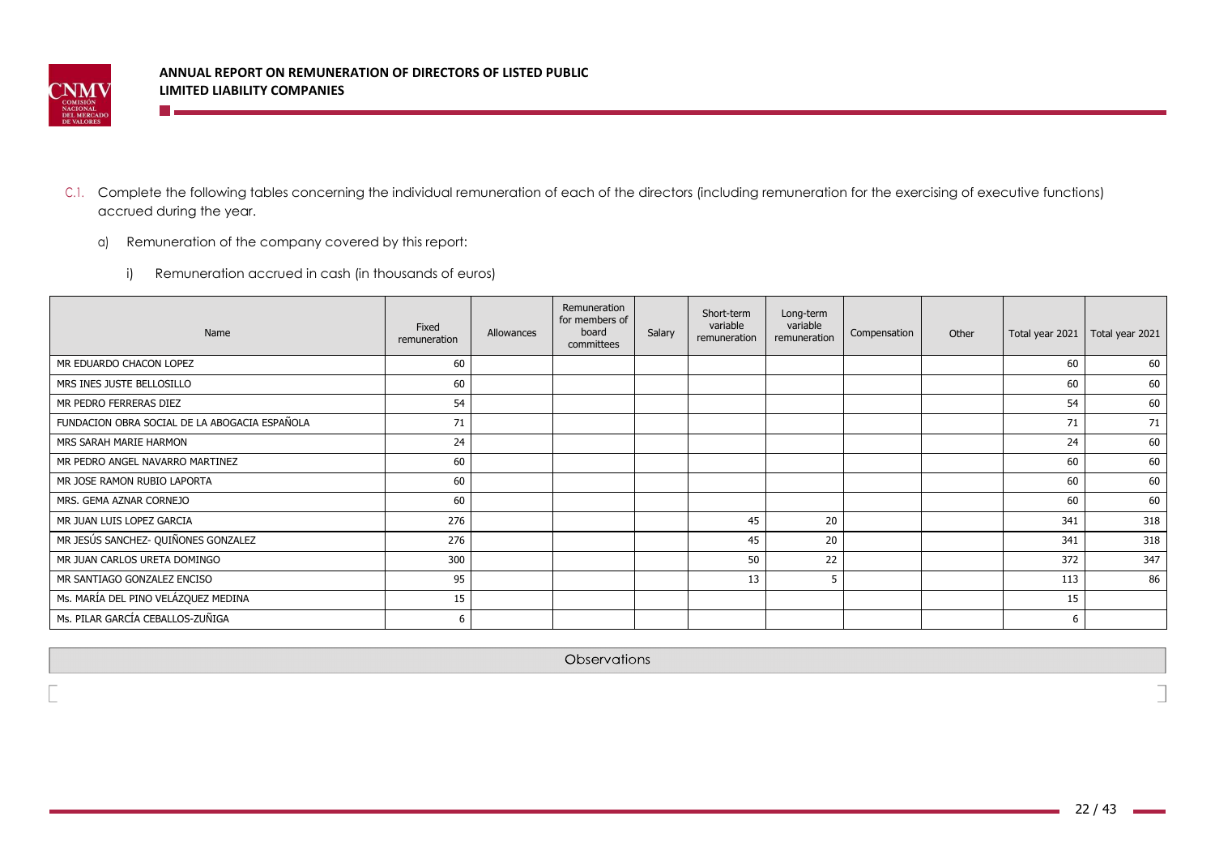

**The Co** 

- C.1. Complete the following tables concerning the individual remuneration of each of the directors (including remuneration for the exercising of executive functions) accrued during the year.
	- a) Remuneration of the company covered by this report:
		- i) Remuneration accrued in cash (in thousands of euros)

| Name                                          | Fixed<br>remuneration | Allowances | Remuneration<br>for members of<br>board<br>committees | Salary | Short-term<br>variable<br>remuneration | Long-term<br>variable<br>remuneration | Compensation | Other | Total year 2021 | Total year 2021 |
|-----------------------------------------------|-----------------------|------------|-------------------------------------------------------|--------|----------------------------------------|---------------------------------------|--------------|-------|-----------------|-----------------|
| MR EDUARDO CHACON LOPEZ                       | 60                    |            |                                                       |        |                                        |                                       |              |       | 60              | 60              |
| MRS INES JUSTE BELLOSILLO                     | 60                    |            |                                                       |        |                                        |                                       |              |       | 60              | 60              |
| MR PEDRO FERRERAS DIEZ                        | 54                    |            |                                                       |        |                                        |                                       |              |       | 54              | 60              |
| FUNDACION OBRA SOCIAL DE LA ABOGACIA ESPAÑOLA | 71                    |            |                                                       |        |                                        |                                       |              |       | 71              | 71              |
| MRS SARAH MARIE HARMON                        | 24                    |            |                                                       |        |                                        |                                       |              |       | 24              | 60              |
| MR PEDRO ANGEL NAVARRO MARTINEZ               | 60                    |            |                                                       |        |                                        |                                       |              |       | 60              | 60              |
| MR JOSE RAMON RUBIO LAPORTA                   | 60                    |            |                                                       |        |                                        |                                       |              |       | 60              | 60              |
| MRS. GEMA AZNAR CORNEJO                       | 60                    |            |                                                       |        |                                        |                                       |              |       | 60              | 60              |
| MR JUAN LUIS LOPEZ GARCIA                     | 276                   |            |                                                       |        | 45                                     | 20                                    |              |       | 341             | 318             |
| MR JESÚS SANCHEZ- QUIÑONES GONZALEZ           | 276                   |            |                                                       |        | 45                                     | 20                                    |              |       | 341             | 318             |
| MR JUAN CARLOS URETA DOMINGO                  | 300                   |            |                                                       |        | 50                                     | 22                                    |              |       | 372             | 347             |
| MR SANTIAGO GONZALEZ ENCISO                   | 95                    |            |                                                       |        | 13                                     | 5                                     |              |       | 113             | 86              |
| Ms. MARÍA DEL PINO VELÁZQUEZ MEDINA           | 15                    |            |                                                       |        |                                        |                                       |              |       | 15              |                 |
| Ms. PILAR GARCÍA CEBALLOS-ZUÑIGA              | 6                     |            |                                                       |        |                                        |                                       |              |       | -6              |                 |

Observations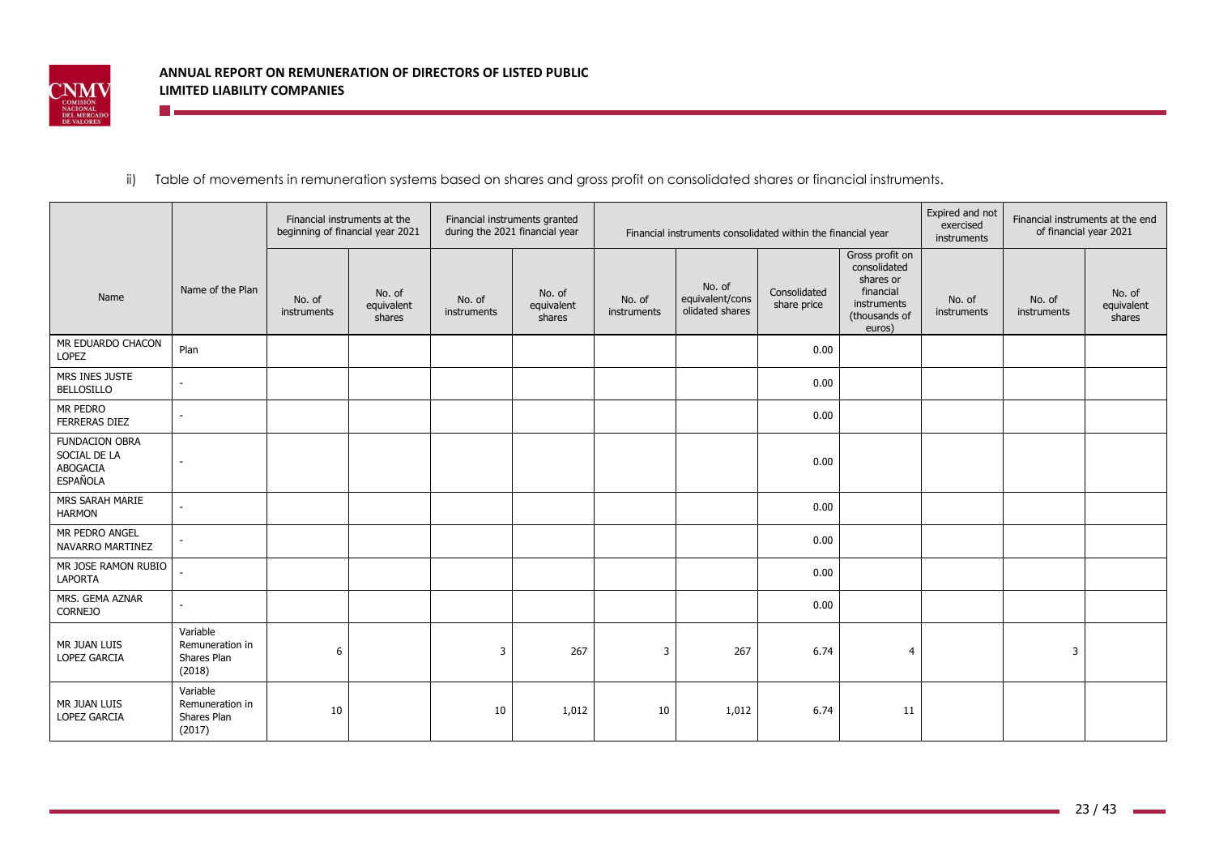

**E** and the second second second second second second second second second second second second second second second second second second second second second second second second second second second second second second

# ii) Table of movements in remuneration systems based on shares and gross profit on consolidated shares or financial instruments.

|                                                                      |                                                      | beginning of financial year 2021 | Financial instruments at the   | Financial instruments granted<br>during the 2021 financial year |                                |                       |                                              | Financial instruments consolidated within the financial year |                                                                                                     | Expired and not<br>exercised<br>instruments | Financial instruments at the end<br>of financial year 2021 |                                |
|----------------------------------------------------------------------|------------------------------------------------------|----------------------------------|--------------------------------|-----------------------------------------------------------------|--------------------------------|-----------------------|----------------------------------------------|--------------------------------------------------------------|-----------------------------------------------------------------------------------------------------|---------------------------------------------|------------------------------------------------------------|--------------------------------|
| Name                                                                 | Name of the Plan                                     | No. of<br>instruments            | No. of<br>equivalent<br>shares | No. of<br>instruments                                           | No. of<br>equivalent<br>shares | No. of<br>instruments | No. of<br>equivalent/cons<br>olidated shares | Consolidated<br>share price                                  | Gross profit on<br>consolidated<br>shares or<br>financial<br>instruments<br>(thousands of<br>euros) | No. of<br>instruments                       | No. of<br>instruments                                      | No. of<br>equivalent<br>shares |
| MR EDUARDO CHACON<br>LOPEZ                                           | Plan                                                 |                                  |                                |                                                                 |                                |                       |                                              | 0.00                                                         |                                                                                                     |                                             |                                                            |                                |
| MRS INES JUSTE<br><b>BELLOSILLO</b>                                  |                                                      |                                  |                                |                                                                 |                                |                       |                                              | 0.00                                                         |                                                                                                     |                                             |                                                            |                                |
| MR PEDRO<br><b>FERRERAS DIEZ</b>                                     |                                                      |                                  |                                |                                                                 |                                |                       |                                              | 0.00                                                         |                                                                                                     |                                             |                                                            |                                |
| <b>FUNDACION OBRA</b><br>SOCIAL DE LA<br>ABOGACIA<br><b>ESPAÑOLA</b> |                                                      |                                  |                                |                                                                 |                                |                       |                                              | 0.00                                                         |                                                                                                     |                                             |                                                            |                                |
| MRS SARAH MARIE<br><b>HARMON</b>                                     |                                                      |                                  |                                |                                                                 |                                |                       |                                              | 0.00                                                         |                                                                                                     |                                             |                                                            |                                |
| MR PEDRO ANGEL<br>NAVARRO MARTINEZ                                   |                                                      |                                  |                                |                                                                 |                                |                       |                                              | 0.00                                                         |                                                                                                     |                                             |                                                            |                                |
| MR JOSE RAMON RUBIO<br><b>LAPORTA</b>                                |                                                      |                                  |                                |                                                                 |                                |                       |                                              | 0.00                                                         |                                                                                                     |                                             |                                                            |                                |
| MRS. GEMA AZNAR<br><b>CORNEJO</b>                                    |                                                      |                                  |                                |                                                                 |                                |                       |                                              | 0.00                                                         |                                                                                                     |                                             |                                                            |                                |
| MR JUAN LUIS<br>LOPEZ GARCIA                                         | Variable<br>Remuneration in<br>Shares Plan<br>(2018) | 6                                |                                | 3                                                               | 267                            | 3                     | 267                                          | 6.74                                                         | $\overline{4}$                                                                                      |                                             | 3                                                          |                                |
| MR JUAN LUIS<br>LOPEZ GARCIA                                         | Variable<br>Remuneration in<br>Shares Plan<br>(2017) | 10                               |                                | 10                                                              | 1,012                          | 10                    | 1,012                                        | 6.74                                                         | 11                                                                                                  |                                             |                                                            |                                |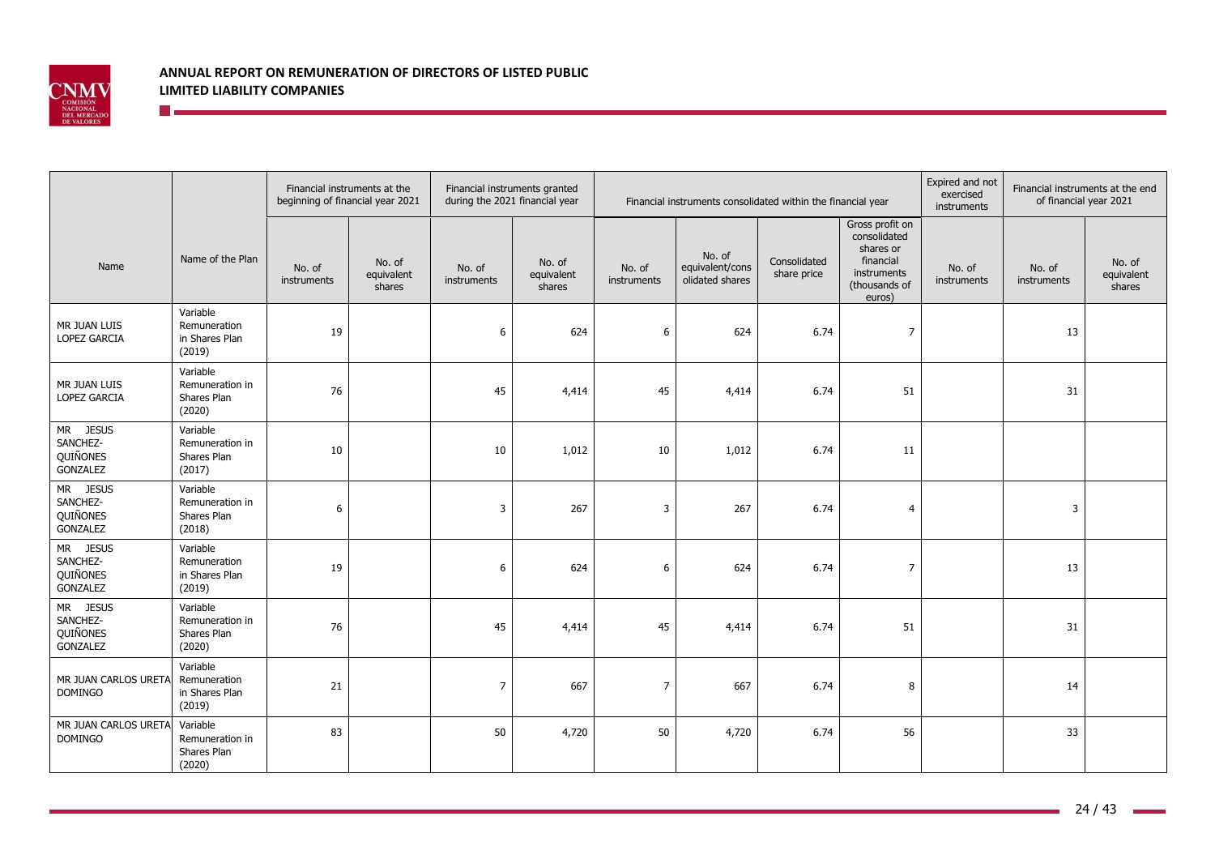

|                                              |                                                      | Financial instruments at the | beginning of financial year 2021 | Financial instruments granted<br>during the 2021 financial year |                                | Financial instruments consolidated within the financial year |                                              |                             |                                                                                                     | Expired and not<br>exercised<br>instruments | Financial instruments at the end<br>of financial year 2021 |                                |
|----------------------------------------------|------------------------------------------------------|------------------------------|----------------------------------|-----------------------------------------------------------------|--------------------------------|--------------------------------------------------------------|----------------------------------------------|-----------------------------|-----------------------------------------------------------------------------------------------------|---------------------------------------------|------------------------------------------------------------|--------------------------------|
| Name                                         | Name of the Plan                                     | No. of<br>instruments        | No. of<br>equivalent<br>shares   | No. of<br>instruments                                           | No. of<br>equivalent<br>shares | No. of<br>instruments                                        | No. of<br>equivalent/cons<br>olidated shares | Consolidated<br>share price | Gross profit on<br>consolidated<br>shares or<br>financial<br>instruments<br>(thousands of<br>euros) | No. of<br>instruments                       | No. of<br>instruments                                      | No. of<br>equivalent<br>shares |
| MR JUAN LUIS<br><b>LOPEZ GARCIA</b>          | Variable<br>Remuneration<br>in Shares Plan<br>(2019) | 19                           |                                  | 6                                                               | 624                            | 6                                                            | 624                                          | 6.74                        | $\overline{7}$                                                                                      |                                             | 13                                                         |                                |
| MR JUAN LUIS<br><b>LOPEZ GARCIA</b>          | Variable<br>Remuneration in<br>Shares Plan<br>(2020) | 76                           |                                  | 45                                                              | 4,414                          | 45                                                           | 4,414                                        | 6.74                        | 51                                                                                                  |                                             | 31                                                         |                                |
| MR JESUS<br>SANCHEZ-<br>QUIÑONES<br>GONZALEZ | Variable<br>Remuneration in<br>Shares Plan<br>(2017) | 10                           |                                  | 10                                                              | 1,012                          | 10                                                           | 1,012                                        | 6.74                        | 11                                                                                                  |                                             |                                                            |                                |
| MR JESUS<br>SANCHEZ-<br>QUIÑONES<br>GONZALEZ | Variable<br>Remuneration in<br>Shares Plan<br>(2018) | 6                            |                                  | 3                                                               | 267                            | 3                                                            | 267                                          | 6.74                        | $\overline{4}$                                                                                      |                                             | 3                                                          |                                |
| MR JESUS<br>SANCHEZ-<br>QUIÑONES<br>GONZALEZ | Variable<br>Remuneration<br>in Shares Plan<br>(2019) | 19                           |                                  | 6                                                               | 624                            | 6                                                            | 624                                          | 6.74                        | $\overline{7}$                                                                                      |                                             | 13                                                         |                                |
| MR JESUS<br>SANCHEZ-<br>QUIÑONES<br>GONZALEZ | Variable<br>Remuneration in<br>Shares Plan<br>(2020) | 76                           |                                  | 45                                                              | 4,414                          | 45                                                           | 4,414                                        | 6.74                        | 51                                                                                                  |                                             | 31                                                         |                                |
| MR JUAN CARLOS URETA<br><b>DOMINGO</b>       | Variable<br>Remuneration<br>in Shares Plan<br>(2019) | 21                           |                                  | 7                                                               | 667                            | 7                                                            | 667                                          | 6.74                        | 8                                                                                                   |                                             | 14                                                         |                                |
| MR JUAN CARLOS URETA<br><b>DOMINGO</b>       | Variable<br>Remuneration in<br>Shares Plan<br>(2020) | 83                           |                                  | 50                                                              | 4,720                          | 50                                                           | 4,720                                        | 6.74                        | 56                                                                                                  |                                             | 33                                                         |                                |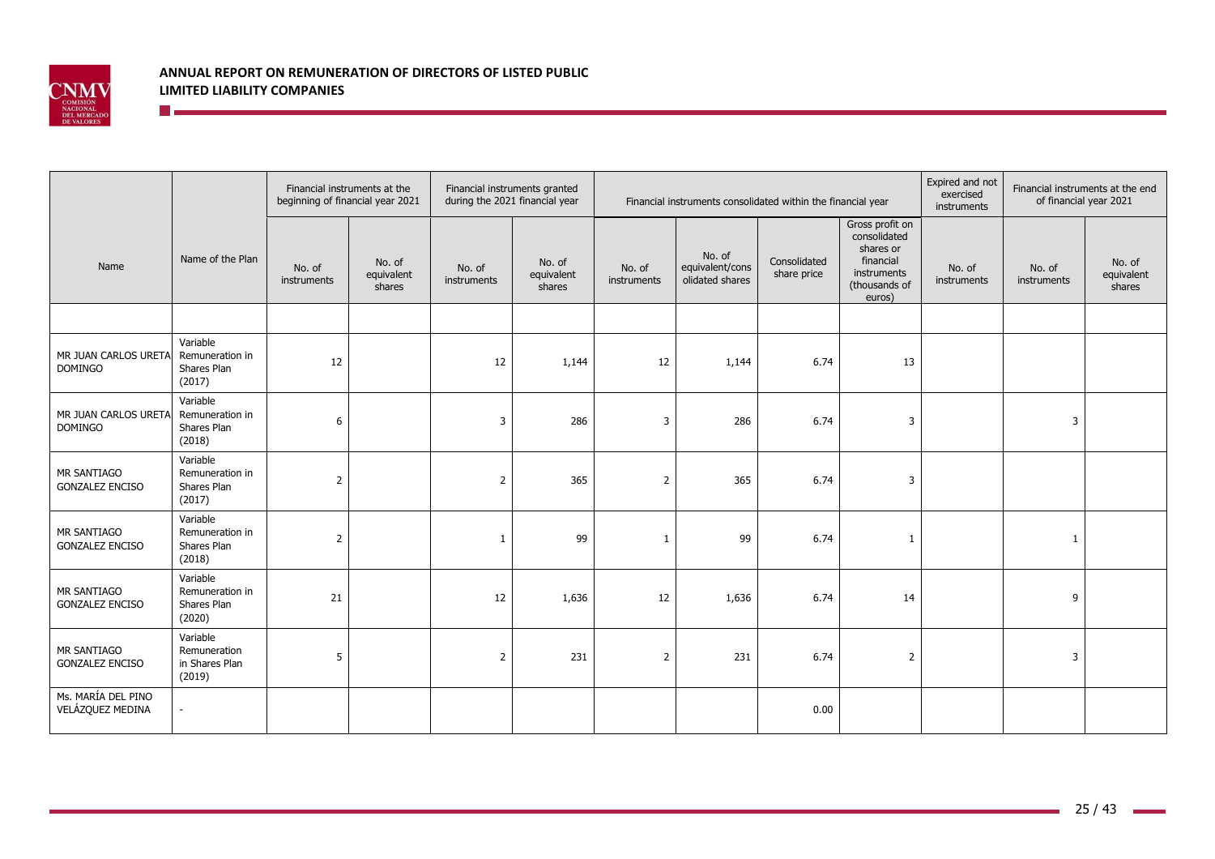

|                                        |                                                      | beginning of financial year 2021 | Financial instruments at the   | during the 2021 financial year | Financial instruments granted  |                       | Financial instruments consolidated within the financial year |                             | Expired and not<br>exercised<br>instruments                                                         | Financial instruments at the end<br>of financial year 2021 |                       |                                |
|----------------------------------------|------------------------------------------------------|----------------------------------|--------------------------------|--------------------------------|--------------------------------|-----------------------|--------------------------------------------------------------|-----------------------------|-----------------------------------------------------------------------------------------------------|------------------------------------------------------------|-----------------------|--------------------------------|
| Name                                   | Name of the Plan                                     | No. of<br>instruments            | No. of<br>equivalent<br>shares | No. of<br>instruments          | No. of<br>equivalent<br>shares | No. of<br>instruments | No. of<br>equivalent/cons<br>olidated shares                 | Consolidated<br>share price | Gross profit on<br>consolidated<br>shares or<br>financial<br>instruments<br>(thousands of<br>euros) | No. of<br>instruments                                      | No. of<br>instruments | No. of<br>equivalent<br>shares |
|                                        |                                                      |                                  |                                |                                |                                |                       |                                                              |                             |                                                                                                     |                                                            |                       |                                |
| MR JUAN CARLOS URETA<br><b>DOMINGO</b> | Variable<br>Remuneration in<br>Shares Plan<br>(2017) | 12                               |                                | 12                             | 1,144                          | 12                    | 1,144                                                        | 6.74                        | 13                                                                                                  |                                                            |                       |                                |
| MR JUAN CARLOS URETA<br>DOMINGO        | Variable<br>Remuneration in<br>Shares Plan<br>(2018) | 6                                |                                | 3                              | 286                            | 3                     | 286                                                          | 6.74                        | $\overline{3}$                                                                                      |                                                            | 3                     |                                |
| MR SANTIAGO<br><b>GONZALEZ ENCISO</b>  | Variable<br>Remuneration in<br>Shares Plan<br>(2017) | $\overline{2}$                   |                                | 2                              | 365                            | $\overline{2}$        | 365                                                          | 6.74                        | $\overline{3}$                                                                                      |                                                            |                       |                                |
| MR SANTIAGO<br><b>GONZALEZ ENCISO</b>  | Variable<br>Remuneration in<br>Shares Plan<br>(2018) | $\overline{2}$                   |                                | $\mathbf{1}$                   | 99                             | $\overline{1}$        | 99                                                           | 6.74                        | $\mathbf{1}$                                                                                        |                                                            | 1                     |                                |
| MR SANTIAGO<br><b>GONZALEZ ENCISO</b>  | Variable<br>Remuneration in<br>Shares Plan<br>(2020) | 21                               |                                | 12                             | 1,636                          | 12                    | 1,636                                                        | 6.74                        | 14                                                                                                  |                                                            | 9                     |                                |
| MR SANTIAGO<br><b>GONZALEZ ENCISO</b>  | Variable<br>Remuneration<br>in Shares Plan<br>(2019) | 5                                |                                | $\overline{2}$                 | 231                            | $\overline{2}$        | 231                                                          | 6.74                        | $\overline{2}$                                                                                      |                                                            | 3                     |                                |
| Ms. MARÍA DEL PINO<br>VELÁZQUEZ MEDINA |                                                      |                                  |                                |                                |                                |                       |                                                              | 0.00                        |                                                                                                     |                                                            |                       |                                |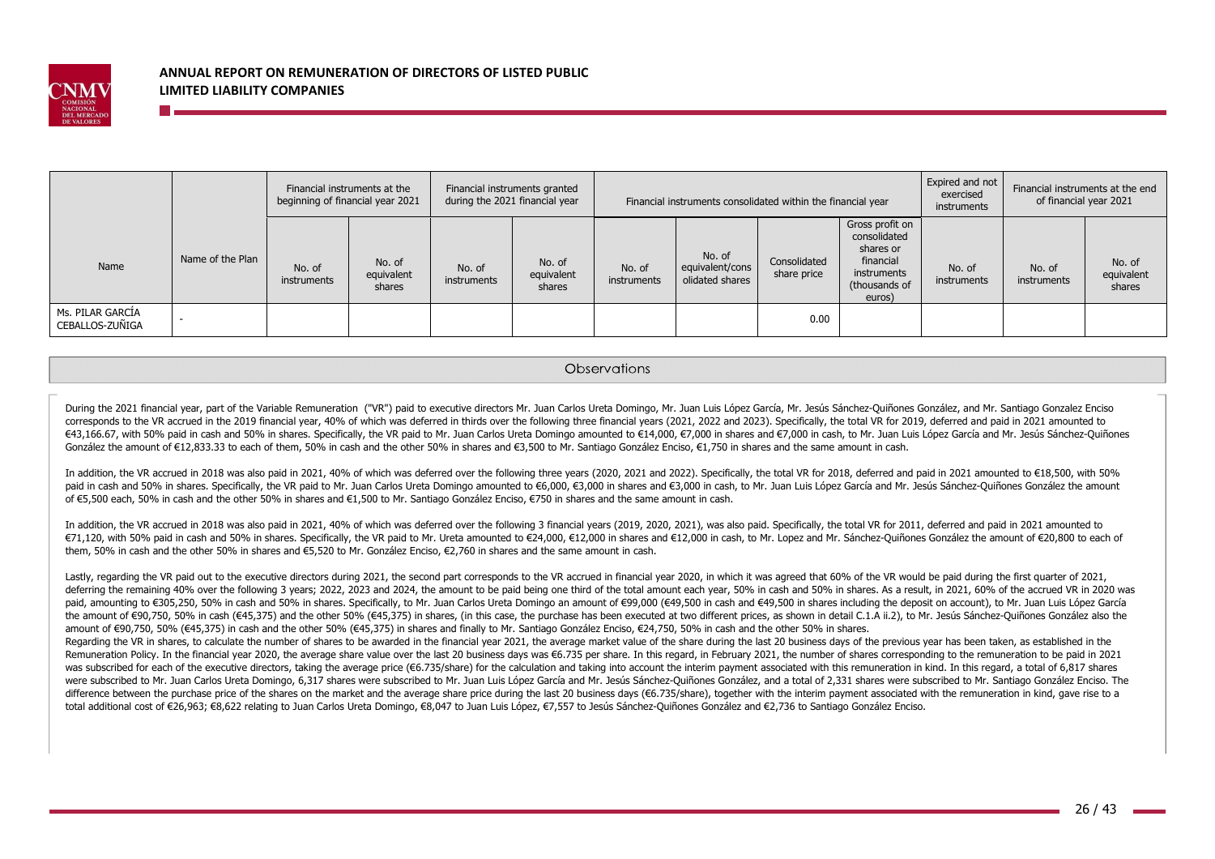

|                                     |                  |                       | Financial instruments at the<br>beginning of financial year 2021 |                       | Financial instruments granted<br>during the 2021 financial year | Financial instruments consolidated within the financial year |                                              |                             | Expired and not<br>exercised<br>instruments                                                         | of financial year 2021 | Financial instruments at the end |                                |
|-------------------------------------|------------------|-----------------------|------------------------------------------------------------------|-----------------------|-----------------------------------------------------------------|--------------------------------------------------------------|----------------------------------------------|-----------------------------|-----------------------------------------------------------------------------------------------------|------------------------|----------------------------------|--------------------------------|
| Name                                | Name of the Plan | No. of<br>instruments | No. of<br>equivalent<br>shares                                   | No. of<br>instruments | No. of<br>equivalent<br>shares                                  | No. of<br>instruments                                        | No. of<br>equivalent/cons<br>olidated shares | Consolidated<br>share price | Gross profit on<br>consolidated<br>shares or<br>financial<br>instruments<br>(thousands of<br>euros) | No. of<br>instruments  | No. of<br>instruments            | No. of<br>equivalent<br>shares |
| Ms. PILAR GARCIA<br>CEBALLOS-ZUÑIGA |                  |                       |                                                                  |                       |                                                                 |                                                              |                                              | 0.00                        |                                                                                                     |                        |                                  |                                |

#### **Observations**

During the 2021 financial year, part of the Variable Remuneration ("VR") paid to executive directors Mr. Juan Carlos Ureta Domingo, Mr. Juan Luis López García, Mr. Jesús Sánchez-Ouiñones González, and Mr. Santiago Gonzalez corresponds to the VR accrued in the 2019 financial year, 40% of which was deferred in thirds over the following three financial years (2021, 2022 and 2023). Specifically, the total VR for 2019, deferred and paid in 2021 a €43,166.67, with 50% paid in cash and 50% in shares. Specifically, the VR paid to Mr. Juan Carlos Ureta Domingo amounted to €14,000, €7,000 in shares and €7,000 in cash, to Mr. Juan Luis López García and Mr. Jesús Sánchez González the amount of €12,833.33 to each of them, 50% in cash and the other 50% in shares and €3,500 to Mr. Santiago González Enciso, €1,750 in shares and the same amount in cash.

In addition, the VR accrued in 2018 was also paid in 2021, 40% of which was deferred over the following three years (2020, 2021 and 2022). Specifically, the total VR for 2018, deferred and paid in 2021 amounted to €18,500 paid in cash and 50% in shares. Specifically, the VR paid to Mr. Juan Carlos Ureta Domingo amounted to €6,000, €3,000 in shares and €3,000 in cash, to Mr. Juan Luis López García and Mr. Jesús Sánchez-Quiñones González the of €5,500 each, 50% in cash and the other 50% in shares and €1,500 to Mr. Santiago González Enciso, €750 in shares and the same amount in cash.

In addition, the VR accrued in 2018 was also paid in 2021, 40% of which was deferred over the following 3 financial years (2019, 2020, 2021), was also paid. Specifically, the total VR for 2011, deferred and paid in 2021 am €71,120, with 50% paid in cash and 50% in shares. Specifically, the VR paid to Mr. Ureta amounted to €24,000, €12,000 in shares and €12,000 in cash, to Mr. Lopez and Mr. Sánchez-Quiñones González the amount of €20,800 to them, 50% in cash and the other 50% in shares and €5,520 to Mr. González Enciso, €2,760 in shares and the same amount in cash.

Lastly, regarding the VR paid out to the executive directors during 2021, the second part corresponds to the VR accrued in financial year 2020, in which it was agreed that 60% of the VR would be paid during the first quart deferring the remaining 40% over the following 3 years; 2022, 2023 and 2024, the amount to be paid being one third of the total amount each year, 50% in cash and 50% in shares. As a result, in 2021, 60% of the accrued VR i paid, amounting to €305,250, 50% in cash and 50% in shares. Specifically, to Mr. Juan Carlos Ureta Domingo an amount of €99,000 (€49,500 in cash and €49,500 in shares including the deposit on account), to Mr. Juan Luis Ló the amount of €90,750, 50% in cash (€45,375) and the other 50% (€45,375) in shares, (in this case, the purchase has been executed at two different prices, as shown in detail C.1.A ii.2), to Mr. Jesús Sánchez-Quiñones Gonz amount of €90,750, 50% (€45,375) in cash and the other 50% (€45,375) in shares and finally to Mr. Santiago González Enciso, €24,750, 50% in cash and the other 50% in shares.

Regarding the VR in shares, to calculate the number of shares to be awarded in the financial year 2021, the average market value of the share during the last 20 business days of the previous year has been taken, as establi Remuneration Policy. In the financial year 2020, the average share value over the last 20 business days was €6.735 per share. In this regard, in February 2021, the number of shares corresponding to the remuneration to be was subscribed for each of the executive directors, taking the average price (€6.735/share) for the calculation and taking into account the interim payment associated with this remuneration in kind. In this regard, a total were subscribed to Mr. Juan Carlos Ureta Domingo, 6,317 shares were subscribed to Mr. Juan Luis López García and Mr. Jesús Sánchez-Quiñones González, and a total of 2,331 shares were subscribed to Mr. Santiago González Enc difference between the purchase price of the shares on the market and the average share price during the last 20 business days (€6.735/share), together with the interim payment associated with the remuneration in kind, ga total additional cost of €26,963; €8,622 relating to Juan Carlos Ureta Domingo, €8,047 to Juan Luis López, €7,557 to Jesús Sánchez-Quiñones González and €2,736 to Santiago González Enciso.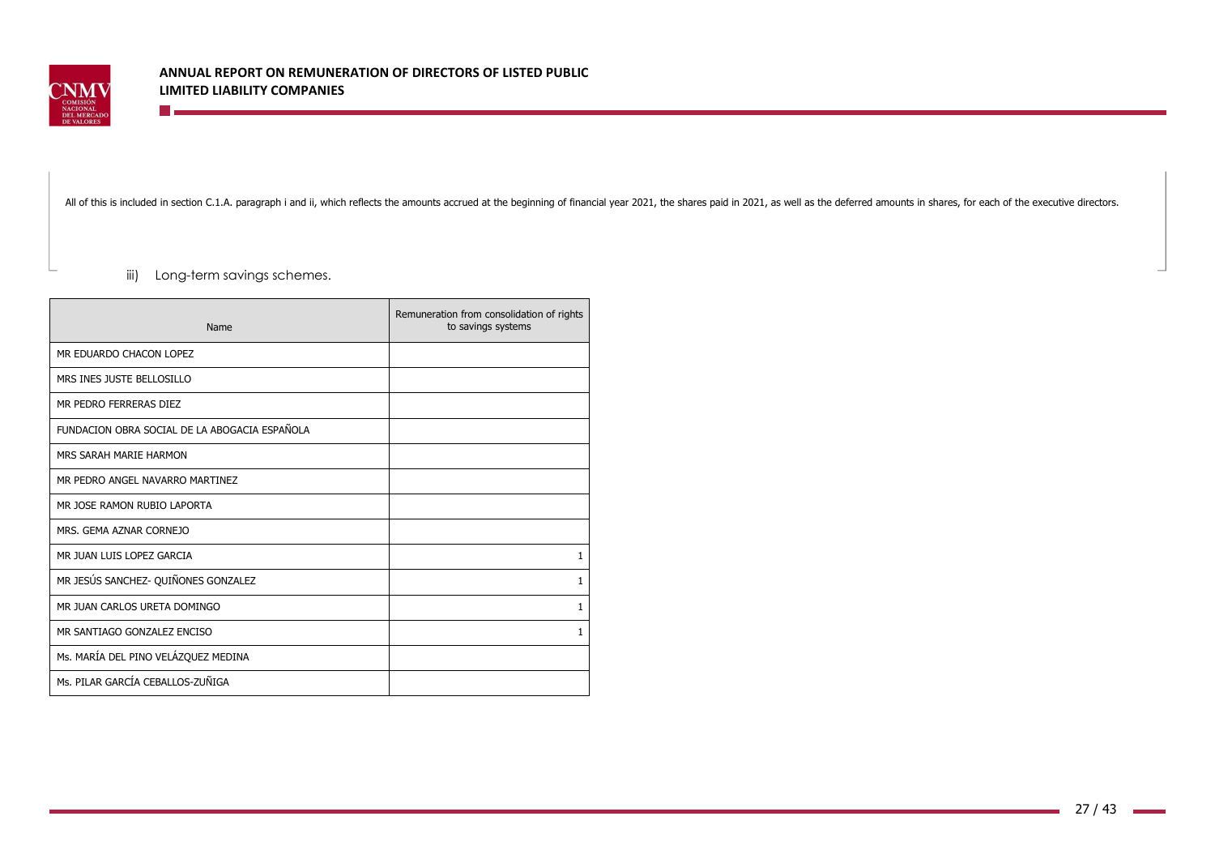

All of this is included in section C.1.A. paragraph i and ii, which reflects the amounts accrued at the beginning of financial year 2021, the shares paid in 2021, as well as the deferred amounts in shares, for each of the

iii) Long-term savings schemes.

<u>ra a</u>

| Name                                          | Remuneration from consolidation of rights<br>to savings systems |
|-----------------------------------------------|-----------------------------------------------------------------|
| MR EDUARDO CHACON LOPEZ                       |                                                                 |
| MRS INES JUSTE BELLOSILLO                     |                                                                 |
| MR PEDRO FERRERAS DIEZ                        |                                                                 |
| FUNDACION OBRA SOCIAL DE LA ABOGACIA ESPAÑOLA |                                                                 |
| MRS SARAH MARIE HARMON                        |                                                                 |
| MR PEDRO ANGEL NAVARRO MARTINEZ               |                                                                 |
| MR JOSE RAMON RUBIO LAPORTA                   |                                                                 |
| MRS. GEMA AZNAR CORNEJO                       |                                                                 |
| MR JUAN LUIS LOPEZ GARCIA                     | 1                                                               |
| MR JESÚS SANCHEZ- QUIÑONES GONZALEZ           | 1                                                               |
| MR JUAN CARLOS URETA DOMINGO                  | 1                                                               |
| MR SANTIAGO GONZALEZ ENCISO                   | 1                                                               |
| Ms. MARÍA DEL PINO VELÁZQUEZ MEDINA           |                                                                 |
| Ms. PILAR GARCÍA CEBALLOS-ZUÑIGA              |                                                                 |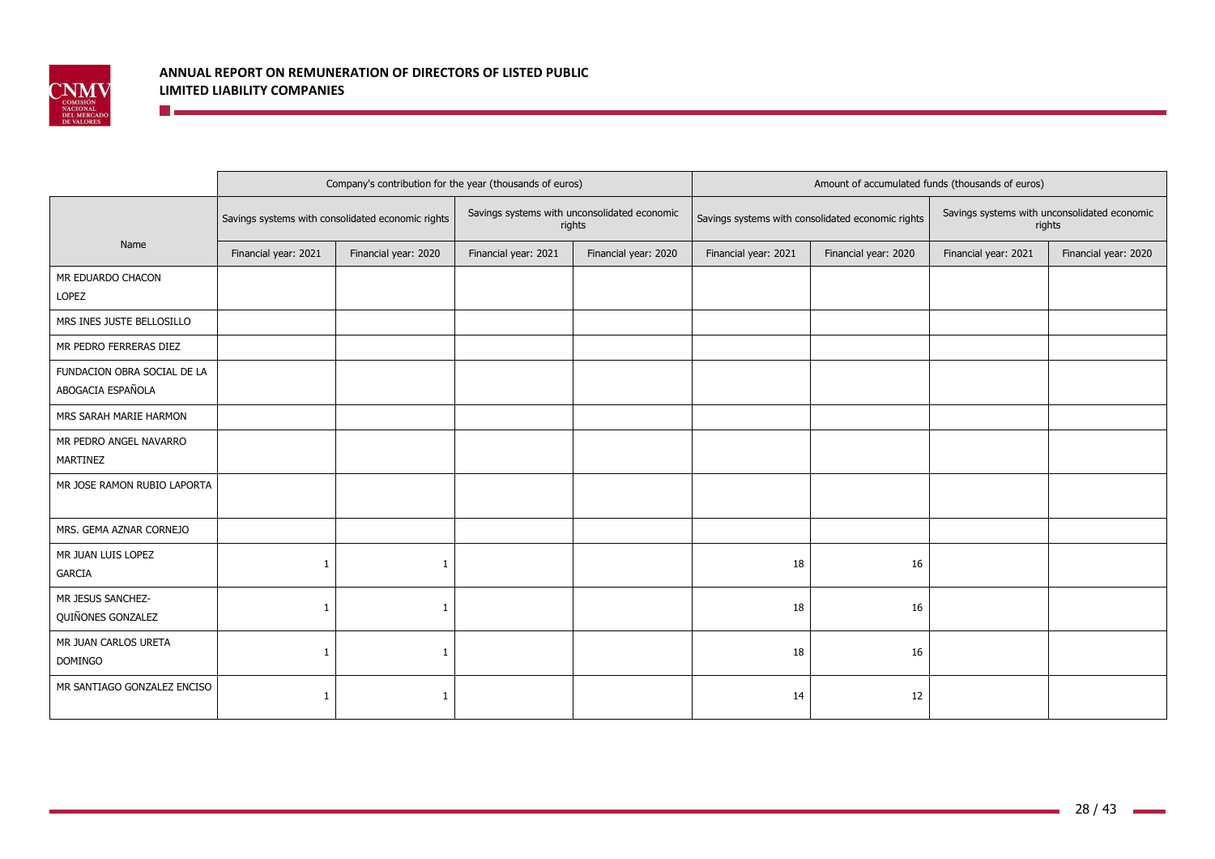

|                                                  |                      | Company's contribution for the year (thousands of euros) |                      |                                                        | Amount of accumulated funds (thousands of euros) |                                                   |                                                        |                      |
|--------------------------------------------------|----------------------|----------------------------------------------------------|----------------------|--------------------------------------------------------|--------------------------------------------------|---------------------------------------------------|--------------------------------------------------------|----------------------|
|                                                  |                      | Savings systems with consolidated economic rights        |                      | Savings systems with unconsolidated economic<br>rights |                                                  | Savings systems with consolidated economic rights | Savings systems with unconsolidated economic<br>rights |                      |
| Name                                             | Financial year: 2021 | Financial year: 2020                                     | Financial year: 2021 | Financial year: 2020                                   | Financial year: 2021                             | Financial year: 2020                              | Financial year: 2021                                   | Financial year: 2020 |
| MR EDUARDO CHACON<br>LOPEZ                       |                      |                                                          |                      |                                                        |                                                  |                                                   |                                                        |                      |
| MRS INES JUSTE BELLOSILLO                        |                      |                                                          |                      |                                                        |                                                  |                                                   |                                                        |                      |
| MR PEDRO FERRERAS DIEZ                           |                      |                                                          |                      |                                                        |                                                  |                                                   |                                                        |                      |
| FUNDACION OBRA SOCIAL DE LA<br>ABOGACIA ESPAÑOLA |                      |                                                          |                      |                                                        |                                                  |                                                   |                                                        |                      |
| MRS SARAH MARIE HARMON                           |                      |                                                          |                      |                                                        |                                                  |                                                   |                                                        |                      |
| MR PEDRO ANGEL NAVARRO<br>MARTINEZ               |                      |                                                          |                      |                                                        |                                                  |                                                   |                                                        |                      |
| MR JOSE RAMON RUBIO LAPORTA                      |                      |                                                          |                      |                                                        |                                                  |                                                   |                                                        |                      |
| MRS. GEMA AZNAR CORNEJO                          |                      |                                                          |                      |                                                        |                                                  |                                                   |                                                        |                      |
| MR JUAN LUIS LOPEZ<br><b>GARCIA</b>              | -1                   | 1                                                        |                      |                                                        | 18                                               | 16                                                |                                                        |                      |
| MR JESUS SANCHEZ-<br>QUIÑONES GONZALEZ           | -1                   | 1                                                        |                      |                                                        | 18                                               | 16                                                |                                                        |                      |
| MR JUAN CARLOS URETA<br><b>DOMINGO</b>           | -1                   | 1                                                        |                      |                                                        | 18                                               | 16                                                |                                                        |                      |
| MR SANTIAGO GONZALEZ ENCISO                      | -1                   | $\mathbf{1}$                                             |                      |                                                        | 14                                               | 12                                                |                                                        |                      |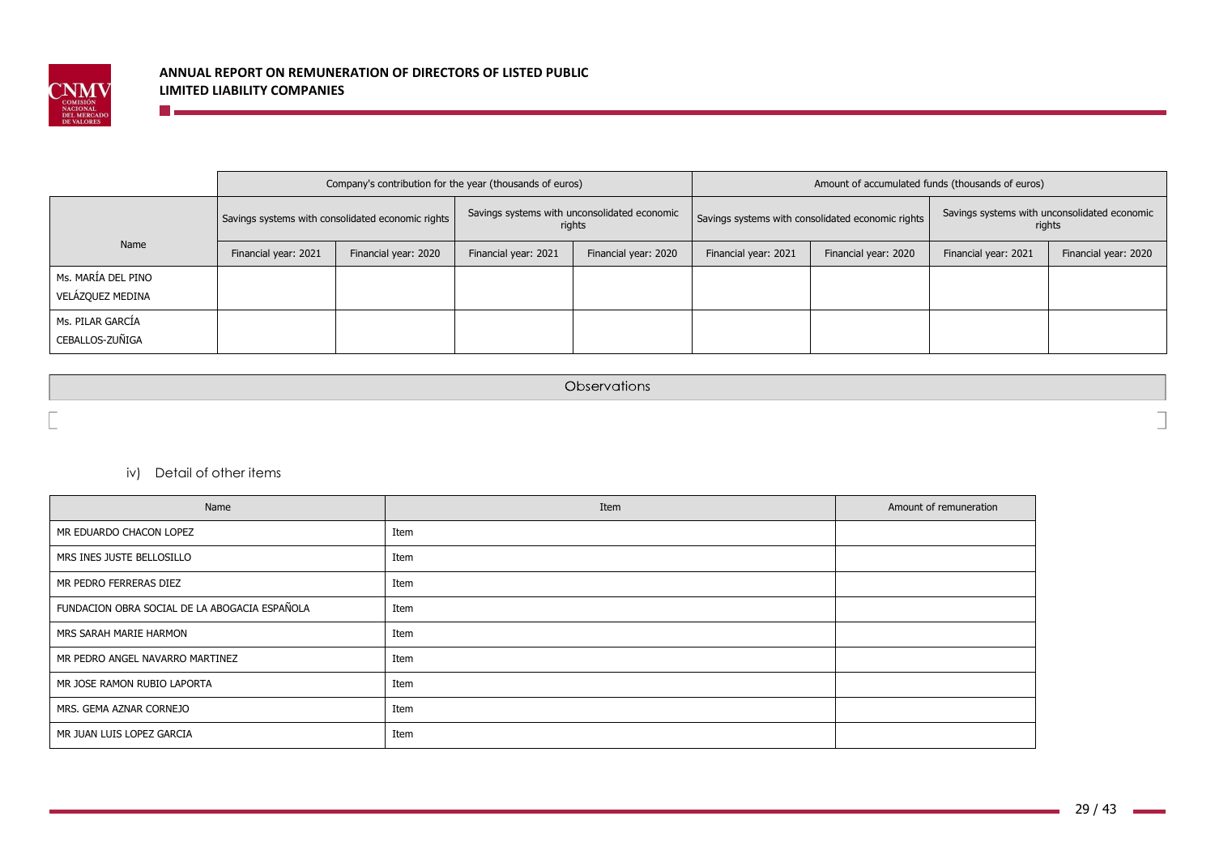

|                                        |                      | Company's contribution for the year (thousands of euros) |                      |                                                        | Amount of accumulated funds (thousands of euros)  |                      |                                                        |                      |  |
|----------------------------------------|----------------------|----------------------------------------------------------|----------------------|--------------------------------------------------------|---------------------------------------------------|----------------------|--------------------------------------------------------|----------------------|--|
|                                        |                      | Savings systems with consolidated economic rights        |                      | Savings systems with unconsolidated economic<br>rights | Savings systems with consolidated economic rights |                      | Savings systems with unconsolidated economic<br>rights |                      |  |
| Name                                   | Financial year: 2021 | Financial year: 2020                                     | Financial year: 2021 | Financial year: 2020                                   | Financial year: 2021                              | Financial year: 2020 | Financial year: 2021                                   | Financial year: 2020 |  |
| Ms. MARÍA DEL PINO<br>VELÁZQUEZ MEDINA |                      |                                                          |                      |                                                        |                                                   |                      |                                                        |                      |  |
| Ms. PILAR GARCIA<br>CEBALLOS-ZUÑIGA    |                      |                                                          |                      |                                                        |                                                   |                      |                                                        |                      |  |

Observations

iv) Detail of other items

<u> Timber and the second second</u>

| Name                                          | Item | Amount of remuneration |
|-----------------------------------------------|------|------------------------|
| MR EDUARDO CHACON LOPEZ                       | Item |                        |
| MRS INES JUSTE BELLOSILLO                     | Item |                        |
| MR PEDRO FERRERAS DIEZ                        | Item |                        |
| FUNDACION OBRA SOCIAL DE LA ABOGACIA ESPAÑOLA | Item |                        |
| MRS SARAH MARIE HARMON                        | Item |                        |
| MR PEDRO ANGEL NAVARRO MARTINEZ               | Item |                        |
| MR JOSE RAMON RUBIO LAPORTA                   | Item |                        |
| MRS. GEMA AZNAR CORNEJO                       | Item |                        |
| MR JUAN LUIS LOPEZ GARCIA                     | Item |                        |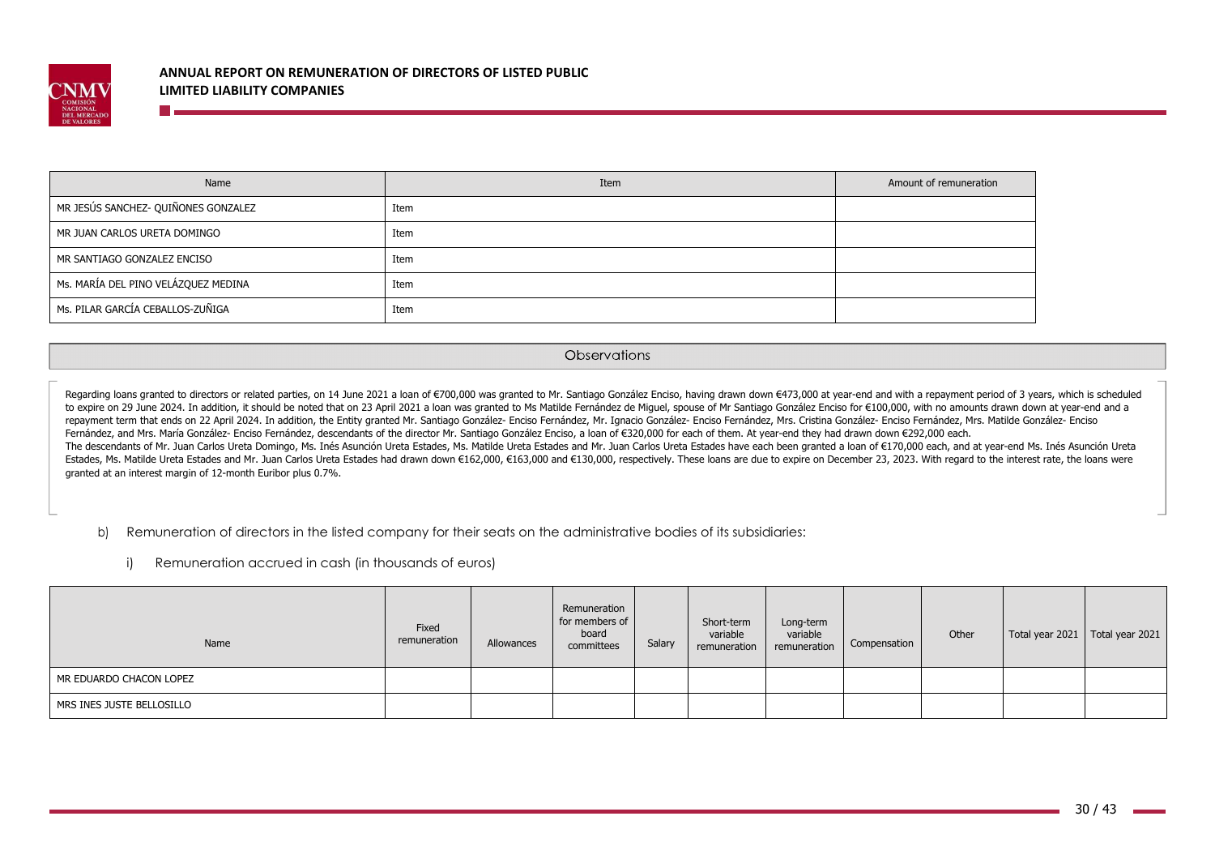

**The State** 

| Name                                | Item | Amount of remuneration |
|-------------------------------------|------|------------------------|
| MR JESÚS SANCHEZ- QUIÑONES GONZALEZ | Item |                        |
| MR JUAN CARLOS URETA DOMINGO        | Item |                        |
| MR SANTIAGO GONZALEZ ENCISO         | Item |                        |
| Ms. MARÍA DEL PINO VELÁZQUEZ MEDINA | Item |                        |
| Ms. PILAR GARCÍA CEBALLOS-ZUÑIGA    | Item |                        |

#### Observations

Regarding loans granted to directors or related parties, on 14 June 2021 a loan of €700,000 was granted to Mr. Santiago González Enciso, having drawn down €473,000 at year-end and with a repayment period of 3 years, which to expire on 29 June 2024. In addition, it should be noted that on 23 April 2021 a loan was granted to Ms Matilde Fernández de Miguel, spouse of Mr Santiago González Enciso for €100,000, with no amounts drawn down at year repayment term that ends on 22 April 2024. In addition, the Entity granted Mr. Santiago González- Enciso Fernández, Mr. Ignacio González- Enciso Fernández, Mrs. Cristina González- Enciso Fernández, Mrs. Matilde González- E Fernández, and Mrs. María González- Enciso Fernández, descendants of the director Mr. Santiago González Enciso, a loan of €320,000 for each of them. At year-end they had drawn down €292,000 each. The descendants of Mr. Juan Carlos Ureta Domingo, Ms. Inés Asunción Ureta Estades, Ms. Matilde Ureta Estades and Mr. Juan Carlos Ureta Estades have each been granted a loan of €170,000 each, and at year-end Ms. Inés Asunc Estades, Ms. Matilde Ureta Estades and Mr. Juan Carlos Ureta Estades had drawn down €162,000, €163,000 and €130,000, respectively. These loans are due to expire on December 23, 2023. With regard to the interest rate, the granted at an interest margin of 12-month Euribor plus 0.7%.

b)Remuneration of directors in the listed company for their seats on the administrative bodies of its subsidiaries:

i) Remuneration accrued in cash (in thousands of euros)

| Name                      | Fixed<br>remuneration | Allowances | Remuneration<br>for members of<br>board<br>committees | Salary | Short-term<br>variable<br>remuneration | Long-term<br>variable<br>remuneration | Compensation | Other | Total year 2021   Total year 2021 |  |
|---------------------------|-----------------------|------------|-------------------------------------------------------|--------|----------------------------------------|---------------------------------------|--------------|-------|-----------------------------------|--|
| MR EDUARDO CHACON LOPEZ   |                       |            |                                                       |        |                                        |                                       |              |       |                                   |  |
| MRS INES JUSTE BELLOSILLO |                       |            |                                                       |        |                                        |                                       |              |       |                                   |  |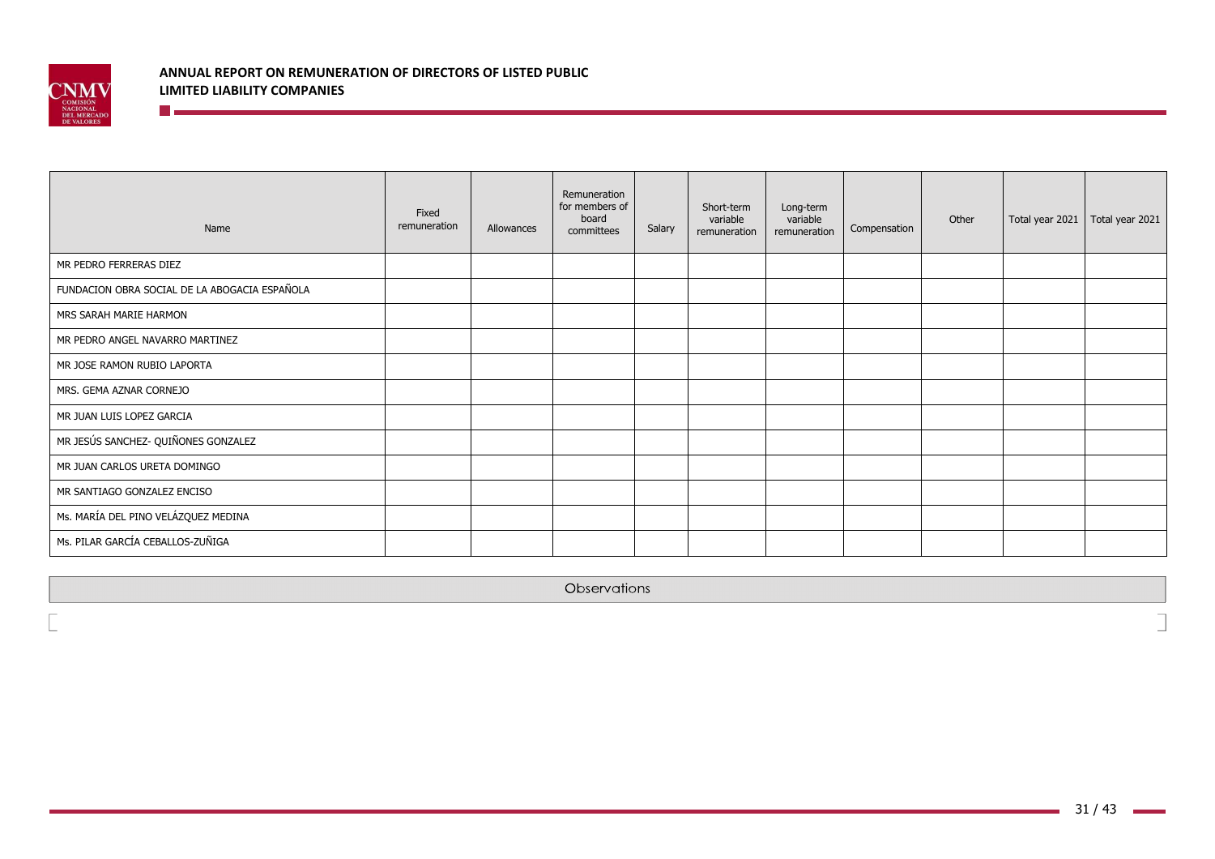

**The Communication** 

| Name                                          | Fixed<br>remuneration | Allowances | Remuneration<br>for members of<br>board<br>committees | Salary | Short-term<br>variable<br>remuneration | Long-term<br>variable<br>remuneration | Compensation | Other | Total year 2021 | Total year 2021 |
|-----------------------------------------------|-----------------------|------------|-------------------------------------------------------|--------|----------------------------------------|---------------------------------------|--------------|-------|-----------------|-----------------|
| MR PEDRO FERRERAS DIEZ                        |                       |            |                                                       |        |                                        |                                       |              |       |                 |                 |
| FUNDACION OBRA SOCIAL DE LA ABOGACIA ESPAÑOLA |                       |            |                                                       |        |                                        |                                       |              |       |                 |                 |
| MRS SARAH MARIE HARMON                        |                       |            |                                                       |        |                                        |                                       |              |       |                 |                 |
| MR PEDRO ANGEL NAVARRO MARTINEZ               |                       |            |                                                       |        |                                        |                                       |              |       |                 |                 |
| MR JOSE RAMON RUBIO LAPORTA                   |                       |            |                                                       |        |                                        |                                       |              |       |                 |                 |
| MRS. GEMA AZNAR CORNEJO                       |                       |            |                                                       |        |                                        |                                       |              |       |                 |                 |
| MR JUAN LUIS LOPEZ GARCIA                     |                       |            |                                                       |        |                                        |                                       |              |       |                 |                 |
| MR JESÚS SANCHEZ- QUIÑONES GONZALEZ           |                       |            |                                                       |        |                                        |                                       |              |       |                 |                 |
| MR JUAN CARLOS URETA DOMINGO                  |                       |            |                                                       |        |                                        |                                       |              |       |                 |                 |
| MR SANTIAGO GONZALEZ ENCISO                   |                       |            |                                                       |        |                                        |                                       |              |       |                 |                 |
| Ms. MARÍA DEL PINO VELÁZQUEZ MEDINA           |                       |            |                                                       |        |                                        |                                       |              |       |                 |                 |
| Ms. PILAR GARCÍA CEBALLOS-ZUÑIGA              |                       |            |                                                       |        |                                        |                                       |              |       |                 |                 |

Observations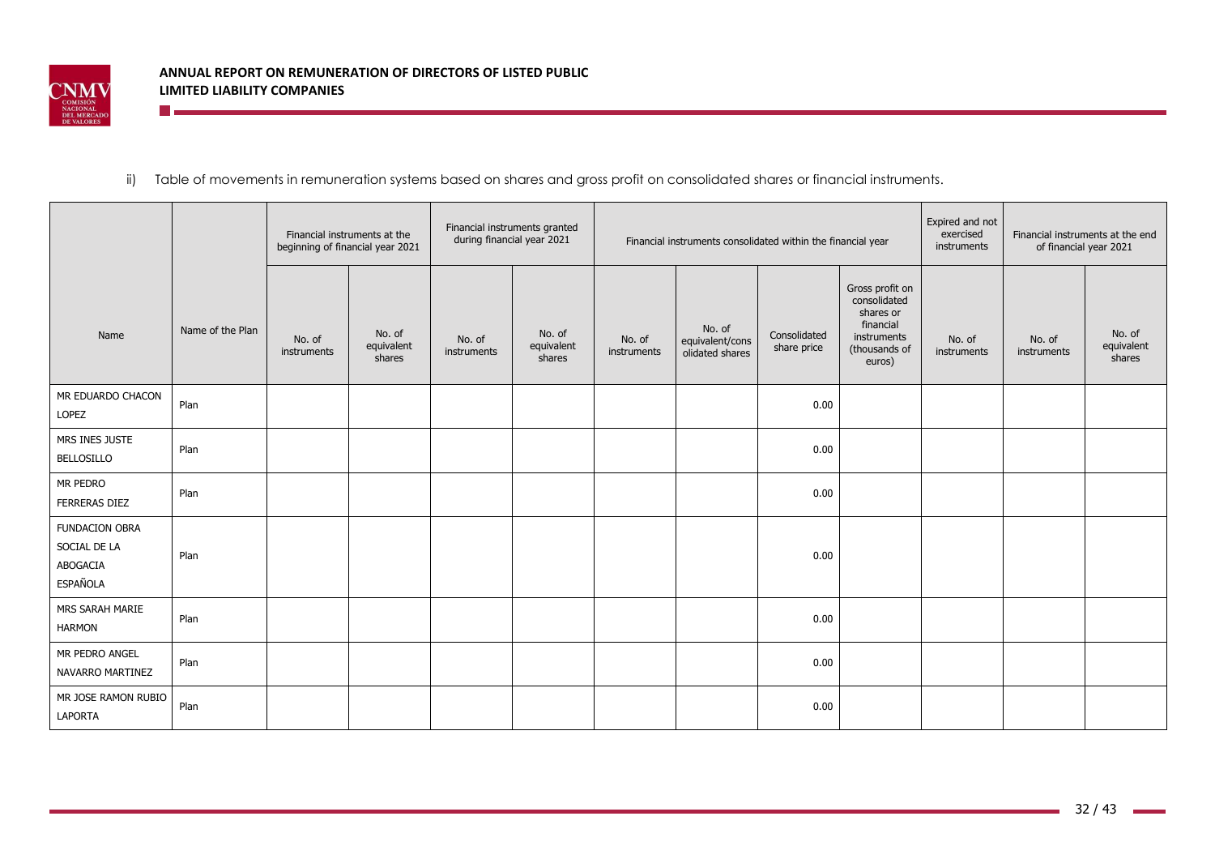

**The Community** 

# ii) Table of movements in remuneration systems based on shares and gross profit on consolidated shares or financial instruments.

|                                                               |                  | beginning of financial year 2021 | Financial instruments at the   | Financial instruments granted<br>during financial year 2021 |                                |                       | Financial instruments consolidated within the financial year |                             | Expired and not<br>exercised<br>instruments                                                         | of financial year 2021 | Financial instruments at the end |                                |
|---------------------------------------------------------------|------------------|----------------------------------|--------------------------------|-------------------------------------------------------------|--------------------------------|-----------------------|--------------------------------------------------------------|-----------------------------|-----------------------------------------------------------------------------------------------------|------------------------|----------------------------------|--------------------------------|
| Name                                                          | Name of the Plan | No. of<br>instruments            | No. of<br>equivalent<br>shares | No. of<br>instruments                                       | No. of<br>equivalent<br>shares | No. of<br>instruments | No. of<br>equivalent/cons<br>olidated shares                 | Consolidated<br>share price | Gross profit on<br>consolidated<br>shares or<br>financial<br>instruments<br>(thousands of<br>euros) | No. of<br>instruments  | No. of<br>instruments            | No. of<br>equivalent<br>shares |
| MR EDUARDO CHACON<br>LOPEZ                                    | Plan             |                                  |                                |                                                             |                                |                       |                                                              | 0.00                        |                                                                                                     |                        |                                  |                                |
| MRS INES JUSTE<br><b>BELLOSILLO</b>                           | Plan             |                                  |                                |                                                             |                                |                       |                                                              | 0.00                        |                                                                                                     |                        |                                  |                                |
| MR PEDRO<br><b>FERRERAS DIEZ</b>                              | Plan             |                                  |                                |                                                             |                                |                       |                                                              | 0.00                        |                                                                                                     |                        |                                  |                                |
| <b>FUNDACION OBRA</b><br>SOCIAL DE LA<br>ABOGACIA<br>ESPAÑOLA | Plan             |                                  |                                |                                                             |                                |                       |                                                              | 0.00                        |                                                                                                     |                        |                                  |                                |
| MRS SARAH MARIE<br><b>HARMON</b>                              | Plan             |                                  |                                |                                                             |                                |                       |                                                              | 0.00                        |                                                                                                     |                        |                                  |                                |
| MR PEDRO ANGEL<br>NAVARRO MARTINEZ                            | Plan             |                                  |                                |                                                             |                                |                       |                                                              | 0.00                        |                                                                                                     |                        |                                  |                                |
| MR JOSE RAMON RUBIO<br>LAPORTA                                | Plan             |                                  |                                |                                                             |                                |                       |                                                              | 0.00                        |                                                                                                     |                        |                                  |                                |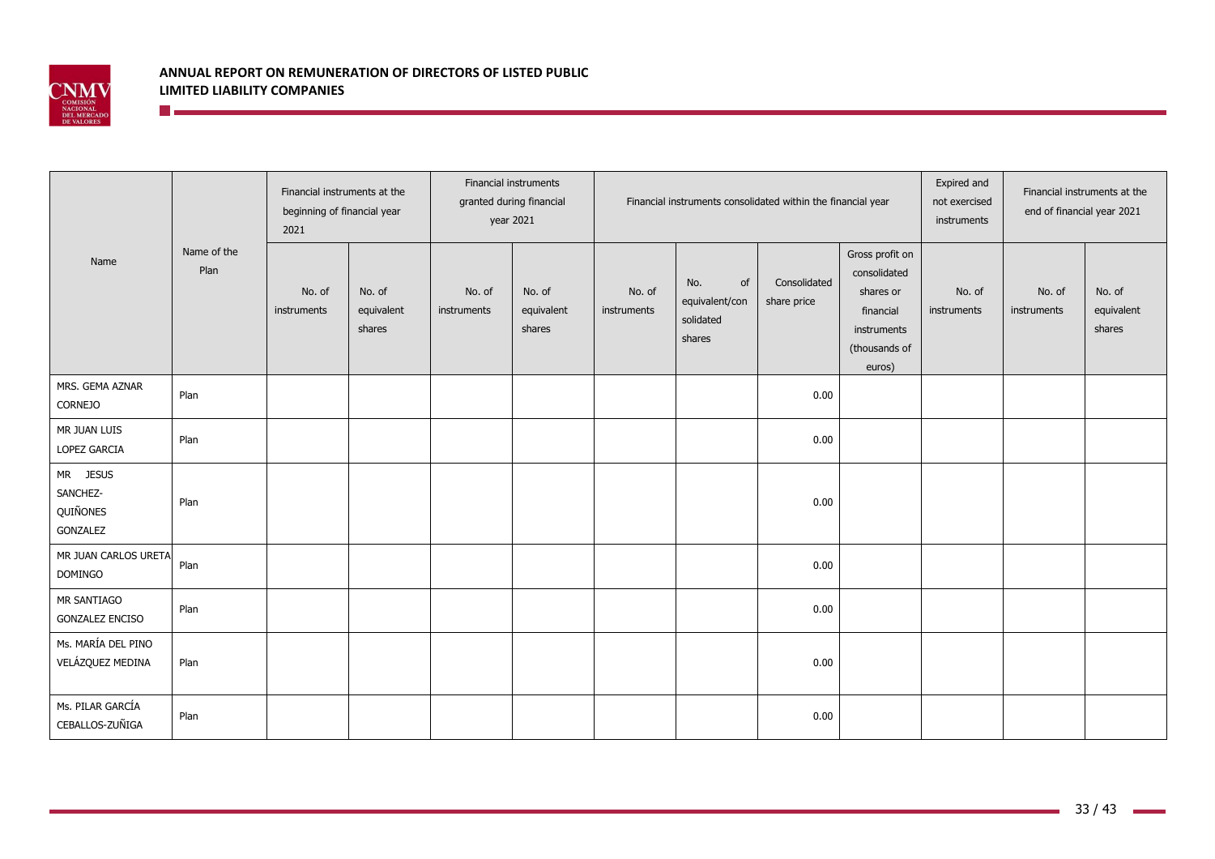

|                                              |                     | Financial instruments at the<br>beginning of financial year<br>2021 |                                | year 2021             | Financial instruments<br>granted during financial |                       | Financial instruments consolidated within the financial year |                             | Expired and<br>Financial instruments at the<br>not exercised<br>end of financial year 2021<br>instruments |                       |                       |                                |
|----------------------------------------------|---------------------|---------------------------------------------------------------------|--------------------------------|-----------------------|---------------------------------------------------|-----------------------|--------------------------------------------------------------|-----------------------------|-----------------------------------------------------------------------------------------------------------|-----------------------|-----------------------|--------------------------------|
| Name                                         | Name of the<br>Plan | No. of<br>instruments                                               | No. of<br>equivalent<br>shares | No. of<br>instruments | No. of<br>equivalent<br>shares                    | No. of<br>instruments | No.<br>of<br>equivalent/con<br>solidated<br>shares           | Consolidated<br>share price | Gross profit on<br>consolidated<br>shares or<br>financial<br>instruments<br>(thousands of<br>euros)       | No. of<br>instruments | No. of<br>instruments | No. of<br>equivalent<br>shares |
| MRS. GEMA AZNAR<br><b>CORNEJO</b>            | Plan                |                                                                     |                                |                       |                                                   |                       |                                                              | 0.00                        |                                                                                                           |                       |                       |                                |
| MR JUAN LUIS<br>LOPEZ GARCIA                 | Plan                |                                                                     |                                |                       |                                                   |                       |                                                              | 0.00                        |                                                                                                           |                       |                       |                                |
| MR JESUS<br>SANCHEZ-<br>QUIÑONES<br>GONZALEZ | Plan                |                                                                     |                                |                       |                                                   |                       |                                                              | 0.00                        |                                                                                                           |                       |                       |                                |
| MR JUAN CARLOS URETA<br>DOMINGO              | Plan                |                                                                     |                                |                       |                                                   |                       |                                                              | 0.00                        |                                                                                                           |                       |                       |                                |
| MR SANTIAGO<br><b>GONZALEZ ENCISO</b>        | Plan                |                                                                     |                                |                       |                                                   |                       |                                                              | 0.00                        |                                                                                                           |                       |                       |                                |
| Ms. MARÍA DEL PINO<br>VELÁZQUEZ MEDINA       | Plan                |                                                                     |                                |                       |                                                   |                       |                                                              | 0.00                        |                                                                                                           |                       |                       |                                |
| Ms. PILAR GARCÍA<br>CEBALLOS-ZUÑIGA          | Plan                |                                                                     |                                |                       |                                                   |                       |                                                              | 0.00                        |                                                                                                           |                       |                       |                                |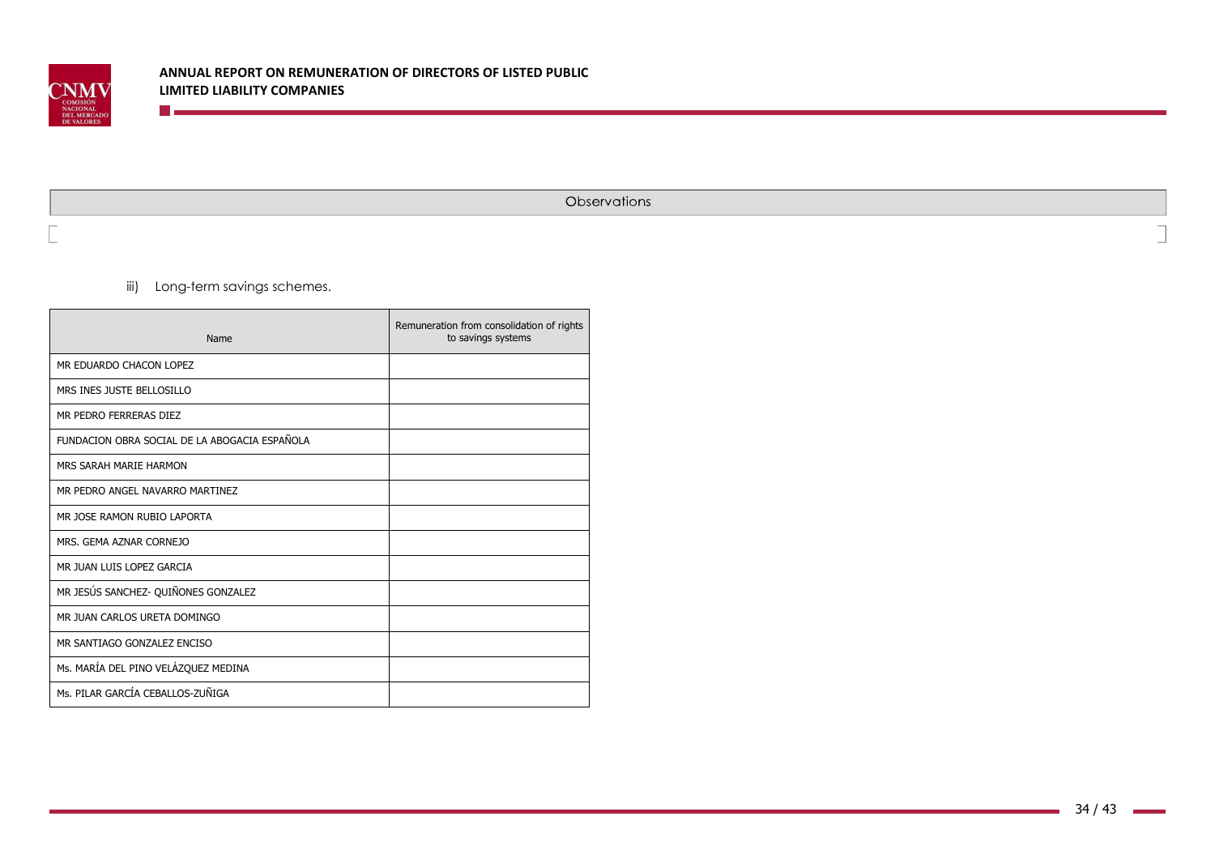

Observations

iii) Long-term savings schemes.

**Designation** 

| Name                                          | Remuneration from consolidation of rights<br>to savings systems |
|-----------------------------------------------|-----------------------------------------------------------------|
| MR EDUARDO CHACON LOPEZ                       |                                                                 |
| MRS INES JUSTE BELLOSILLO                     |                                                                 |
| MR PEDRO FERRERAS DIEZ                        |                                                                 |
| FUNDACION OBRA SOCIAL DE LA ABOGACIA ESPAÑOLA |                                                                 |
| MRS SARAH MARIE HARMON                        |                                                                 |
| MR PEDRO ANGEL NAVARRO MARTINEZ               |                                                                 |
| MR JOSE RAMON RUBIO LAPORTA                   |                                                                 |
| MRS. GEMA AZNAR CORNEJO                       |                                                                 |
| MR JUAN LUIS LOPEZ GARCIA                     |                                                                 |
| MR JESÚS SANCHEZ- QUIÑONES GONZALEZ           |                                                                 |
| MR JUAN CARLOS URETA DOMINGO                  |                                                                 |
| MR SANTIAGO GONZALEZ ENCISO                   |                                                                 |
| Ms. MARÍA DEL PINO VELÁZQUEZ MEDINA           |                                                                 |
| Ms. PILAR GARCÍA CEBALLOS-ZUÑIGA              |                                                                 |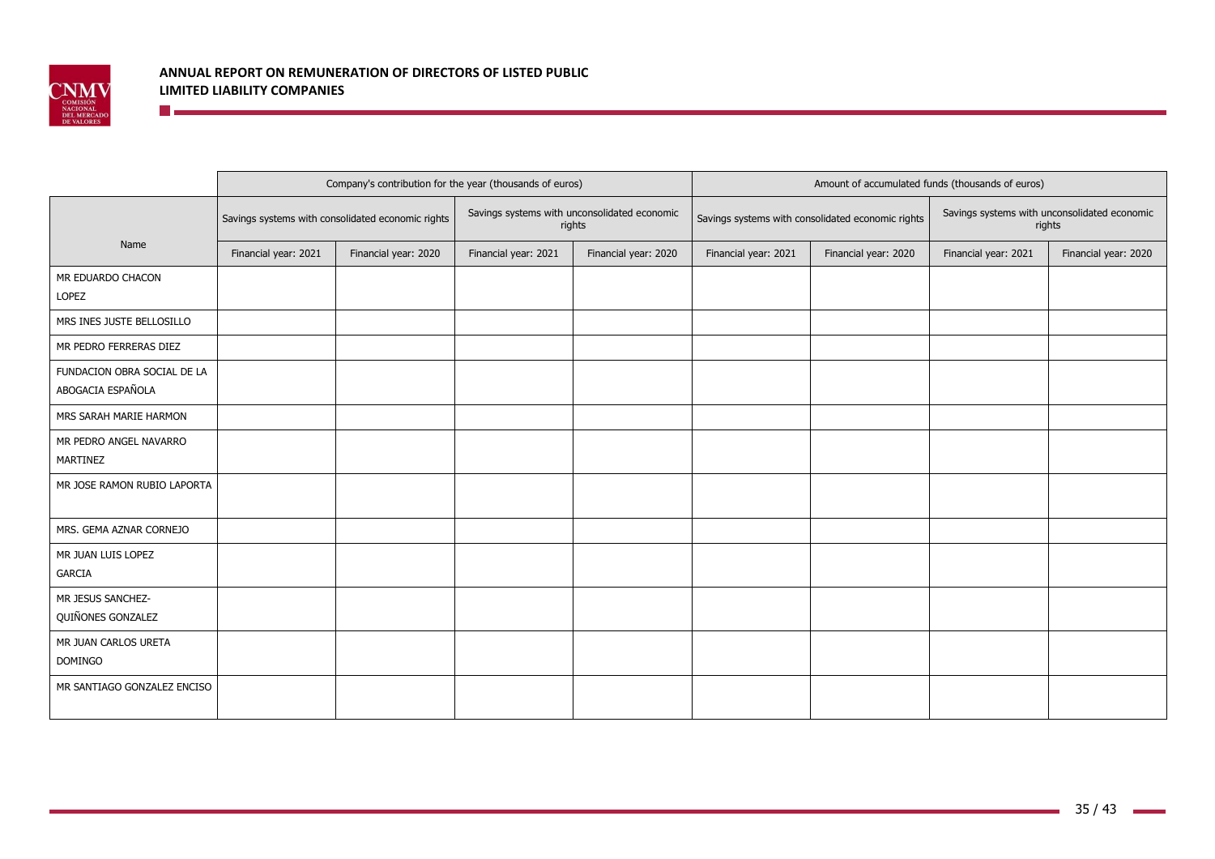

## **ANNUAL REPORT ON REMUNERATION OF DIRECTORS OF LISTED PUBLIC LIMITED LIABILITY COMPANIES The Community**

|                                                  |                      | Company's contribution for the year (thousands of euros) |                      |                                                        |                      |                                                   | Amount of accumulated funds (thousands of euros)       | Financial year: 2020 |  |  |
|--------------------------------------------------|----------------------|----------------------------------------------------------|----------------------|--------------------------------------------------------|----------------------|---------------------------------------------------|--------------------------------------------------------|----------------------|--|--|
|                                                  |                      | Savings systems with consolidated economic rights        |                      | Savings systems with unconsolidated economic<br>rights |                      | Savings systems with consolidated economic rights | Savings systems with unconsolidated economic<br>rights |                      |  |  |
| Name                                             | Financial year: 2021 | Financial year: 2020                                     | Financial year: 2021 | Financial year: 2020                                   | Financial year: 2021 | Financial year: 2020                              | Financial year: 2021                                   |                      |  |  |
| MR EDUARDO CHACON<br>LOPEZ                       |                      |                                                          |                      |                                                        |                      |                                                   |                                                        |                      |  |  |
| MRS INES JUSTE BELLOSILLO                        |                      |                                                          |                      |                                                        |                      |                                                   |                                                        |                      |  |  |
| MR PEDRO FERRERAS DIEZ                           |                      |                                                          |                      |                                                        |                      |                                                   |                                                        |                      |  |  |
| FUNDACION OBRA SOCIAL DE LA<br>ABOGACIA ESPAÑOLA |                      |                                                          |                      |                                                        |                      |                                                   |                                                        |                      |  |  |
| MRS SARAH MARIE HARMON                           |                      |                                                          |                      |                                                        |                      |                                                   |                                                        |                      |  |  |
| MR PEDRO ANGEL NAVARRO<br><b>MARTINEZ</b>        |                      |                                                          |                      |                                                        |                      |                                                   |                                                        |                      |  |  |
| MR JOSE RAMON RUBIO LAPORTA                      |                      |                                                          |                      |                                                        |                      |                                                   |                                                        |                      |  |  |
| MRS. GEMA AZNAR CORNEJO                          |                      |                                                          |                      |                                                        |                      |                                                   |                                                        |                      |  |  |
| MR JUAN LUIS LOPEZ<br><b>GARCIA</b>              |                      |                                                          |                      |                                                        |                      |                                                   |                                                        |                      |  |  |
| MR JESUS SANCHEZ-<br>QUIÑONES GONZALEZ           |                      |                                                          |                      |                                                        |                      |                                                   |                                                        |                      |  |  |
| MR JUAN CARLOS URETA<br><b>DOMINGO</b>           |                      |                                                          |                      |                                                        |                      |                                                   |                                                        |                      |  |  |
| MR SANTIAGO GONZALEZ ENCISO                      |                      |                                                          |                      |                                                        |                      |                                                   |                                                        |                      |  |  |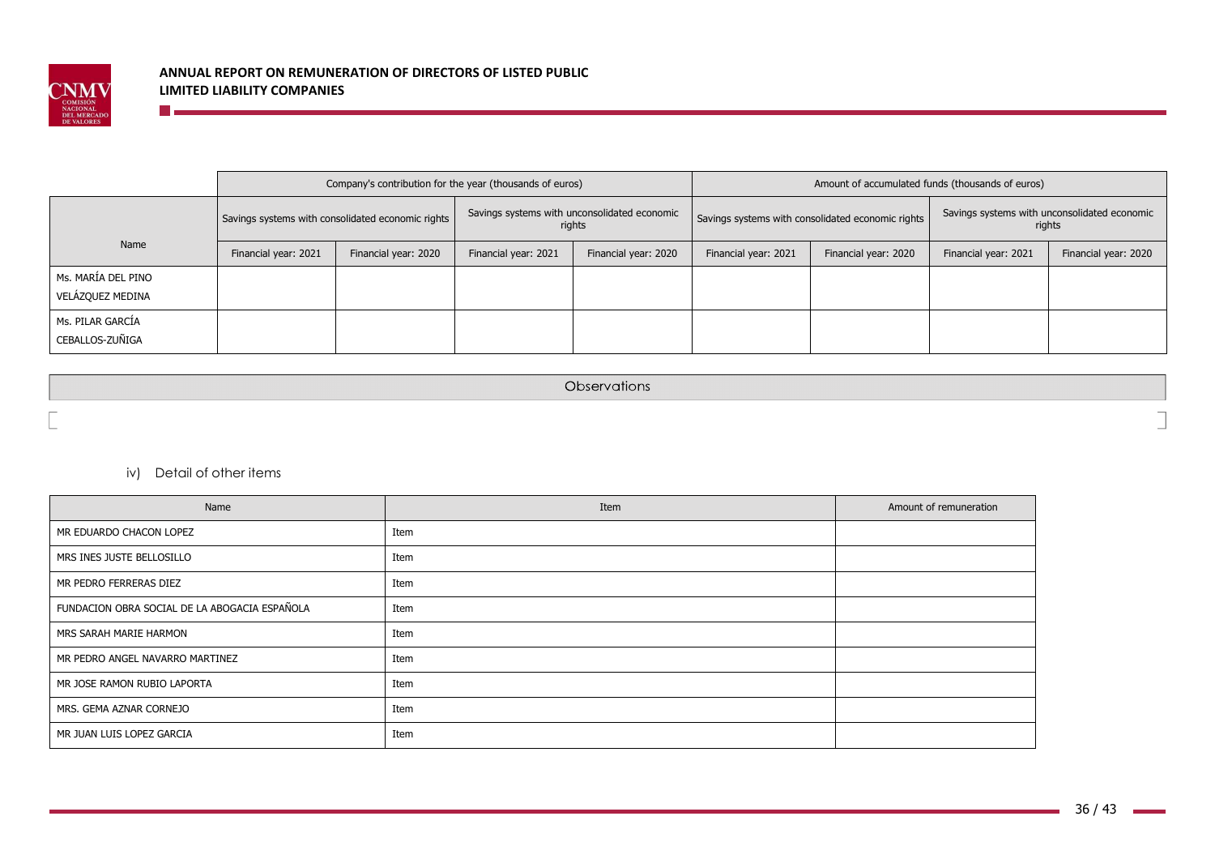

|                                        |                                                                      | Company's contribution for the year (thousands of euros) |                      |                                                        |                                                   | Amount of accumulated funds (thousands of euros) |                                                        |  |  |
|----------------------------------------|----------------------------------------------------------------------|----------------------------------------------------------|----------------------|--------------------------------------------------------|---------------------------------------------------|--------------------------------------------------|--------------------------------------------------------|--|--|
|                                        |                                                                      | Savings systems with consolidated economic rights        |                      | Savings systems with unconsolidated economic<br>rights | Savings systems with consolidated economic rights |                                                  | Savings systems with unconsolidated economic<br>rights |  |  |
| Name                                   | Financial year: 2021<br>Financial year: 2020<br>Financial year: 2021 |                                                          | Financial year: 2020 | Financial year: 2021                                   | Financial year: 2020                              | Financial year: 2021                             | Financial year: 2020                                   |  |  |
| Ms. MARÍA DEL PINO<br>VELÁZQUEZ MEDINA |                                                                      |                                                          |                      |                                                        |                                                   |                                                  |                                                        |  |  |
| Ms. PILAR GARCIA<br>CEBALLOS-ZUÑIGA    |                                                                      |                                                          |                      |                                                        |                                                   |                                                  |                                                        |  |  |

Observations

iv) Detail of other items

<u> Timber and the second second</u>

| Name                                          | Item | Amount of remuneration |
|-----------------------------------------------|------|------------------------|
| MR EDUARDO CHACON LOPEZ                       | Item |                        |
| MRS INES JUSTE BELLOSILLO                     | Item |                        |
| MR PEDRO FERRERAS DIEZ                        | Item |                        |
| FUNDACION OBRA SOCIAL DE LA ABOGACIA ESPAÑOLA | Item |                        |
| MRS SARAH MARIE HARMON                        | Item |                        |
| MR PEDRO ANGEL NAVARRO MARTINEZ               | Item |                        |
| MR JOSE RAMON RUBIO LAPORTA                   | Item |                        |
| MRS. GEMA AZNAR CORNEJO                       | Item |                        |
| MR JUAN LUIS LOPEZ GARCIA                     | Item |                        |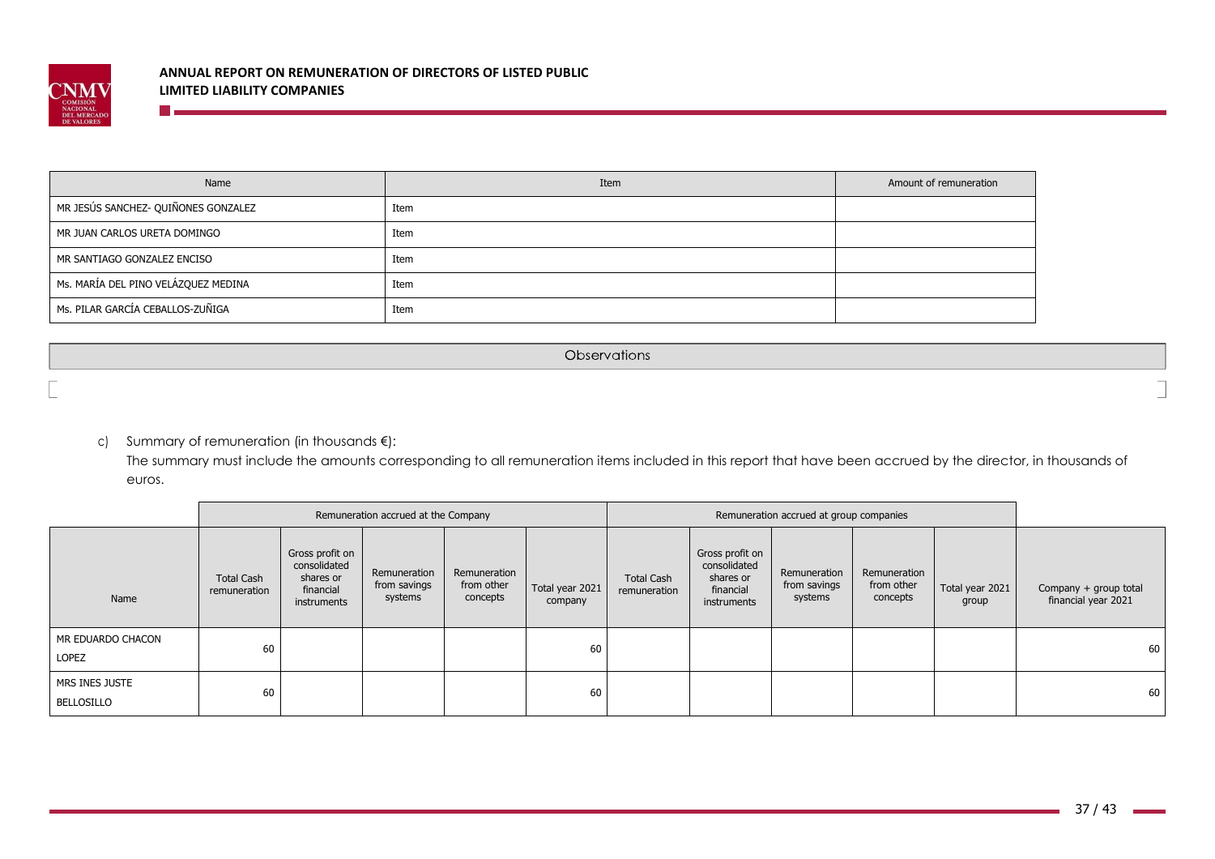

| Name                                | Item | Amount of remuneration |
|-------------------------------------|------|------------------------|
| MR JESÚS SANCHEZ- QUIÑONES GONZALEZ | Item |                        |
| MR JUAN CARLOS URETA DOMINGO        | Item |                        |
| MR SANTIAGO GONZALEZ ENCISO         | Item |                        |
| Ms. MARÍA DEL PINO VELÁZQUEZ MEDINA | Item |                        |
| Ms. PILAR GARCÍA CEBALLOS-ZUÑIGA    | Item |                        |

Observations

c) Summary of remuneration (in thousands €):

**The Communication** 

The summary must include the amounts corresponding to all remuneration items included in this report that have been accrued by the director, in thousands of euros.

|                              |                                   |                                                                          | Remuneration accrued at the Company     |                                        |                            |                                   |                                                                          | Remuneration accrued at group companies |                                        |                          |                                              |
|------------------------------|-----------------------------------|--------------------------------------------------------------------------|-----------------------------------------|----------------------------------------|----------------------------|-----------------------------------|--------------------------------------------------------------------------|-----------------------------------------|----------------------------------------|--------------------------|----------------------------------------------|
| Name                         | <b>Total Cash</b><br>remuneration | Gross profit on<br>consolidated<br>shares or<br>financial<br>instruments | Remuneration<br>from savings<br>systems | Remuneration<br>from other<br>concepts | Total year 2021<br>company | <b>Total Cash</b><br>remuneration | Gross profit on<br>consolidated<br>shares or<br>financial<br>instruments | Remuneration<br>from savings<br>systems | Remuneration<br>from other<br>concepts | Total year 2021<br>group | Company + group total<br>financial year 2021 |
| MR EDUARDO CHACON<br>LOPEZ   | 60                                |                                                                          |                                         |                                        | 60                         |                                   |                                                                          |                                         |                                        |                          | 60                                           |
| MRS INES JUSTE<br>BELLOSILLO | 60                                |                                                                          |                                         |                                        | 60                         |                                   |                                                                          |                                         |                                        |                          | 60                                           |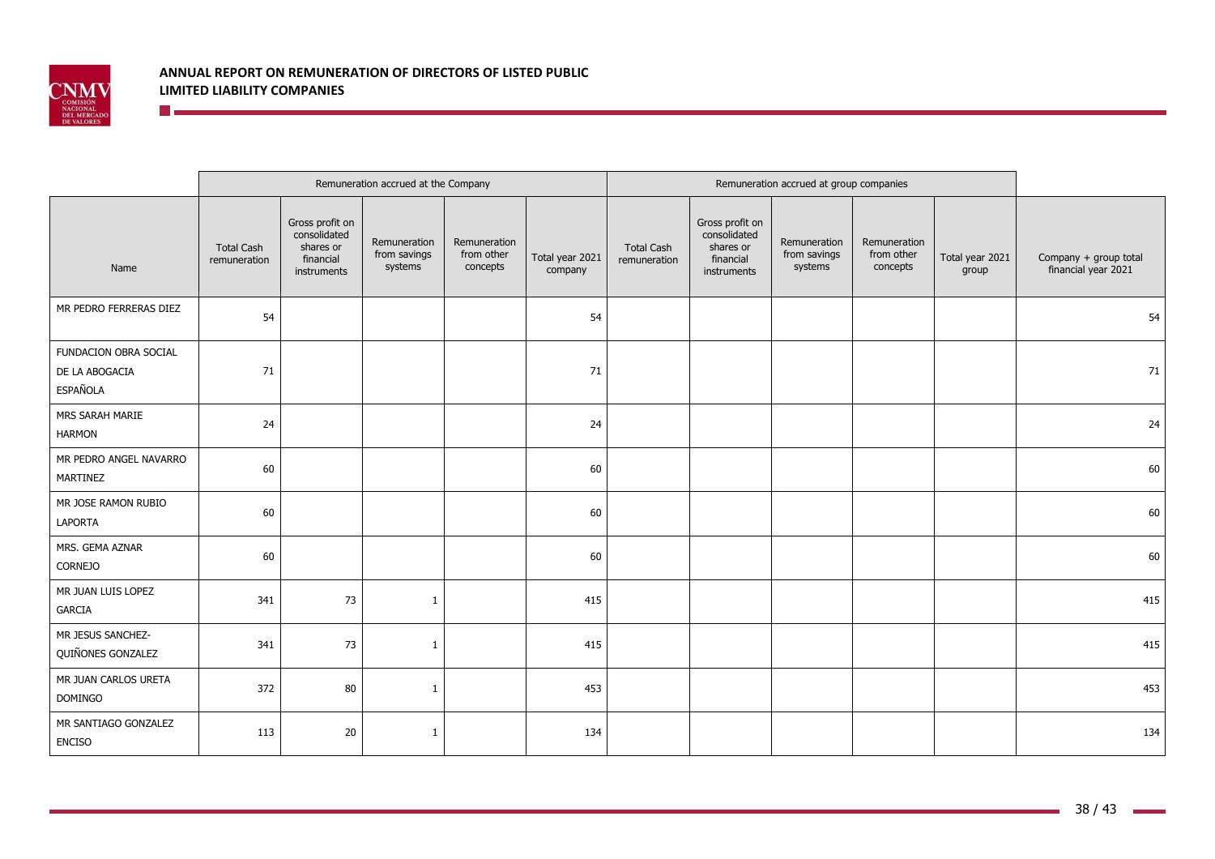

## **ANNUAL REPORT ON REMUNERATION OF DIRECTORS OF LISTED PUBLIC LIMITED LIABILITY COMPANIES The Communist Communist Communist Communist Communist Communist Communist Communist Communist Communist Communist**

|                                                            |                                   |                                                                          | Remuneration accrued at the Company     |                                        |                            |                                   |                                                                          | Remuneration accrued at group companies |                                        |                          |                                              |
|------------------------------------------------------------|-----------------------------------|--------------------------------------------------------------------------|-----------------------------------------|----------------------------------------|----------------------------|-----------------------------------|--------------------------------------------------------------------------|-----------------------------------------|----------------------------------------|--------------------------|----------------------------------------------|
| Name                                                       | <b>Total Cash</b><br>remuneration | Gross profit on<br>consolidated<br>shares or<br>financial<br>instruments | Remuneration<br>from savings<br>systems | Remuneration<br>from other<br>concepts | Total year 2021<br>company | <b>Total Cash</b><br>remuneration | Gross profit on<br>consolidated<br>shares or<br>financial<br>instruments | Remuneration<br>from savings<br>systems | Remuneration<br>from other<br>concepts | Total year 2021<br>group | Company + group total<br>financial year 2021 |
| MR PEDRO FERRERAS DIEZ                                     | 54                                |                                                                          |                                         |                                        | 54                         |                                   |                                                                          |                                         |                                        |                          | 54                                           |
| FUNDACION OBRA SOCIAL<br>DE LA ABOGACIA<br><b>ESPAÑOLA</b> | 71                                |                                                                          |                                         |                                        | 71                         |                                   |                                                                          |                                         |                                        |                          | 71                                           |
| MRS SARAH MARIE<br><b>HARMON</b>                           | 24                                |                                                                          |                                         |                                        | 24                         |                                   |                                                                          |                                         |                                        |                          | 24                                           |
| MR PEDRO ANGEL NAVARRO<br>MARTINEZ                         | 60                                |                                                                          |                                         |                                        | 60                         |                                   |                                                                          |                                         |                                        |                          | 60                                           |
| MR JOSE RAMON RUBIO<br>LAPORTA                             | 60                                |                                                                          |                                         |                                        | 60                         |                                   |                                                                          |                                         |                                        |                          | 60                                           |
| MRS. GEMA AZNAR<br><b>CORNEJO</b>                          | 60                                |                                                                          |                                         |                                        | 60                         |                                   |                                                                          |                                         |                                        |                          | 60                                           |
| MR JUAN LUIS LOPEZ<br><b>GARCIA</b>                        | 341                               | 73                                                                       | $\mathbf{1}$                            |                                        | 415                        |                                   |                                                                          |                                         |                                        |                          | 415                                          |
| MR JESUS SANCHEZ-<br>QUIÑONES GONZALEZ                     | 341                               | 73                                                                       | -1                                      |                                        | 415                        |                                   |                                                                          |                                         |                                        |                          | 415                                          |
| MR JUAN CARLOS URETA<br><b>DOMINGO</b>                     | 372                               | 80                                                                       | 1                                       |                                        | 453                        |                                   |                                                                          |                                         |                                        |                          | 453                                          |
| MR SANTIAGO GONZALEZ<br><b>ENCISO</b>                      | 113                               | 20                                                                       | $\overline{1}$                          |                                        | 134                        |                                   |                                                                          |                                         |                                        |                          | 134                                          |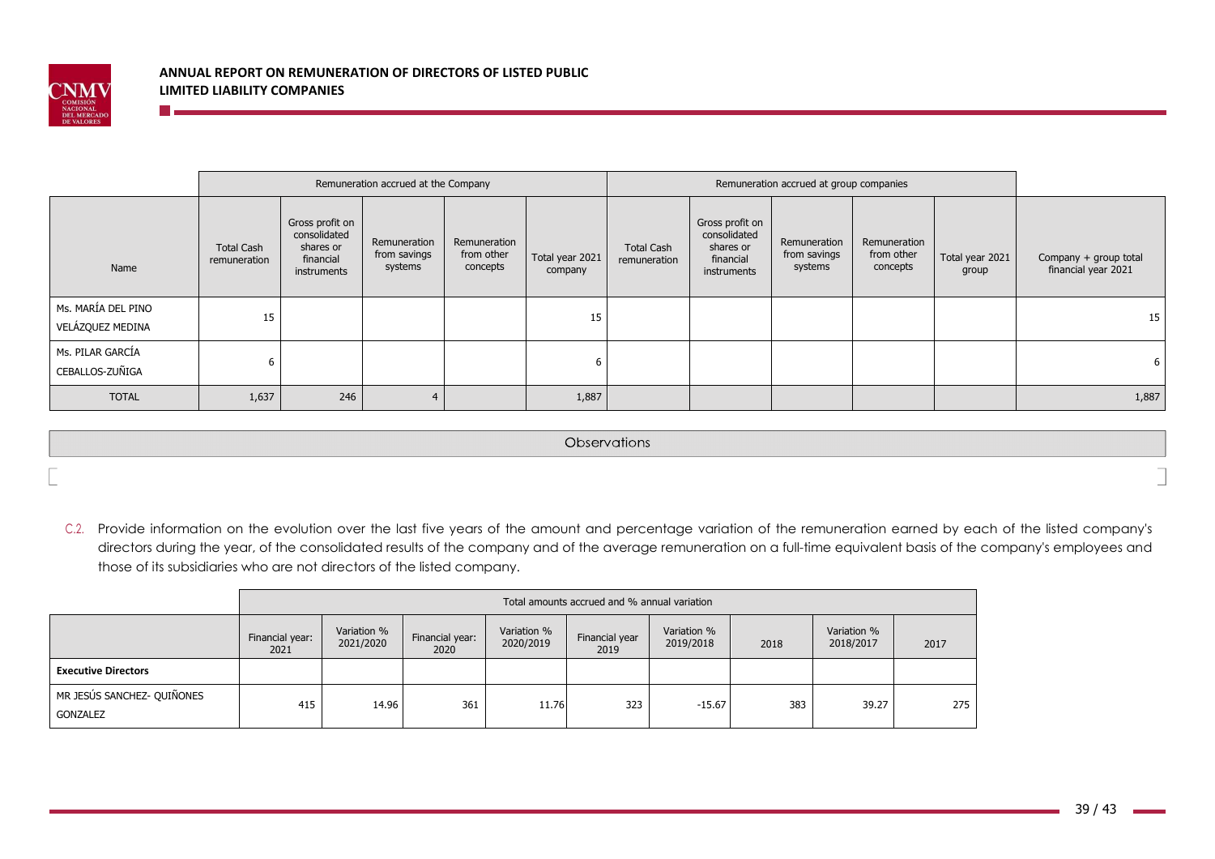

n es

## **ANNUAL REPORT ON REMUNERATION OF DIRECTORS OF LISTED PUBLIC LIMITED LIABILITY COMPANIES**

|                                        |                                   |                                                                          | Remuneration accrued at the Company     |                                        |                            |                                   |                                                                          | Remuneration accrued at group companies |                                        |                          |                                              |
|----------------------------------------|-----------------------------------|--------------------------------------------------------------------------|-----------------------------------------|----------------------------------------|----------------------------|-----------------------------------|--------------------------------------------------------------------------|-----------------------------------------|----------------------------------------|--------------------------|----------------------------------------------|
| Name                                   | <b>Total Cash</b><br>remuneration | Gross profit on<br>consolidated<br>shares or<br>financial<br>instruments | Remuneration<br>from savings<br>systems | Remuneration<br>from other<br>concepts | Total year 2021<br>company | <b>Total Cash</b><br>remuneration | Gross profit on<br>consolidated<br>shares or<br>financial<br>instruments | Remuneration<br>from savings<br>systems | Remuneration<br>from other<br>concepts | Total year 2021<br>group | Company + group total<br>financial year 2021 |
| Ms. MARÍA DEL PINO<br>VELÁZQUEZ MEDINA | 15                                |                                                                          |                                         |                                        | 15                         |                                   |                                                                          |                                         |                                        |                          | 15                                           |
| Ms. PILAR GARCÍA<br>CEBALLOS-ZUÑIGA    | ь                                 |                                                                          |                                         |                                        |                            |                                   |                                                                          |                                         |                                        |                          | 6                                            |
| <b>TOTAL</b>                           | 1,637                             | 246                                                                      | 4                                       |                                        | 1,887                      |                                   |                                                                          |                                         |                                        |                          | 1,887                                        |

Observations

C.2. Provide information on the evolution over the last five years of the amount and percentage variation of the remuneration earned by each of the listed company's directors during the year, of the consolidated results of the company and of the average remuneration on a full-time equivalent basis of the company's employees and those of its subsidiaries who are not directors of the listed company.

|                                        | Total amounts accrued and % annual variation |                          |                         |                          |                        |                          |      |                          |      |
|----------------------------------------|----------------------------------------------|--------------------------|-------------------------|--------------------------|------------------------|--------------------------|------|--------------------------|------|
|                                        | Financial year:<br>2021                      | Variation %<br>2021/2020 | Financial year:<br>2020 | Variation %<br>2020/2019 | Financial year<br>2019 | Variation %<br>2019/2018 | 2018 | Variation %<br>2018/2017 | 2017 |
| <b>Executive Directors</b>             |                                              |                          |                         |                          |                        |                          |      |                          |      |
| MR JESÚS SANCHEZ- QUIÑONES<br>GONZALEZ | 415                                          | 14.96                    | 361                     | 11.76                    | 323                    | -15.67                   | 383  | 39.27                    | 275  |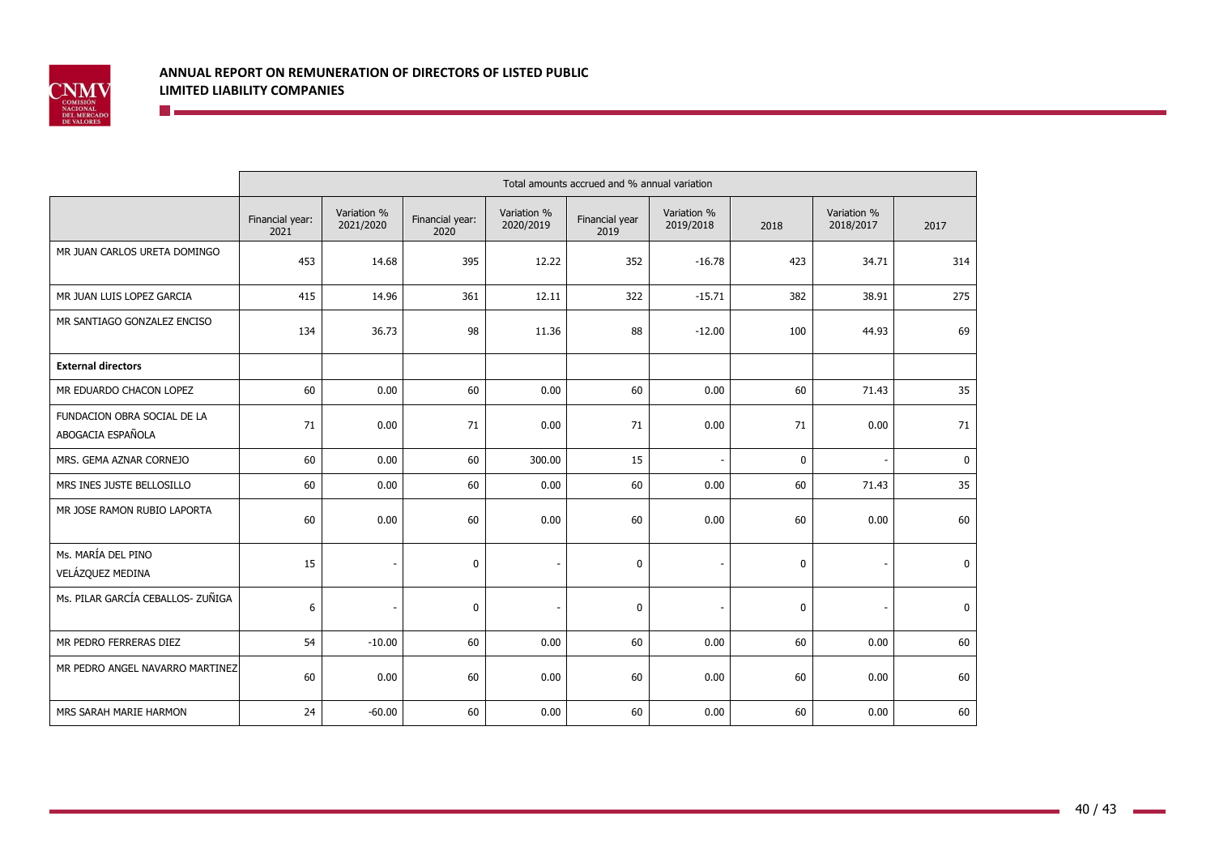

|                                                  | Total amounts accrued and % annual variation |                          |                         |                          |                        |                          |             |                          |             |
|--------------------------------------------------|----------------------------------------------|--------------------------|-------------------------|--------------------------|------------------------|--------------------------|-------------|--------------------------|-------------|
|                                                  | Financial year:<br>2021                      | Variation %<br>2021/2020 | Financial year:<br>2020 | Variation %<br>2020/2019 | Financial year<br>2019 | Variation %<br>2019/2018 | 2018        | Variation %<br>2018/2017 | 2017        |
| MR JUAN CARLOS URETA DOMINGO                     | 453                                          | 14.68                    | 395                     | 12.22                    | 352                    | $-16.78$                 | 423         | 34.71                    | 314         |
| MR JUAN LUIS LOPEZ GARCIA                        | 415                                          | 14.96                    | 361                     | 12.11                    | 322                    | $-15.71$                 | 382         | 38.91                    | 275         |
| MR SANTIAGO GONZALEZ ENCISO                      | 134                                          | 36.73                    | 98                      | 11.36                    | 88                     | $-12.00$                 | 100         | 44.93                    | 69          |
| <b>External directors</b>                        |                                              |                          |                         |                          |                        |                          |             |                          |             |
| MR EDUARDO CHACON LOPEZ                          | 60                                           | 0.00                     | 60                      | 0.00                     | 60                     | 0.00                     | 60          | 71.43                    | 35          |
| FUNDACION OBRA SOCIAL DE LA<br>ABOGACIA ESPAÑOLA | 71                                           | 0.00                     | 71                      | 0.00                     | 71                     | 0.00                     | 71          | 0.00                     | 71          |
| MRS. GEMA AZNAR CORNEJO                          | 60                                           | 0.00                     | 60                      | 300.00                   | 15                     |                          | $\mathbf 0$ |                          | $\mathbf 0$ |
| MRS INES JUSTE BELLOSILLO                        | 60                                           | 0.00                     | 60                      | 0.00                     | 60                     | 0.00                     | 60          | 71.43                    | 35          |
| MR JOSE RAMON RUBIO LAPORTA                      | 60                                           | 0.00                     | 60                      | 0.00                     | 60                     | 0.00                     | 60          | 0.00                     | 60          |
| Ms. MARÍA DEL PINO<br>VELÁZQUEZ MEDINA           | 15                                           |                          | 0                       |                          | $\mathbf 0$            |                          | 0           |                          | $\mathbf 0$ |
| Ms. PILAR GARCÍA CEBALLOS- ZUÑIGA                | 6                                            |                          | $\mathbf 0$             |                          | $\mathbf 0$            |                          | $\mathbf 0$ |                          | $\mathbf 0$ |
| MR PEDRO FERRERAS DIEZ                           | 54                                           | $-10.00$                 | 60                      | 0.00                     | 60                     | 0.00                     | 60          | 0.00                     | 60          |
| MR PEDRO ANGEL NAVARRO MARTINEZ                  | 60                                           | 0.00                     | 60                      | 0.00                     | 60                     | 0.00                     | 60          | 0.00                     | 60          |
| MRS SARAH MARIE HARMON                           | 24                                           | $-60.00$                 | 60                      | 0.00                     | 60                     | 0.00                     | 60          | 0.00                     | 60          |

 $\sim$  10  $\pm$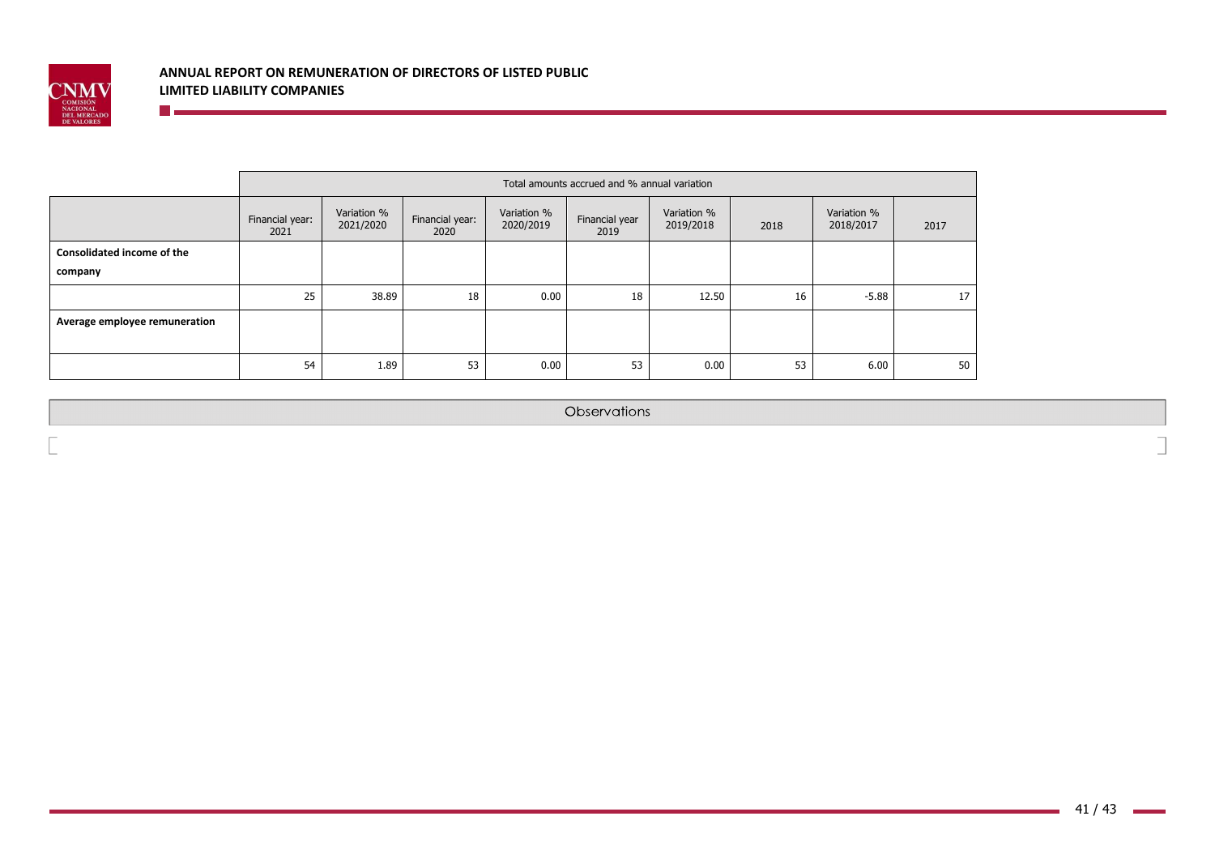

 $\blacksquare$  . The set of  $\blacksquare$ 

|                                   | Total amounts accrued and % annual variation |                          |                         |                          |                        |                          |      |                          |                 |
|-----------------------------------|----------------------------------------------|--------------------------|-------------------------|--------------------------|------------------------|--------------------------|------|--------------------------|-----------------|
|                                   | Financial year:<br>2021                      | Variation %<br>2021/2020 | Financial year:<br>2020 | Variation %<br>2020/2019 | Financial year<br>2019 | Variation %<br>2019/2018 | 2018 | Variation %<br>2018/2017 | 2017            |
| <b>Consolidated income of the</b> |                                              |                          |                         |                          |                        |                          |      |                          |                 |
| company                           |                                              |                          |                         |                          |                        |                          |      |                          |                 |
|                                   | 25                                           | 38.89                    | 18                      | 0.00                     | 18                     | 12.50                    | 16   | $-5.88$                  | 17 <sup>1</sup> |
| Average employee remuneration     |                                              |                          |                         |                          |                        |                          |      |                          |                 |
|                                   |                                              |                          |                         |                          |                        |                          |      |                          |                 |
|                                   | 54                                           | 1.89                     | 53                      | 0.00                     | 53                     | 0.00                     | 53   | 6.00                     | 50              |

Observations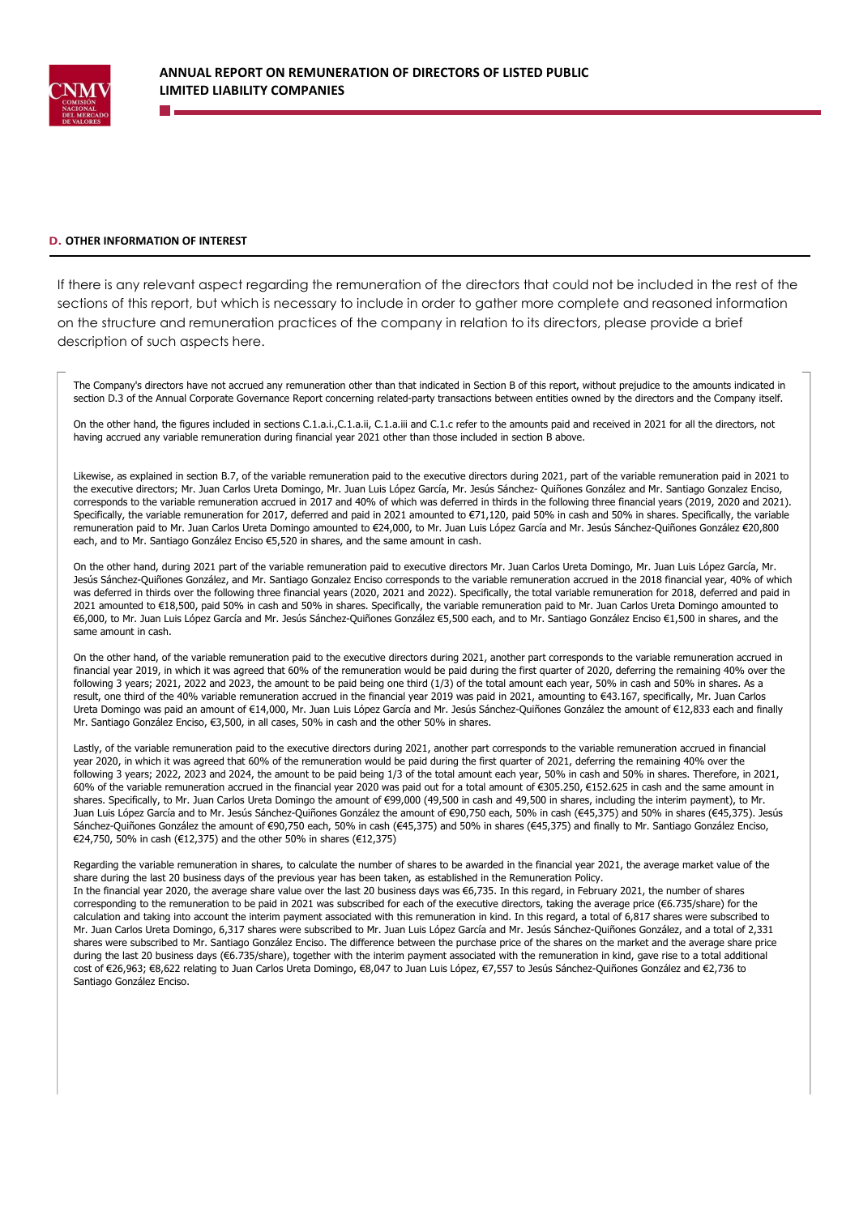

#### **D.** OTHER INFORMATION OF INTEREST

If there is any relevant aspect regarding the remuneration of the directors that could not be included in the rest of the sections of this report, but which is necessary to include in order to gather more complete and reasoned information on the structure and remuneration practices of the company in relation to its directors, please provide a brief description of such aspects here.

The Company's directors have not accrued any remuneration other than that indicated in Section B of this report, without prejudice to the amounts indicated in section D.3 of the Annual Corporate Governance Report concerning related-party transactions between entities owned by the directors and the Company itself.

On the other hand, the figures included in sections C.1.a.i.,C.1.a.ii, C.1.a.iii and C.1.c refer to the amounts paid and received in 2021 for all the directors, not having accrued any variable remuneration during financial year 2021 other than those included in section B above.

Likewise, as explained in section B.7, of the variable remuneration paid to the executive directors during 2021, part of the variable remuneration paid in 2021 to the executive directors; Mr. Juan Carlos Ureta Domingo, Mr. Juan Luis López García, Mr. Jesús Sánchez- Quiñones González and Mr. Santiago Gonzalez Enciso, corresponds to the variable remuneration accrued in 2017 and 40% of which was deferred in thirds in the following three financial years (2019, 2020 and 2021). Specifically, the variable remuneration for 2017, deferred and paid in 2021 amounted to €71,120, paid 50% in cash and 50% in shares. Specifically, the variable remuneration paid to Mr. Juan Carlos Ureta Domingo amounted to €24,000, to Mr. Juan Luis López García and Mr. Jesús Sánchez-Quiñones González €20,800 each, and to Mr. Santiago González Enciso €5,520 in shares, and the same amount in cash.

On the other hand, during 2021 part of the variable remuneration paid to executive directors Mr. Juan Carlos Ureta Domingo, Mr. Juan Luis López García, Mr. Jesús Sánchez-Quiñones González, and Mr. Santiago Gonzalez Enciso corresponds to the variable remuneration accrued in the 2018 financial year, 40% of which was deferred in thirds over the following three financial years (2020, 2021 and 2022). Specifically, the total variable remuneration for 2018, deferred and paid in 2021 amounted to €18,500, paid 50% in cash and 50% in shares. Specifically, the variable remuneration paid to Mr. Juan Carlos Ureta Domingo amounted to €6,000, to Mr. Juan Luis López García and Mr. Jesús Sánchez-Quiñones González €5,500 each, and to Mr. Santiago González Enciso €1,500 in shares, and the same amount in cash.

On the other hand, of the variable remuneration paid to the executive directors during 2021, another part corresponds to the variable remuneration accrued in financial year 2019, in which it was agreed that 60% of the remuneration would be paid during the first quarter of 2020, deferring the remaining 40% over the following 3 years; 2021, 2022 and 2023, the amount to be paid being one third (1/3) of the total amount each year, 50% in cash and 50% in shares. As a result, one third of the 40% variable remuneration accrued in the financial year 2019 was paid in 2021, amounting to €43.167, specifically, Mr. Juan Carlos Ureta Domingo was paid an amount of €14,000, Mr. Juan Luis López García and Mr. Jesús Sánchez-Quiñones González the amount of €12,833 each and finally Mr. Santiago González Enciso, €3,500, in all cases, 50% in cash and the other 50% in shares.

Lastly, of the variable remuneration paid to the executive directors during 2021, another part corresponds to the variable remuneration accrued in financial year 2020, in which it was agreed that 60% of the remuneration would be paid during the first quarter of 2021, deferring the remaining 40% over the following 3 years; 2022, 2023 and 2024, the amount to be paid being 1/3 of the total amount each year, 50% in cash and 50% in shares. Therefore, in 2021, 60% of the variable remuneration accrued in the financial year 2020 was paid out for a total amount of €305.250, €152.625 in cash and the same amount in shares. Specifically, to Mr. Juan Carlos Ureta Domingo the amount of €99,000 (49,500 in cash and 49,500 in shares, including the interim payment), to Mr. Juan Luis López García and to Mr. Jesús Sánchez-Quiñones González the amount of €90,750 each, 50% in cash (€45,375) and 50% in shares (€45,375). Jesús Sánchez-Quiñones González the amount of €90,750 each, 50% in cash (€45,375) and 50% in shares (€45,375) and finally to Mr. Santiago González Enciso, €24,750, 50% in cash (€12,375) and the other 50% in shares (€12,375)

Regarding the variable remuneration in shares, to calculate the number of shares to be awarded in the financial year 2021, the average market value of the share during the last 20 business days of the previous year has been taken, as established in the Remuneration Policy. In the financial year 2020, the average share value over the last 20 business days was €6,735. In this regard, in February 2021, the number of shares corresponding to the remuneration to be paid in 2021 was subscribed for each of the executive directors, taking the average price ( $\epsilon$ 6.735/share) for the calculation and taking into account the interim payment associated with this remuneration in kind. In this regard, a total of 6,817 shares were subscribed to Mr. Juan Carlos Ureta Domingo, 6,317 shares were subscribed to Mr. Juan Luis López García and Mr. Jesús Sánchez-Quiñones González, and a total of 2,331 shares were subscribed to Mr. Santiago González Enciso. The difference between the purchase price of the shares on the market and the average share price during the last 20 business days (€6.735/share), together with the interim payment associated with the remuneration in kind, gave rise to a total additional cost of €26,963; €8,622 relating to Juan Carlos Ureta Domingo, €8,047 to Juan Luis López, €7,557 to Jesús Sánchez-Quiñones González and €2,736 to Santiago González Enciso.